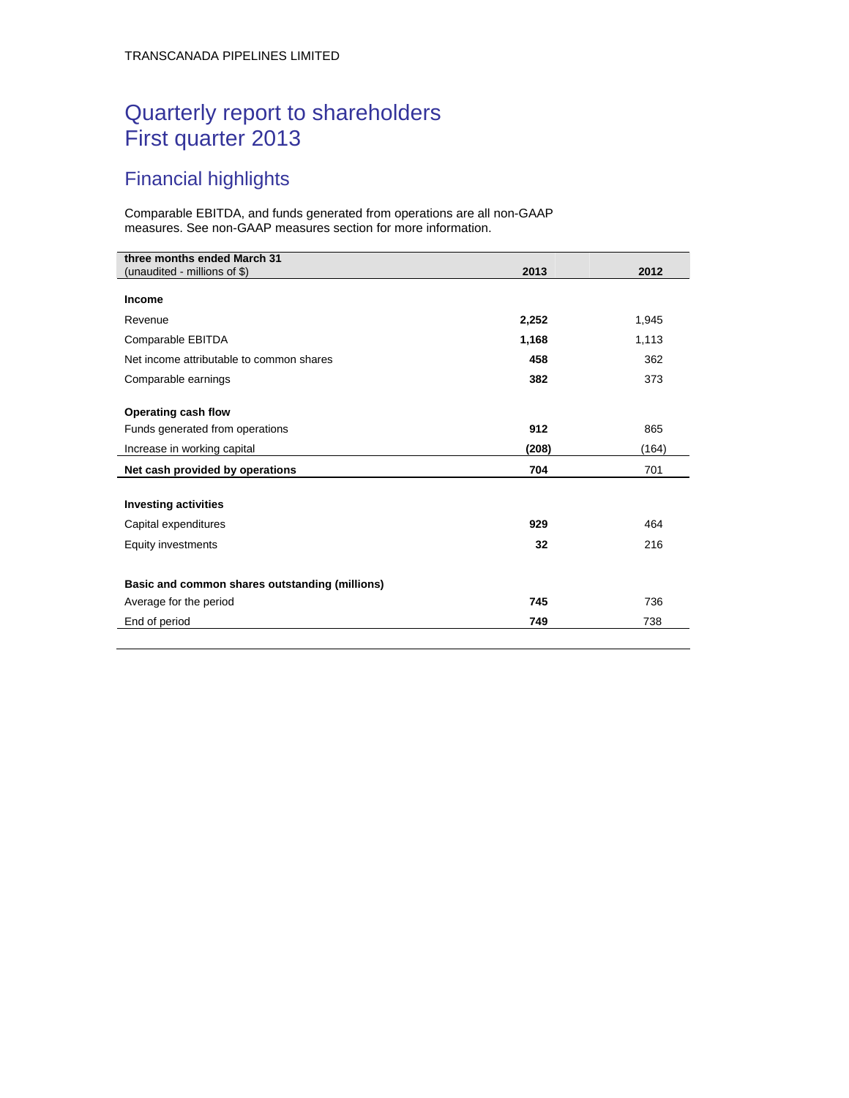# Quarterly report to shareholders First quarter 2013

# Financial highlights

Comparable EBITDA, and funds generated from operations are all non-GAAP measures. See non-GAAP measures section for more information.

| three months ended March 31                    |       |       |
|------------------------------------------------|-------|-------|
| (unaudited - millions of \$)                   | 2013  | 2012  |
| Income                                         |       |       |
| Revenue                                        | 2,252 | 1,945 |
| Comparable EBITDA                              | 1,168 | 1,113 |
| Net income attributable to common shares       | 458   | 362   |
| Comparable earnings                            | 382   | 373   |
|                                                |       |       |
| Operating cash flow                            |       |       |
| Funds generated from operations                | 912   | 865   |
| Increase in working capital                    | (208) | (164) |
| Net cash provided by operations                | 704   | 701   |
|                                                |       |       |
| <b>Investing activities</b>                    |       |       |
| Capital expenditures                           | 929   | 464   |
| <b>Equity investments</b>                      | 32    | 216   |
|                                                |       |       |
| Basic and common shares outstanding (millions) |       |       |
| Average for the period                         | 745   | 736   |
| End of period                                  | 749   | 738   |
|                                                |       |       |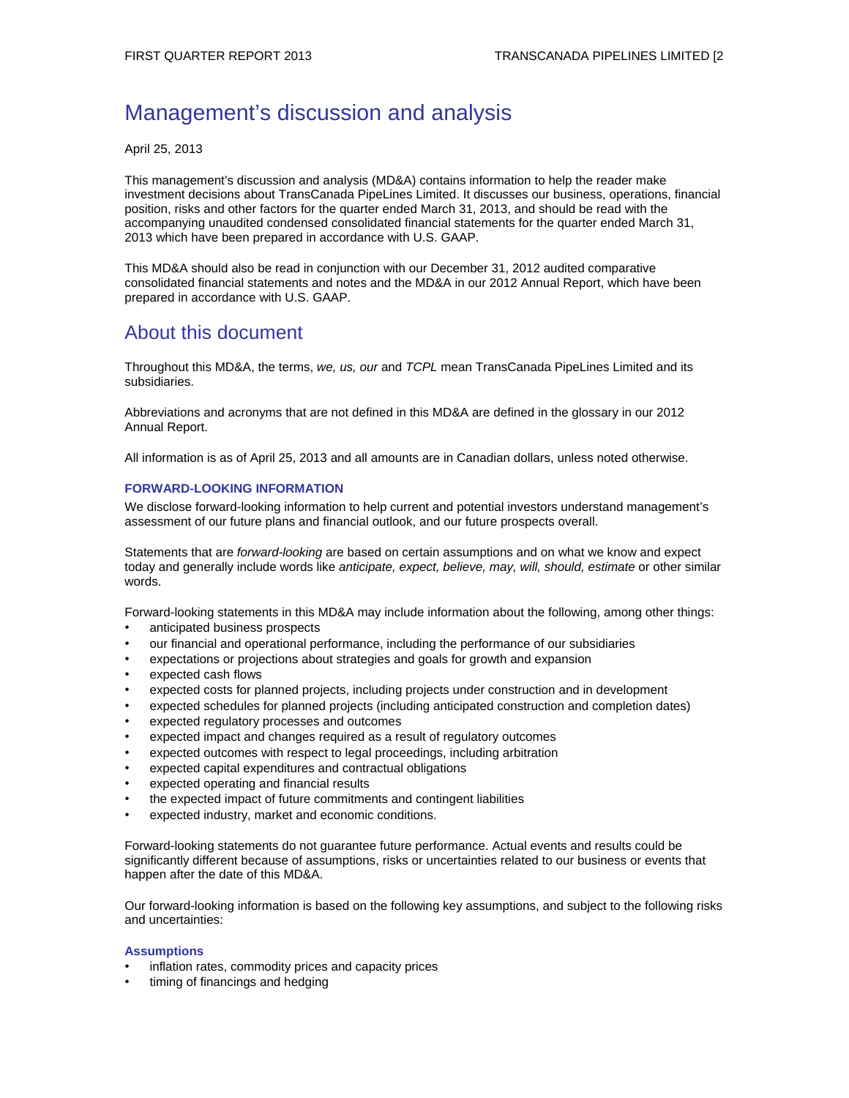# Management's discussion and analysis

April 25, 2013

This management's discussion and analysis (MD&A) contains information to help the reader make investment decisions about TransCanada PipeLines Limited. It discusses our business, operations, financial position, risks and other factors for the quarter ended March 31, 2013, and should be read with the accompanying unaudited condensed consolidated financial statements for the quarter ended March 31, 2013 which have been prepared in accordance with U.S. GAAP.

This MD&A should also be read in conjunction with our December 31, 2012 audited comparative consolidated financial statements and notes and the MD&A in our 2012 Annual Report, which have been prepared in accordance with U.S. GAAP.

# About this document

Throughout this MD&A, the terms, *we, us, our* and *TCPL* mean TransCanada PipeLines Limited and its subsidiaries.

Abbreviations and acronyms that are not defined in this MD&A are defined in the glossary in our 2012 Annual Report.

All information is as of April 25, 2013 and all amounts are in Canadian dollars, unless noted otherwise.

# **FORWARD-LOOKING INFORMATION**

We disclose forward-looking information to help current and potential investors understand management's assessment of our future plans and financial outlook, and our future prospects overall.

Statements that are *forward-looking* are based on certain assumptions and on what we know and expect today and generally include words like *anticipate, expect, believe, may, will, should, estimate* or other similar words.

Forward-looking statements in this MD&A may include information about the following, among other things:

- anticipated business prospects
- our financial and operational performance, including the performance of our subsidiaries
- expectations or projections about strategies and goals for growth and expansion
- expected cash flows
- expected costs for planned projects, including projects under construction and in development
- expected schedules for planned projects (including anticipated construction and completion dates)
- expected regulatory processes and outcomes
- expected impact and changes required as a result of regulatory outcomes
- expected outcomes with respect to legal proceedings, including arbitration
- expected capital expenditures and contractual obligations
- expected operating and financial results
- the expected impact of future commitments and contingent liabilities
- expected industry, market and economic conditions.

Forward-looking statements do not guarantee future performance. Actual events and results could be significantly different because of assumptions, risks or uncertainties related to our business or events that happen after the date of this MD&A.

Our forward-looking information is based on the following key assumptions, and subject to the following risks and uncertainties:

#### **Assumptions**

- inflation rates, commodity prices and capacity prices
- timing of financings and hedging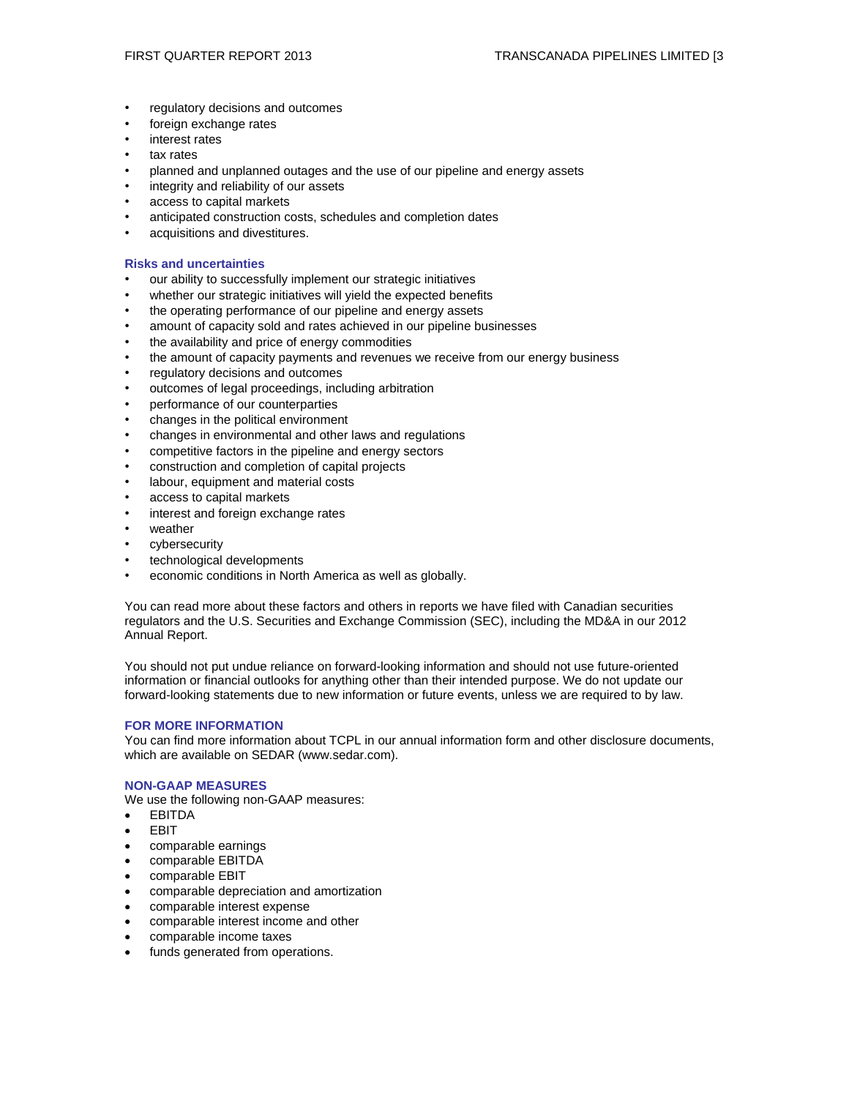- regulatory decisions and outcomes
- foreign exchange rates
- interest rates
- tax rates
- planned and unplanned outages and the use of our pipeline and energy assets
- integrity and reliability of our assets
- access to capital markets
- anticipated construction costs, schedules and completion dates
- acquisitions and divestitures.

# **Risks and uncertainties**

- our ability to successfully implement our strategic initiatives
- whether our strategic initiatives will yield the expected benefits
- the operating performance of our pipeline and energy assets
- amount of capacity sold and rates achieved in our pipeline businesses
- the availability and price of energy commodities
- the amount of capacity payments and revenues we receive from our energy business
- regulatory decisions and outcomes
- outcomes of legal proceedings, including arbitration
- performance of our counterparties
- changes in the political environment
- changes in environmental and other laws and regulations
- competitive factors in the pipeline and energy sectors
- construction and completion of capital projects
- labour, equipment and material costs
- access to capital markets
- interest and foreign exchange rates
- weather
- cybersecurity
- technological developments
- economic conditions in North America as well as globally.

You can read more about these factors and others in reports we have filed with Canadian securities regulators and the U.S. Securities and Exchange Commission (SEC), including the MD&A in our 2012 Annual Report.

You should not put undue reliance on forward-looking information and should not use future-oriented information or financial outlooks for anything other than their intended purpose. We do not update our forward-looking statements due to new information or future events, unless we are required to by law.

# **FOR MORE INFORMATION**

You can find more information about TCPL in our annual information form and other disclosure documents, which are available on SEDAR (www.sedar.com).

# **NON-GAAP MEASURES**

We use the following non-GAAP measures:

- EBITDA
- **EBIT**
- comparable earnings
- comparable EBITDA
- comparable EBIT
- comparable depreciation and amortization
- comparable interest expense
- comparable interest income and other
- comparable income taxes
- funds generated from operations.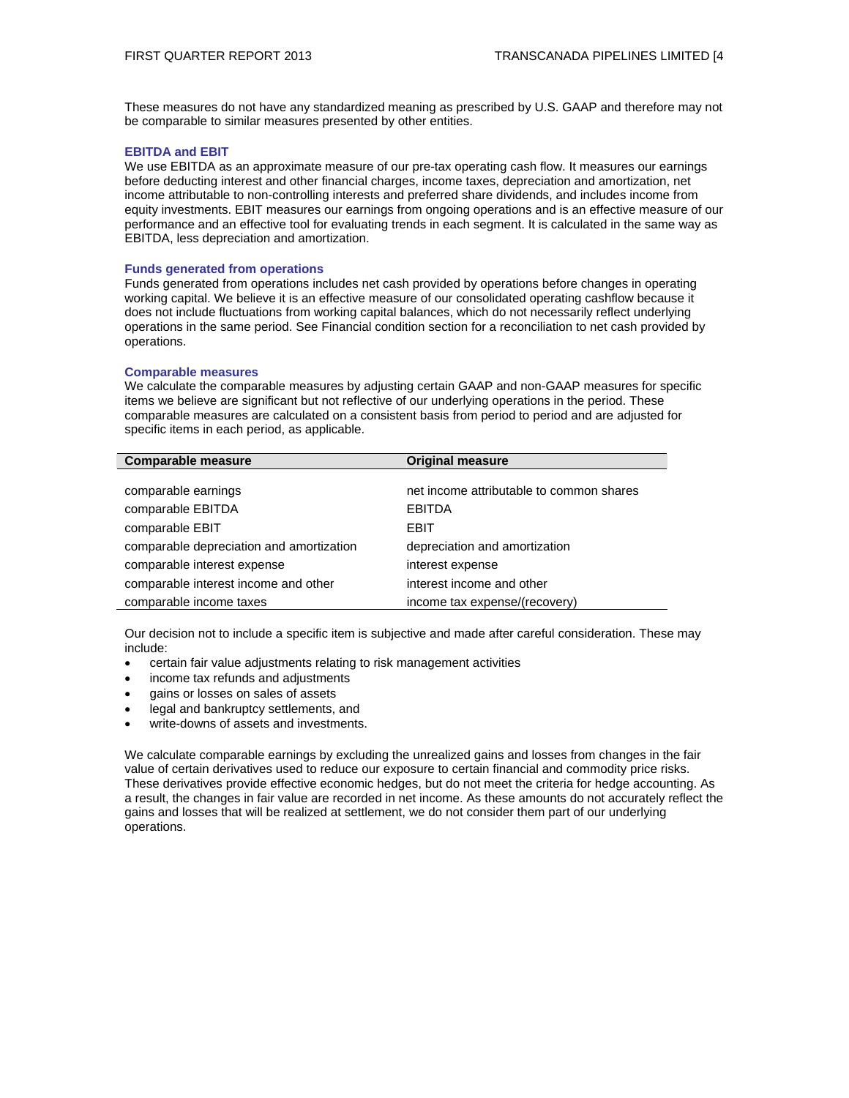These measures do not have any standardized meaning as prescribed by U.S. GAAP and therefore may not be comparable to similar measures presented by other entities.

#### **EBITDA and EBIT**

We use EBITDA as an approximate measure of our pre-tax operating cash flow. It measures our earnings before deducting interest and other financial charges, income taxes, depreciation and amortization, net income attributable to non-controlling interests and preferred share dividends, and includes income from equity investments. EBIT measures our earnings from ongoing operations and is an effective measure of our performance and an effective tool for evaluating trends in each segment. It is calculated in the same way as EBITDA, less depreciation and amortization.

#### **Funds generated from operations**

Funds generated from operations includes net cash provided by operations before changes in operating working capital. We believe it is an effective measure of our consolidated operating cashflow because it does not include fluctuations from working capital balances, which do not necessarily reflect underlying operations in the same period. See Financial condition section for a reconciliation to net cash provided by operations.

#### **Comparable measures**

We calculate the comparable measures by adjusting certain GAAP and non-GAAP measures for specific items we believe are significant but not reflective of our underlying operations in the period. These comparable measures are calculated on a consistent basis from period to period and are adjusted for specific items in each period, as applicable.

| <b>Comparable measure</b>                | <b>Original measure</b>                  |
|------------------------------------------|------------------------------------------|
|                                          |                                          |
| comparable earnings                      | net income attributable to common shares |
| comparable EBITDA                        | <b>EBITDA</b>                            |
| comparable EBIT                          | EBIT                                     |
| comparable depreciation and amortization | depreciation and amortization            |
| comparable interest expense              | interest expense                         |
| comparable interest income and other     | interest income and other                |
| comparable income taxes                  | income tax expense/(recovery)            |

Our decision not to include a specific item is subjective and made after careful consideration. These may include:

- certain fair value adjustments relating to risk management activities
- income tax refunds and adjustments
- gains or losses on sales of assets
- legal and bankruptcy settlements, and
- write-downs of assets and investments.

We calculate comparable earnings by excluding the unrealized gains and losses from changes in the fair value of certain derivatives used to reduce our exposure to certain financial and commodity price risks. These derivatives provide effective economic hedges, but do not meet the criteria for hedge accounting. As a result, the changes in fair value are recorded in net income. As these amounts do not accurately reflect the gains and losses that will be realized at settlement, we do not consider them part of our underlying operations.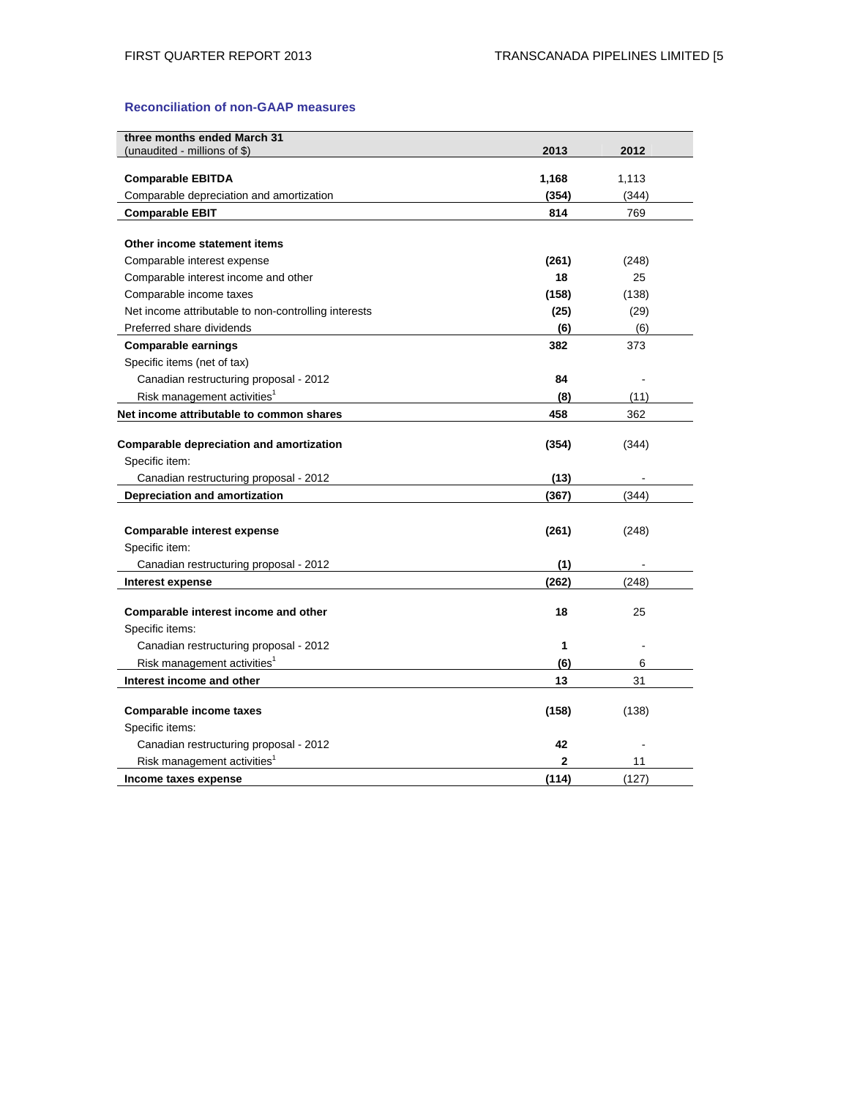# **Reconciliation of non-GAAP measures**

| three months ended March 31                          |              |       |
|------------------------------------------------------|--------------|-------|
| (unaudited - millions of \$)                         | 2013         | 2012  |
| <b>Comparable EBITDA</b>                             | 1,168        | 1,113 |
| Comparable depreciation and amortization             | (354)        | (344) |
| <b>Comparable EBIT</b>                               | 814          | 769   |
|                                                      |              |       |
| Other income statement items                         |              |       |
| Comparable interest expense                          | (261)        | (248) |
| Comparable interest income and other                 | 18           | 25    |
| Comparable income taxes                              | (158)        | (138) |
| Net income attributable to non-controlling interests | (25)         | (29)  |
| Preferred share dividends                            | (6)          | (6)   |
| <b>Comparable earnings</b>                           | 382          | 373   |
| Specific items (net of tax)                          |              |       |
| Canadian restructuring proposal - 2012               | 84           |       |
| Risk management activities <sup>1</sup>              | (8)          | (11)  |
| Net income attributable to common shares             | 458          | 362   |
|                                                      |              |       |
| <b>Comparable depreciation and amortization</b>      | (354)        | (344) |
| Specific item:                                       |              |       |
| Canadian restructuring proposal - 2012               | (13)         |       |
| Depreciation and amortization                        | (367)        | (344) |
|                                                      |              |       |
| <b>Comparable interest expense</b>                   | (261)        | (248) |
| Specific item:                                       |              |       |
| Canadian restructuring proposal - 2012               | (1)          |       |
| Interest expense                                     | (262)        | (248) |
|                                                      | 18           | 25    |
| Comparable interest income and other                 |              |       |
| Specific items:                                      |              |       |
| Canadian restructuring proposal - 2012               | 1            |       |
| Risk management activities <sup>1</sup>              | (6)          | 6     |
| Interest income and other                            | 13           | 31    |
| Comparable income taxes                              | (158)        | (138) |
| Specific items:                                      |              |       |
| Canadian restructuring proposal - 2012               | 42           |       |
| Risk management activities <sup>1</sup>              | $\mathbf{2}$ | 11    |
| Income taxes expense                                 | (114)        | (127) |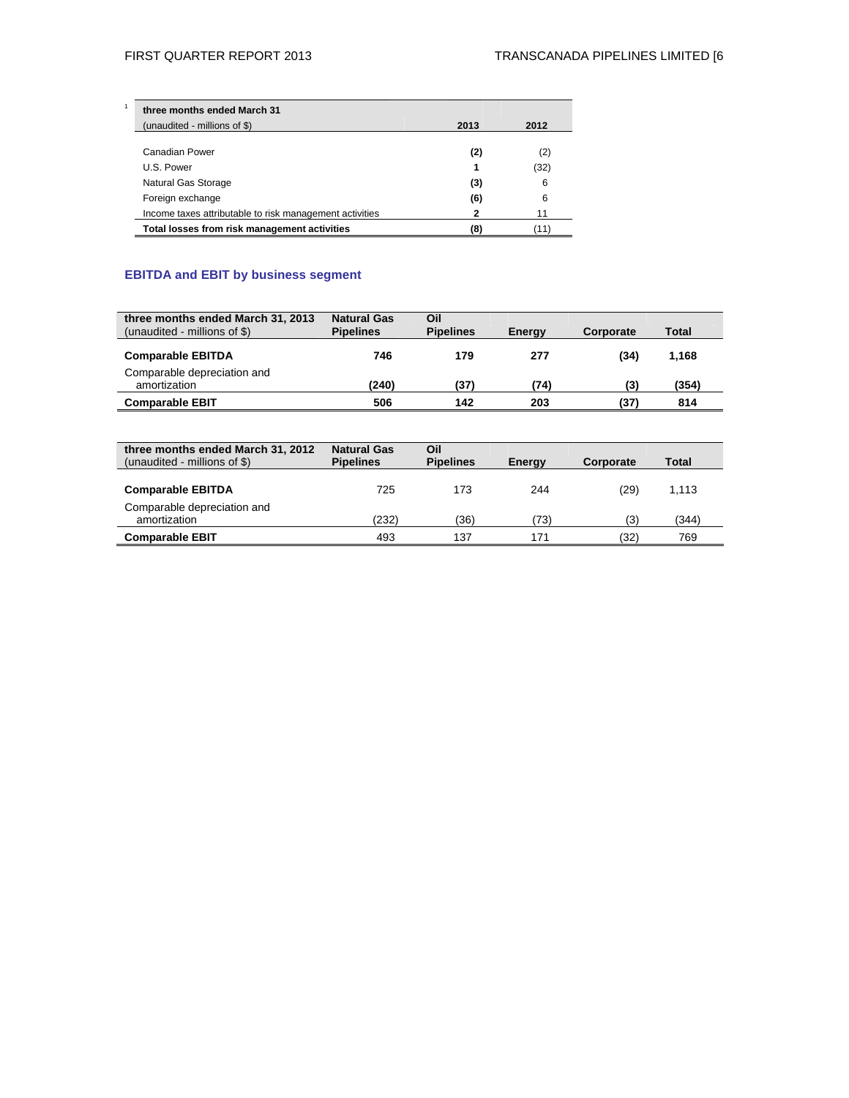| $\mathbf{1}$<br>three months ended March 31             |      |      |
|---------------------------------------------------------|------|------|
| (unaudited - millions of \$)                            | 2013 | 2012 |
| Canadian Power                                          | (2)  | (2)  |
| U.S. Power                                              |      | (32) |
| Natural Gas Storage                                     | (3)  | 6    |
| Foreign exchange                                        | (6)  | 6    |
| Income taxes attributable to risk management activities | 2    | 11   |
| Total losses from risk management activities            | (8)  | (11) |

# **EBITDA and EBIT by business segment**

| three months ended March 31, 2013<br>(unaudited - millions of \$) | <b>Natural Gas</b><br><b>Pipelines</b> | Oil<br><b>Pipelines</b> | Energy | Corporate | Total |
|-------------------------------------------------------------------|----------------------------------------|-------------------------|--------|-----------|-------|
| <b>Comparable EBITDA</b>                                          | 746                                    | 179                     | 277    | (34)      | 1.168 |
| Comparable depreciation and<br>amortization                       | (240)                                  | (37)                    | (74)   | (3)       | (354) |
| <b>Comparable EBIT</b>                                            | 506                                    | 142                     | 203    | (37)      | 814   |

| three months ended March 31, 2012<br>(unaudited - millions of \$) | <b>Natural Gas</b><br><b>Pipelines</b> | Oil<br><b>Pipelines</b> | Energy | Corporate | Total |
|-------------------------------------------------------------------|----------------------------------------|-------------------------|--------|-----------|-------|
| <b>Comparable EBITDA</b>                                          | 725                                    | 173                     | 244    | (29)      | 1.113 |
| Comparable depreciation and<br>amortization                       | (232)                                  | (36)                    | (73)   | (3)       | (344) |
| <b>Comparable EBIT</b>                                            | 493                                    | 137                     | 171    | (32)      | 769   |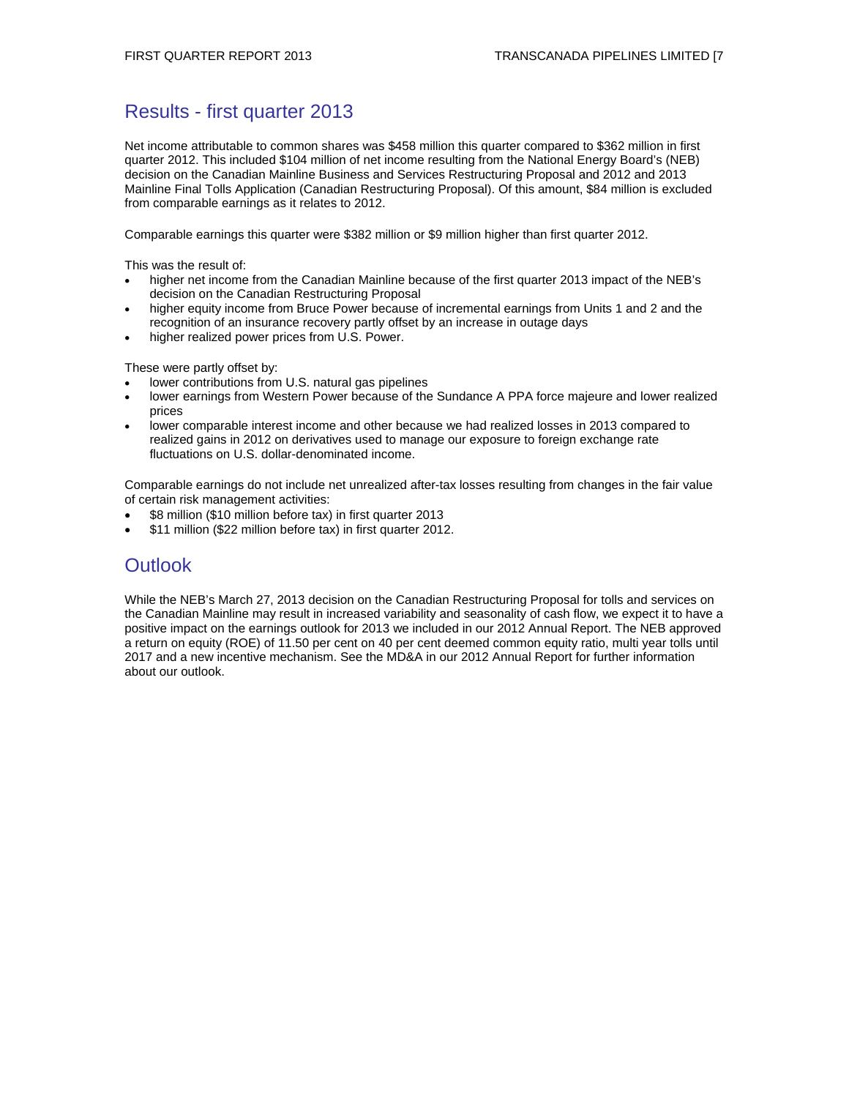# Results - first quarter 2013

Net income attributable to common shares was \$458 million this quarter compared to \$362 million in first quarter 2012. This included \$104 million of net income resulting from the National Energy Board's (NEB) decision on the Canadian Mainline Business and Services Restructuring Proposal and 2012 and 2013 Mainline Final Tolls Application (Canadian Restructuring Proposal). Of this amount, \$84 million is excluded from comparable earnings as it relates to 2012.

Comparable earnings this quarter were \$382 million or \$9 million higher than first quarter 2012.

This was the result of:

- higher net income from the Canadian Mainline because of the first quarter 2013 impact of the NEB's decision on the Canadian Restructuring Proposal
- higher equity income from Bruce Power because of incremental earnings from Units 1 and 2 and the recognition of an insurance recovery partly offset by an increase in outage days
- higher realized power prices from U.S. Power.

These were partly offset by:

- lower contributions from U.S. natural gas pipelines
- lower earnings from Western Power because of the Sundance A PPA force majeure and lower realized prices
- lower comparable interest income and other because we had realized losses in 2013 compared to realized gains in 2012 on derivatives used to manage our exposure to foreign exchange rate fluctuations on U.S. dollar-denominated income.

Comparable earnings do not include net unrealized after-tax losses resulting from changes in the fair value of certain risk management activities:

- \$8 million (\$10 million before tax) in first quarter 2013
- \$11 million (\$22 million before tax) in first quarter 2012.

# **Outlook**

While the NEB's March 27, 2013 decision on the Canadian Restructuring Proposal for tolls and services on the Canadian Mainline may result in increased variability and seasonality of cash flow, we expect it to have a positive impact on the earnings outlook for 2013 we included in our 2012 Annual Report. The NEB approved a return on equity (ROE) of 11.50 per cent on 40 per cent deemed common equity ratio, multi year tolls until 2017 and a new incentive mechanism. See the MD&A in our 2012 Annual Report for further information about our outlook.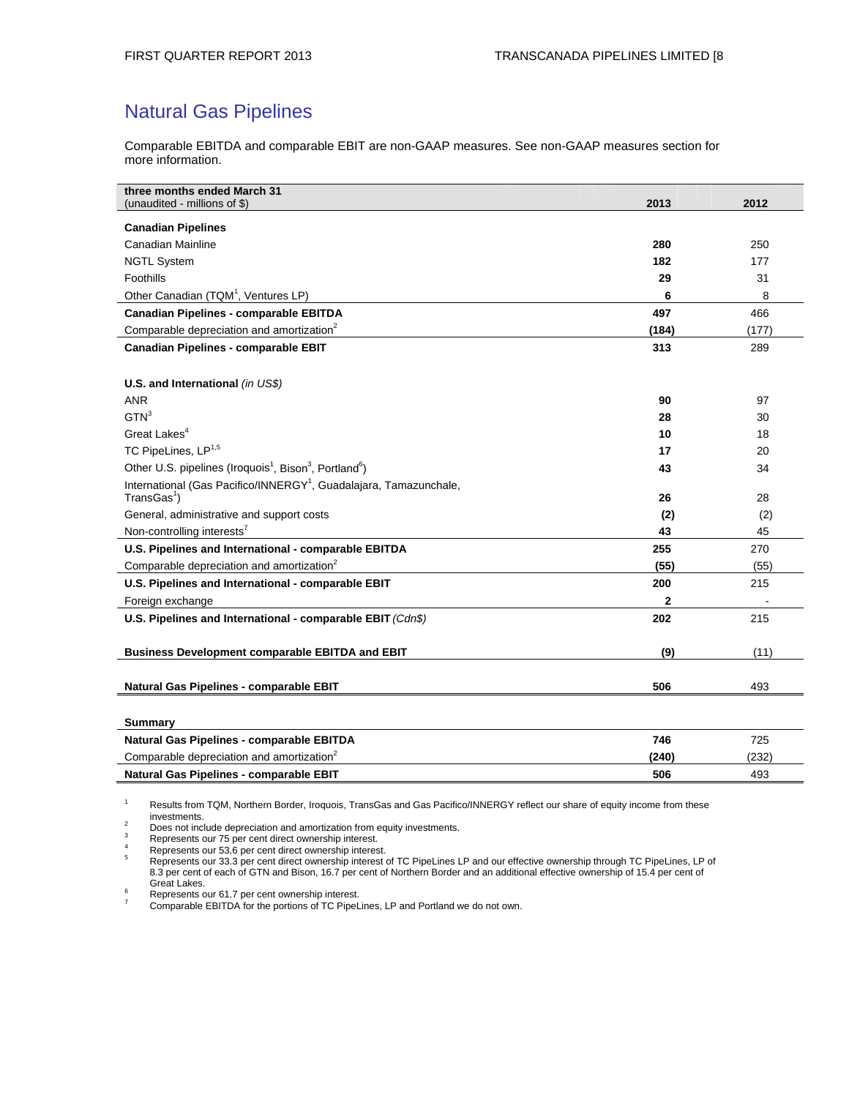# Natural Gas Pipelines

Comparable EBITDA and comparable EBIT are non-GAAP measures. See non-GAAP measures section for more information.

| three months ended March 31<br>(unaudited - millions of \$)                                            | 2013  | 2012  |
|--------------------------------------------------------------------------------------------------------|-------|-------|
| <b>Canadian Pipelines</b>                                                                              |       |       |
| Canadian Mainline                                                                                      | 280   | 250   |
| <b>NGTL System</b>                                                                                     | 182   | 177   |
| Foothills                                                                                              | 29    | 31    |
| Other Canadian (TQM <sup>1</sup> , Ventures LP)                                                        | 6     | 8     |
|                                                                                                        | 497   | 466   |
| Canadian Pipelines - comparable EBITDA                                                                 |       | (177) |
| Comparable depreciation and amortization <sup>2</sup>                                                  | (184) |       |
| Canadian Pipelines - comparable EBIT                                                                   | 313   | 289   |
|                                                                                                        |       |       |
| U.S. and International (in US\$)                                                                       |       |       |
| <b>ANR</b>                                                                                             | 90    | 97    |
| GTN <sup>3</sup>                                                                                       | 28    | 30    |
| Great Lakes <sup>4</sup>                                                                               | 10    | 18    |
| TC PipeLines, LP <sup>1,5</sup>                                                                        | 17    | 20    |
| Other U.S. pipelines (Iroquois <sup>1</sup> , Bison <sup>3</sup> , Portland <sup>6</sup> )             | 43    | 34    |
| International (Gas Pacifico/INNERGY <sup>1</sup> , Guadalajara, Tamazunchale,<br>TransGas <sup>1</sup> | 26    | 28    |
| General, administrative and support costs                                                              | (2)   | (2)   |
| Non-controlling interests <sup>7</sup>                                                                 | 43    | 45    |
| U.S. Pipelines and International - comparable EBITDA                                                   | 255   | 270   |
| Comparable depreciation and amortization <sup>2</sup>                                                  | (55)  | (55)  |
| U.S. Pipelines and International - comparable EBIT                                                     | 200   | 215   |
| Foreign exchange                                                                                       | 2     |       |
| U.S. Pipelines and International - comparable EBIT (Cdn\$)                                             | 202   | 215   |
|                                                                                                        |       |       |
| <b>Business Development comparable EBITDA and EBIT</b>                                                 | (9)   | (11)  |
|                                                                                                        |       |       |
| Natural Gas Pipelines - comparable EBIT                                                                | 506   | 493   |
|                                                                                                        |       |       |
| Summary                                                                                                |       |       |
| Natural Gas Pipelines - comparable EBITDA                                                              | 746   | 725   |
| Comparable depreciation and amortization <sup>2</sup>                                                  | (240) | (232) |
| Natural Gas Pipelines - comparable EBIT                                                                | 506   | 493   |

1 Results from TQM, Northern Border, Iroquois, TransGas and Gas Pacifico/INNERGY reflect our share of equity income from these investments.<br>
Poes not incl

Does not include depreciation and amortization from equity investments.

3 Represents our 75 per cent direct ownership interest.<br>
Represents our 53.6 per cent direct ownership interest.

 $^\ast$  Represents our 53.6 per cent direct ownership interest.<br><sup>5</sup> Represents our 33.3 per cent direct ownership interest of TC PipeLines LP and our effective ownership through TC PipeLines, LP of 8.3 per cent of each of GTN and Bison, 16.7 per cent of Northern Border and an additional effective ownership of 15.4 per cent of Great Lakes.

 $^{\circ}$  Represents our 61.7 per cent ownership interest.<br>7 Comparable EBITDA for the portions of TC PipeLines, LP and Portland we do not own.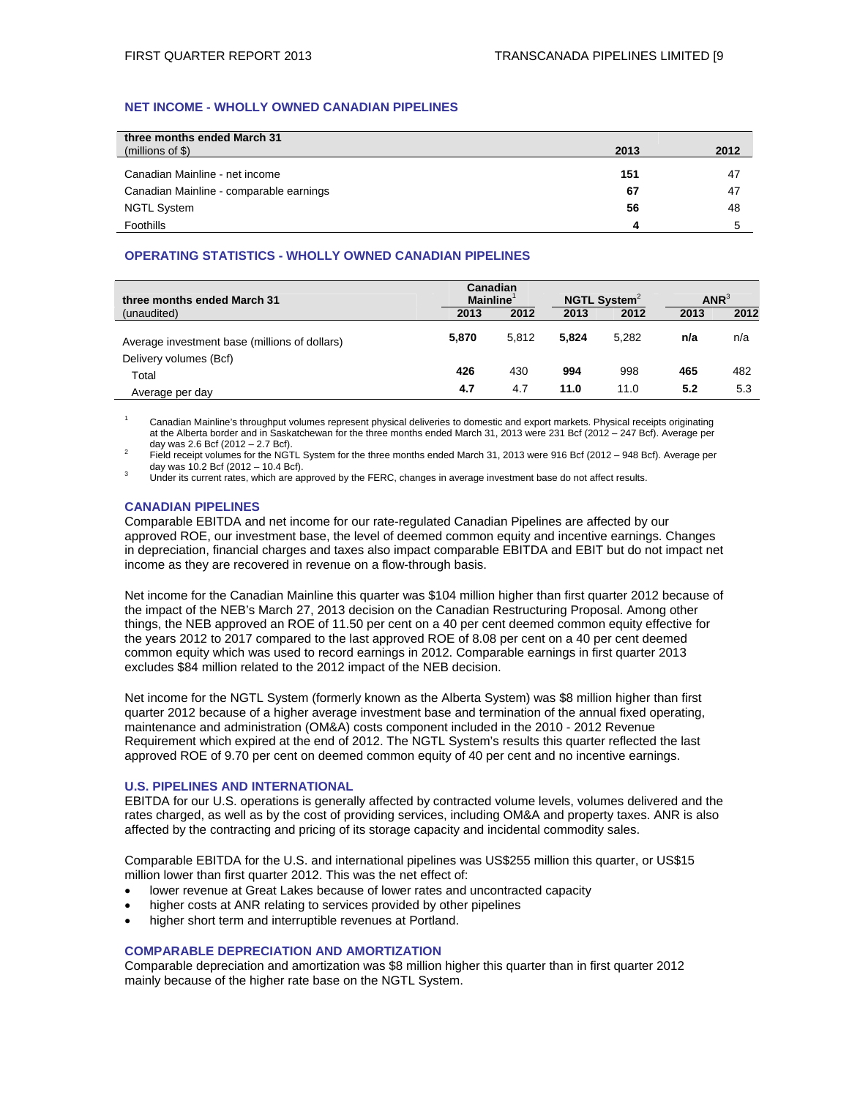# **NET INCOME - WHOLLY OWNED CANADIAN PIPELINES**

| three months ended March 31             |      |      |
|-----------------------------------------|------|------|
| $(millions of $)$                       | 2013 | 2012 |
|                                         |      |      |
| Canadian Mainline - net income          | 151  | 47   |
| Canadian Mainline - comparable earnings | 67   | 47   |
| <b>NGTL System</b>                      | 56   | 48   |
| Foothills                               |      |      |

### **OPERATING STATISTICS - WHOLLY OWNED CANADIAN PIPELINES**

| three months ended March 31                                             | Canadian<br><b>Mainline</b> |       |       | NGTL System <sup>2</sup> | ANR <sup>3</sup> |      |
|-------------------------------------------------------------------------|-----------------------------|-------|-------|--------------------------|------------------|------|
| (unaudited)                                                             | 2013                        | 2012  | 2013  | 2012                     | 2013             | 2012 |
| Average investment base (millions of dollars)<br>Delivery volumes (Bcf) | 5.870                       | 5.812 | 5.824 | 5.282                    | n/a              | n/a  |
| Total                                                                   | 426                         | 430   | 994   | 998                      | 465              | 482  |
| Average per day                                                         | 4.7                         | 4.7   | 11.0  | 11.0                     | 5.2              | 5.3  |

1 Canadian Mainline's throughput volumes represent physical deliveries to domestic and export markets. Physical receipts originating at the Alberta border and in Saskatchewan for the three months ended March 31, 2013 were 231 Bcf (2012 – 247 Bcf). Average per day was  $2.6$  Bcf  $(2012 - 2.7$  Bcf $)$ .

 Field receipt volumes for the NGTL System for the three months ended March 31, 2013 were 916 Bcf (2012 – 948 Bcf). Average per day was 10.2 Bcf  $(2012 - 10.4 \text{ Bcf})$ .

Under its current rates, which are approved by the FERC, changes in average investment base do not affect results.

## **CANADIAN PIPELINES**

Comparable EBITDA and net income for our rate-regulated Canadian Pipelines are affected by our approved ROE, our investment base, the level of deemed common equity and incentive earnings. Changes in depreciation, financial charges and taxes also impact comparable EBITDA and EBIT but do not impact net income as they are recovered in revenue on a flow-through basis.

Net income for the Canadian Mainline this quarter was \$104 million higher than first quarter 2012 because of the impact of the NEB's March 27, 2013 decision on the Canadian Restructuring Proposal. Among other things, the NEB approved an ROE of 11.50 per cent on a 40 per cent deemed common equity effective for the years 2012 to 2017 compared to the last approved ROE of 8.08 per cent on a 40 per cent deemed common equity which was used to record earnings in 2012. Comparable earnings in first quarter 2013 excludes \$84 million related to the 2012 impact of the NEB decision.

Net income for the NGTL System (formerly known as the Alberta System) was \$8 million higher than first quarter 2012 because of a higher average investment base and termination of the annual fixed operating, maintenance and administration (OM&A) costs component included in the 2010 - 2012 Revenue Requirement which expired at the end of 2012. The NGTL System's results this quarter reflected the last approved ROE of 9.70 per cent on deemed common equity of 40 per cent and no incentive earnings.

#### **U.S. PIPELINES AND INTERNATIONAL**

EBITDA for our U.S. operations is generally affected by contracted volume levels, volumes delivered and the rates charged, as well as by the cost of providing services, including OM&A and property taxes. ANR is also affected by the contracting and pricing of its storage capacity and incidental commodity sales.

Comparable EBITDA for the U.S. and international pipelines was US\$255 million this quarter, or US\$15 million lower than first quarter 2012. This was the net effect of:

- lower revenue at Great Lakes because of lower rates and uncontracted capacity
- higher costs at ANR relating to services provided by other pipelines
- higher short term and interruptible revenues at Portland.

#### **COMPARABLE DEPRECIATION AND AMORTIZATION**

Comparable depreciation and amortization was \$8 million higher this quarter than in first quarter 2012 mainly because of the higher rate base on the NGTL System.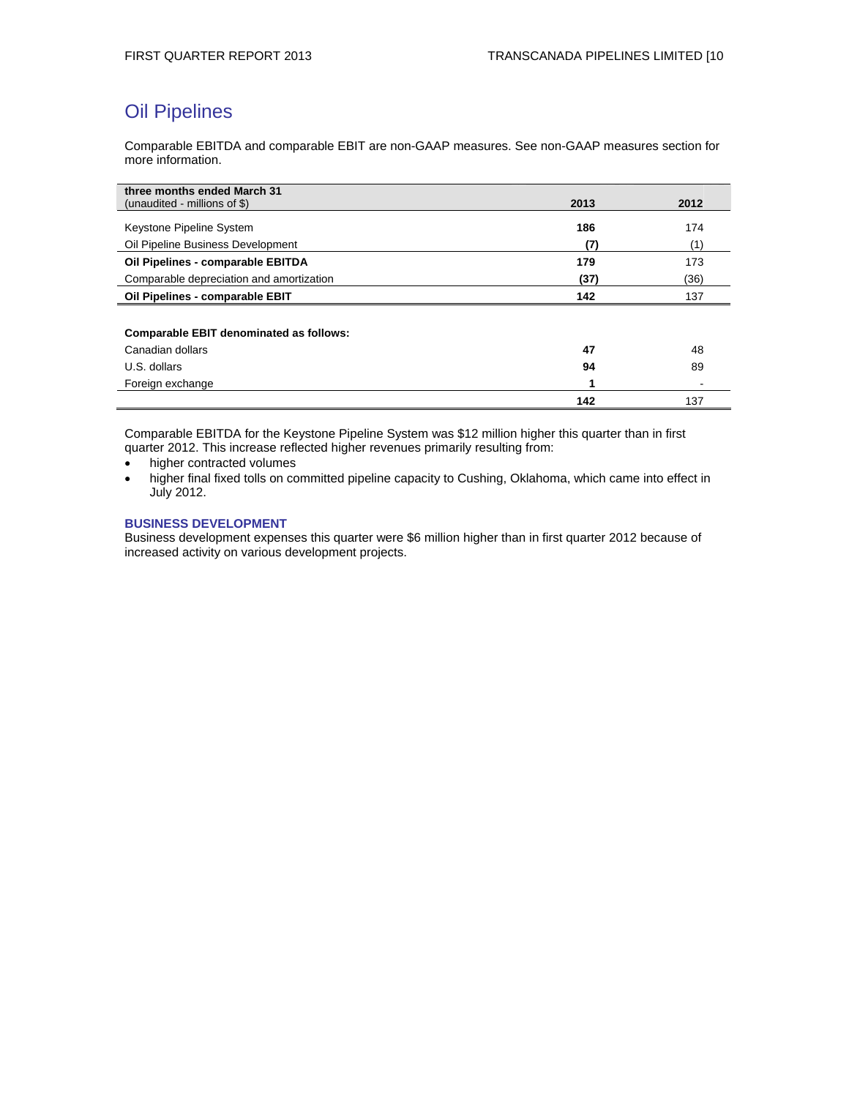# Oil Pipelines

Comparable EBITDA and comparable EBIT are non-GAAP measures. See non-GAAP measures section for more information.

| three months ended March 31                    |      |      |
|------------------------------------------------|------|------|
| (unaudited - millions of \$)                   | 2013 | 2012 |
| Keystone Pipeline System                       | 186  | 174  |
| Oil Pipeline Business Development              | (7)  | (1)  |
| Oil Pipelines - comparable EBITDA              | 179  | 173  |
| Comparable depreciation and amortization       | (37) | (36) |
| Oil Pipelines - comparable EBIT                | 142  | 137  |
|                                                |      |      |
| <b>Comparable EBIT denominated as follows:</b> |      |      |
| Canadian dollars                               | 47   | 48   |
| U.S. dollars                                   | 94   | 89   |
| Foreign exchange                               |      |      |
|                                                | 142  | 137  |

Comparable EBITDA for the Keystone Pipeline System was \$12 million higher this quarter than in first quarter 2012. This increase reflected higher revenues primarily resulting from:

- higher contracted volumes
- higher final fixed tolls on committed pipeline capacity to Cushing, Oklahoma, which came into effect in July 2012.

#### **BUSINESS DEVELOPMENT**

Business development expenses this quarter were \$6 million higher than in first quarter 2012 because of increased activity on various development projects.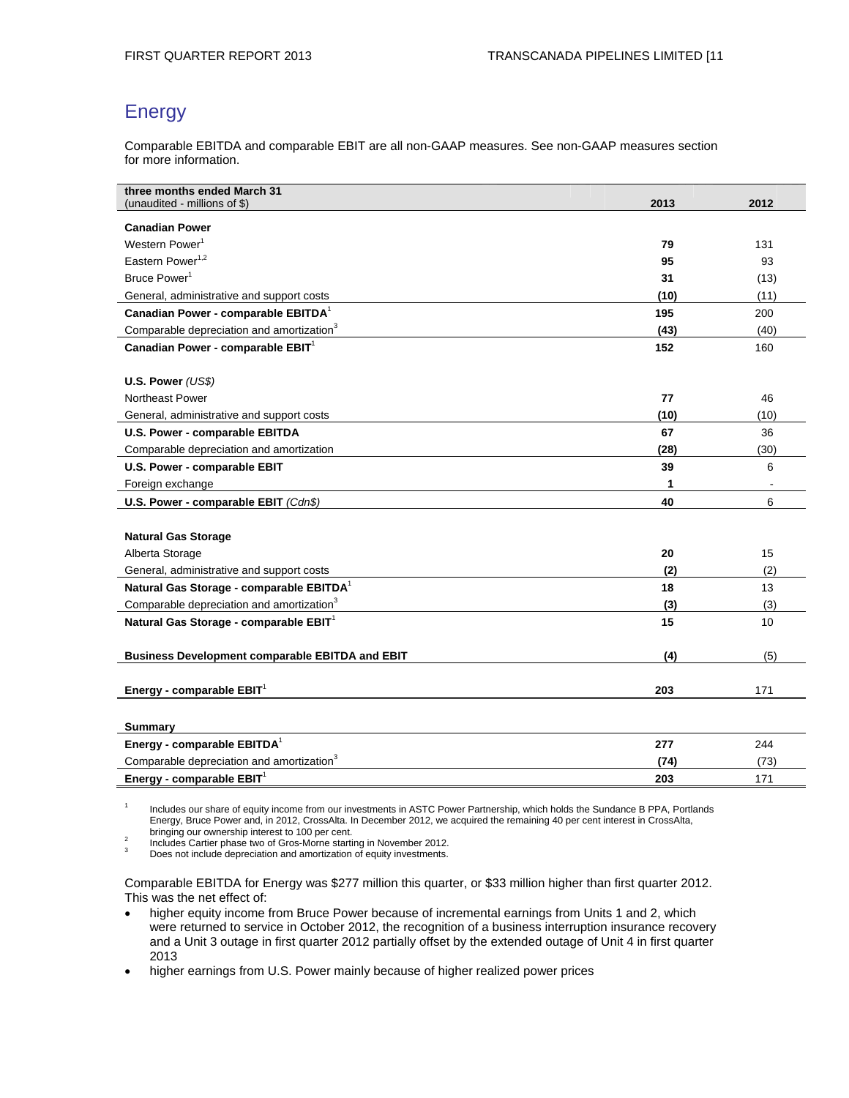# **Energy**

Comparable EBITDA and comparable EBIT are all non-GAAP measures. See non-GAAP measures section for more information.

| three months ended March 31<br>(unaudited - millions of \$) | 2013 | 2012           |
|-------------------------------------------------------------|------|----------------|
| <b>Canadian Power</b>                                       |      |                |
| Western Power <sup>1</sup>                                  | 79   | 131            |
| Eastern Power <sup>1,2</sup>                                | 95   | 93             |
| Bruce Power <sup>1</sup>                                    | 31   | (13)           |
| General, administrative and support costs                   | (10) | (11)           |
| Canadian Power - comparable EBITDA <sup>1</sup>             | 195  | 200            |
| Comparable depreciation and amortization <sup>3</sup>       | (43) | (40)           |
| Canadian Power - comparable EBIT <sup>1</sup>               | 152  | 160            |
|                                                             |      |                |
| U.S. Power $(US$)$                                          |      |                |
| Northeast Power                                             | 77   | 46             |
| General, administrative and support costs                   | (10) | (10)           |
| U.S. Power - comparable EBITDA                              | 67   | 36             |
| Comparable depreciation and amortization                    | (28) | (30)           |
| U.S. Power - comparable EBIT                                | 39   | 6              |
| Foreign exchange                                            | 1    | $\blacksquare$ |
| U.S. Power - comparable EBIT (Cdn\$)                        | 40   | 6              |
|                                                             |      |                |
| <b>Natural Gas Storage</b>                                  |      |                |
| Alberta Storage                                             | 20   | 15             |
| General, administrative and support costs                   | (2)  | (2)            |
| Natural Gas Storage - comparable EBITDA <sup>1</sup>        | 18   | 13             |
| Comparable depreciation and amortization <sup>3</sup>       | (3)  | (3)            |
| Natural Gas Storage - comparable EBIT <sup>1</sup>          | 15   | 10             |
| <b>Business Development comparable EBITDA and EBIT</b>      | (4)  | (5)            |
| Energy - comparable $EBIT1$                                 | 203  | 171            |
|                                                             |      |                |
| <b>Summary</b>                                              |      |                |
| Energy - comparable $EBITDA1$                               | 277  | 244            |
| Comparable depreciation and amortization <sup>3</sup>       | (74) | (73)           |
| Energy - comparable $EBIT1$                                 | 203  | 171            |

1 Includes our share of equity income from our investments in ASTC Power Partnership, which holds the Sundance B PPA, Portlands Energy, Bruce Power and, in 2012, CrossAlta. In December 2012, we acquired the remaining 40 per cent interest in CrossAlta, bringing our ownership interest to 100 per cent.

<sup>2</sup><br>Includes Cartier phase two of Gros-Morne starting in November 2012.<br><sup>3</sup> Does not include depresiation and americation of gaulty investments.

Does not include depreciation and amortization of equity investments.

Comparable EBITDA for Energy was \$277 million this quarter, or \$33 million higher than first quarter 2012. This was the net effect of:

• higher equity income from Bruce Power because of incremental earnings from Units 1 and 2, which were returned to service in October 2012, the recognition of a business interruption insurance recovery and a Unit 3 outage in first quarter 2012 partially offset by the extended outage of Unit 4 in first quarter 2013

• higher earnings from U.S. Power mainly because of higher realized power prices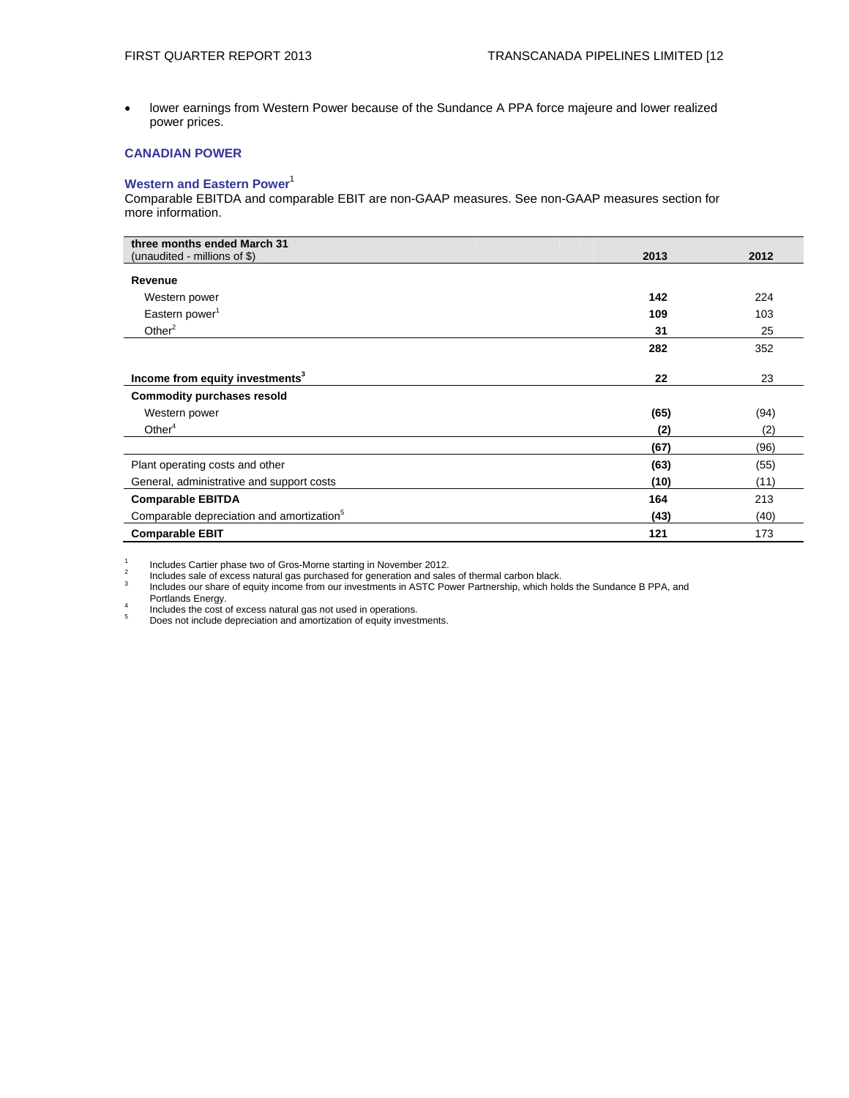• lower earnings from Western Power because of the Sundance A PPA force majeure and lower realized power prices.

# **CANADIAN POWER**

# **Western and Eastern Power**<sup>1</sup>

Comparable EBITDA and comparable EBIT are non-GAAP measures. See non-GAAP measures section for more information.

| three months ended March 31                           |      |      |
|-------------------------------------------------------|------|------|
| (unaudited - millions of \$)                          | 2013 | 2012 |
| Revenue                                               |      |      |
| Western power                                         | 142  | 224  |
| Eastern power <sup>1</sup>                            | 109  | 103  |
| Other $2$                                             | 31   | 25   |
|                                                       | 282  | 352  |
|                                                       |      |      |
| Income from equity investments <sup>3</sup>           | 22   | 23   |
| <b>Commodity purchases resold</b>                     |      |      |
| Western power                                         | (65) | (94) |
| Other $4$                                             | (2)  | (2)  |
|                                                       | (67) | (96) |
| Plant operating costs and other                       | (63) | (55) |
| General, administrative and support costs             | (10) | (11) |
| <b>Comparable EBITDA</b>                              | 164  | 213  |
| Comparable depreciation and amortization <sup>5</sup> | (43) | (40) |
| <b>Comparable EBIT</b>                                | 121  | 173  |

1

<sup>1</sup> Includes Cartier phase two of Gros-Morne starting in November 2012.<br><sup>2</sup> Includes sale of excess natural gas purchased for generation and sales of thermal carbon black.

 $^{\prime}$  Includes sale of excess natural gas purchased for generation and sales of thermal carbon black.<br><sup>3</sup> Includes our share of equity income from our investments in ASTC Power Partnership, which holds the Sundance B PPA

**Portlands Energy.** 

 $1<sup>4</sup>$  Includes the cost of excess natural gas not used in operations.<br>
Does not include depreciation and amortization of equity investments.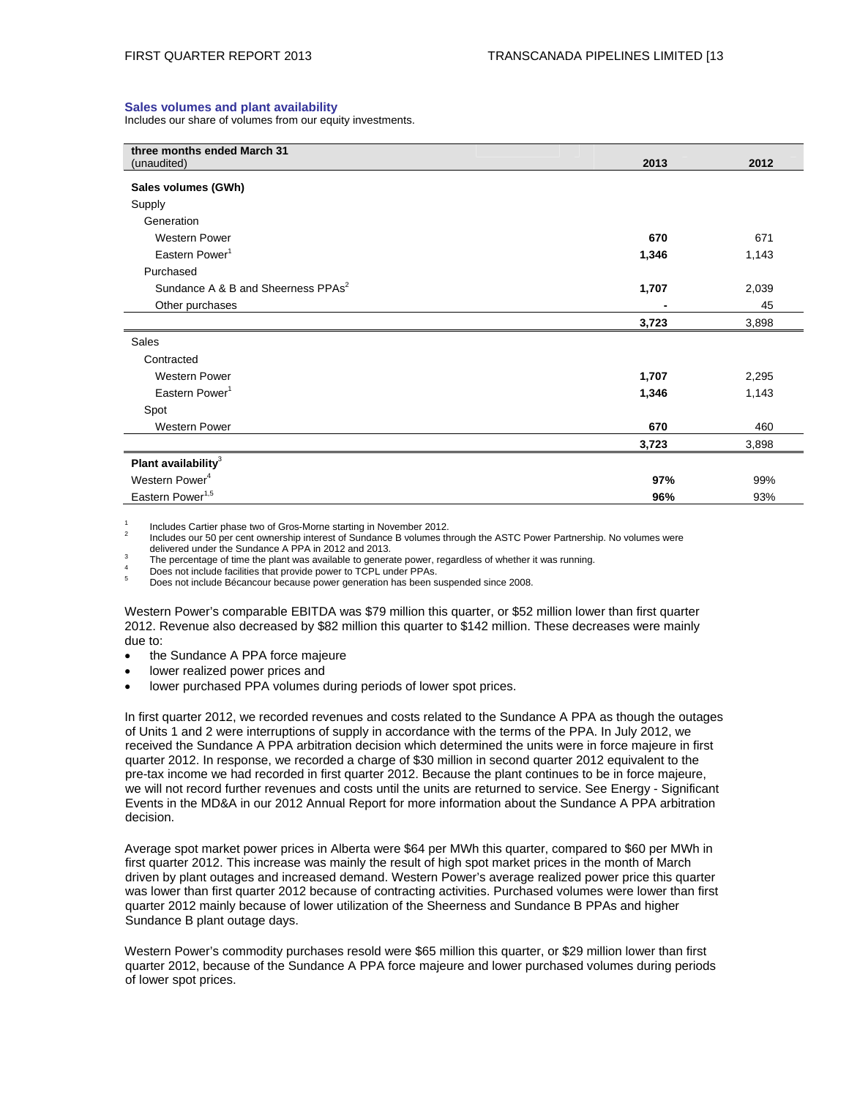#### **Sales volumes and plant availability**

Includes our share of volumes from our equity investments.

| three months ended March 31                    |       |       |
|------------------------------------------------|-------|-------|
| (unaudited)                                    | 2013  | 2012  |
| Sales volumes (GWh)                            |       |       |
| Supply                                         |       |       |
| Generation                                     |       |       |
| <b>Western Power</b>                           | 670   | 671   |
| Eastern Power <sup>1</sup>                     | 1,346 | 1,143 |
| Purchased                                      |       |       |
| Sundance A & B and Sheerness PPAs <sup>2</sup> | 1,707 | 2,039 |
| Other purchases                                |       | 45    |
|                                                | 3,723 | 3,898 |
| Sales                                          |       |       |
| Contracted                                     |       |       |
| <b>Western Power</b>                           | 1,707 | 2,295 |
| Eastern Power <sup>1</sup>                     | 1,346 | 1,143 |
| Spot                                           |       |       |
| <b>Western Power</b>                           | 670   | 460   |
|                                                | 3,723 | 3,898 |
| Plant availability <sup>3</sup>                |       |       |
| Western Power <sup>4</sup>                     | 97%   | 99%   |
| Eastern Power <sup>1,5</sup>                   | 96%   | 93%   |

1  $\frac{1}{2}$  Includes Cartier phase two of Gros-Morne starting in November 2012.

Includes our 50 per cent ownership interest of Sundance B volumes through the ASTC Power Partnership. No volumes were

delivered under the Sundance A PPA in 2012 and 2013.

The percentage of time the plant was available to generate power, regardless of whether it was running.

Does not include facilities that provide power to TCPL under PPAs.

5 Does not include Bécancour because power generation has been suspended since 2008.

Western Power's comparable EBITDA was \$79 million this quarter, or \$52 million lower than first quarter 2012. Revenue also decreased by \$82 million this quarter to \$142 million. These decreases were mainly due to:

- the Sundance A PPA force majeure
- lower realized power prices and
- lower purchased PPA volumes during periods of lower spot prices.

In first quarter 2012, we recorded revenues and costs related to the Sundance A PPA as though the outages of Units 1 and 2 were interruptions of supply in accordance with the terms of the PPA. In July 2012, we received the Sundance A PPA arbitration decision which determined the units were in force majeure in first quarter 2012. In response, we recorded a charge of \$30 million in second quarter 2012 equivalent to the pre-tax income we had recorded in first quarter 2012. Because the plant continues to be in force majeure, we will not record further revenues and costs until the units are returned to service. See Energy - Significant Events in the MD&A in our 2012 Annual Report for more information about the Sundance A PPA arbitration decision.

Average spot market power prices in Alberta were \$64 per MWh this quarter, compared to \$60 per MWh in first quarter 2012. This increase was mainly the result of high spot market prices in the month of March driven by plant outages and increased demand. Western Power's average realized power price this quarter was lower than first quarter 2012 because of contracting activities. Purchased volumes were lower than first quarter 2012 mainly because of lower utilization of the Sheerness and Sundance B PPAs and higher Sundance B plant outage days.

Western Power's commodity purchases resold were \$65 million this quarter, or \$29 million lower than first quarter 2012, because of the Sundance A PPA force majeure and lower purchased volumes during periods of lower spot prices.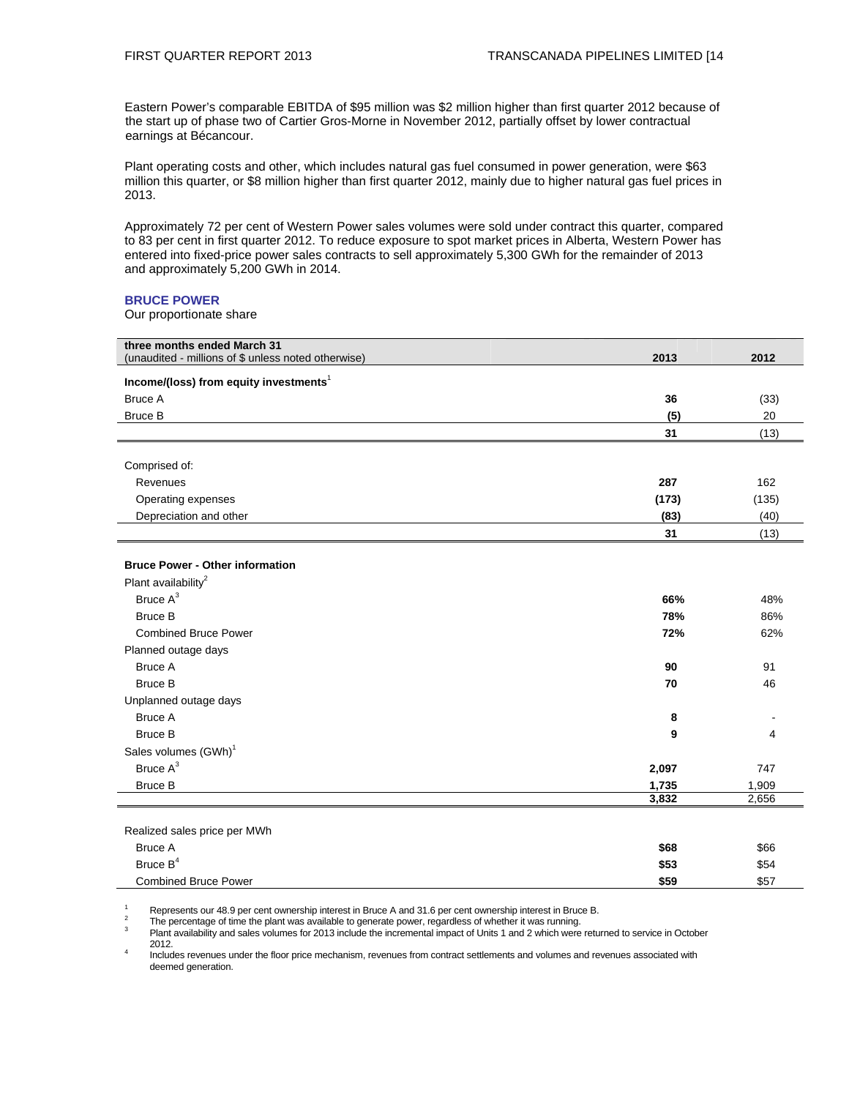Eastern Power's comparable EBITDA of \$95 million was \$2 million higher than first quarter 2012 because of the start up of phase two of Cartier Gros-Morne in November 2012, partially offset by lower contractual earnings at Bécancour.

Plant operating costs and other, which includes natural gas fuel consumed in power generation, were \$63 million this quarter, or \$8 million higher than first quarter 2012, mainly due to higher natural gas fuel prices in 2013.

Approximately 72 per cent of Western Power sales volumes were sold under contract this quarter, compared to 83 per cent in first quarter 2012. To reduce exposure to spot market prices in Alberta, Western Power has entered into fixed-price power sales contracts to sell approximately 5,300 GWh for the remainder of 2013 and approximately 5,200 GWh in 2014.

#### **BRUCE POWER**

Our proportionate share

| three months ended March 31                         |       |       |
|-----------------------------------------------------|-------|-------|
| (unaudited - millions of \$ unless noted otherwise) | 2013  | 2012  |
| Income/(loss) from equity investments <sup>1</sup>  |       |       |
| <b>Bruce A</b>                                      | 36    | (33)  |
| <b>Bruce B</b>                                      | (5)   | 20    |
|                                                     | 31    | (13)  |
|                                                     |       |       |
| Comprised of:                                       |       |       |
| Revenues                                            | 287   | 162   |
| Operating expenses                                  | (173) | (135) |
| Depreciation and other                              | (83)  | (40)  |
|                                                     | 31    | (13)  |
| <b>Bruce Power - Other information</b>              |       |       |
|                                                     |       |       |
| Plant availability <sup>2</sup><br>Bruce $A^3$      |       |       |
|                                                     | 66%   | 48%   |
| <b>Bruce B</b>                                      | 78%   | 86%   |
| <b>Combined Bruce Power</b>                         | 72%   | 62%   |
| Planned outage days                                 |       |       |
| <b>Bruce A</b>                                      | 90    | 91    |
| <b>Bruce B</b>                                      | 70    | 46    |
| Unplanned outage days                               |       |       |
| <b>Bruce A</b>                                      | 8     |       |
| <b>Bruce B</b>                                      | 9     | 4     |
| Sales volumes (GWh) <sup>1</sup>                    |       |       |
| Bruce A <sup>3</sup>                                | 2,097 | 747   |
| <b>Bruce B</b>                                      | 1,735 | 1,909 |
|                                                     | 3,832 | 2,656 |
|                                                     |       |       |
| Realized sales price per MWh                        |       |       |
| <b>Bruce A</b><br>Bruce $B4$                        | \$68  | \$66  |
|                                                     | \$53  | \$54  |
| <b>Combined Bruce Power</b>                         | \$59  | \$57  |

1 Represents our 48.9 per cent ownership interest in Bruce A and 31.6 per cent ownership interest in Bruce B.

The percentage of time the plant was available to generate power, regardless of whether it was running.<br><sup>3</sup> Plant availability and salso valumes for 2012 include the incremental impact of Unite 1 and 2 which were

 Plant availability and sales volumes for 2013 include the incremental impact of Units 1 and 2 which were returned to service in October  $2012.$ 

 Includes revenues under the floor price mechanism, revenues from contract settlements and volumes and revenues associated with deemed generation.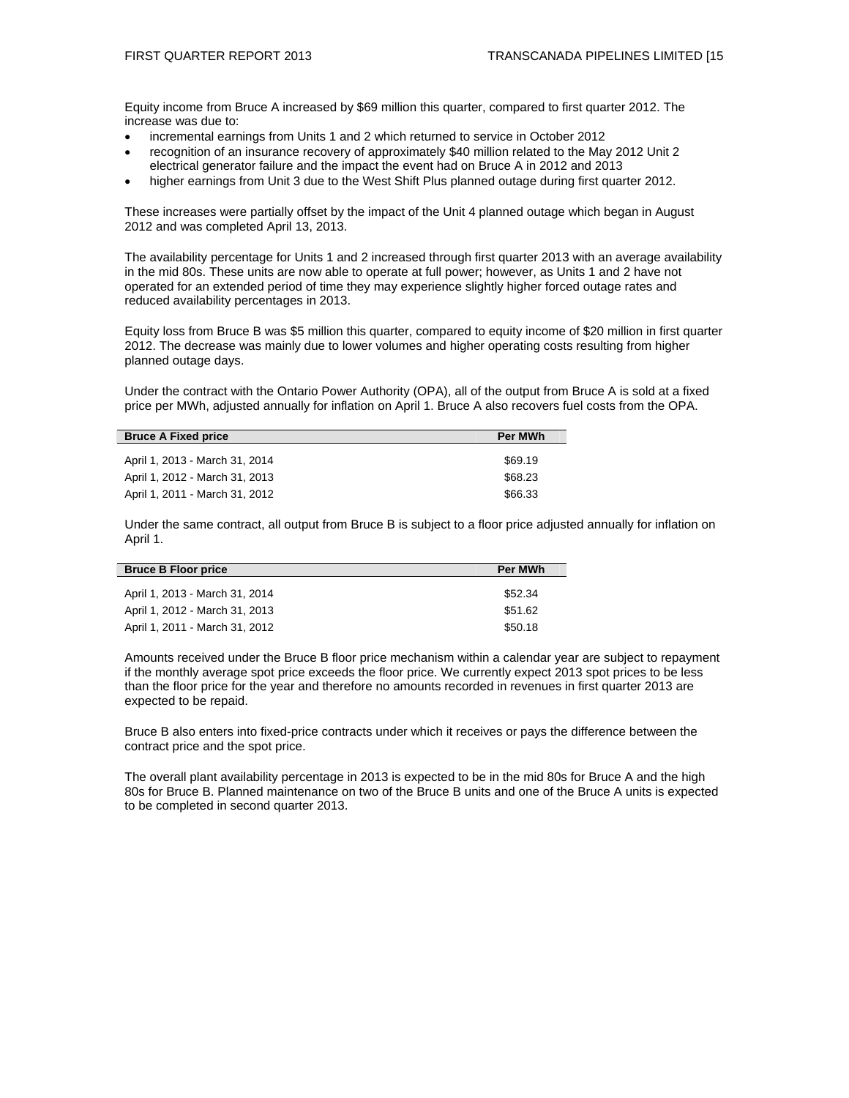Equity income from Bruce A increased by \$69 million this quarter, compared to first quarter 2012. The increase was due to:

- incremental earnings from Units 1 and 2 which returned to service in October 2012
- recognition of an insurance recovery of approximately \$40 million related to the May 2012 Unit 2 electrical generator failure and the impact the event had on Bruce A in 2012 and 2013
- higher earnings from Unit 3 due to the West Shift Plus planned outage during first quarter 2012.

These increases were partially offset by the impact of the Unit 4 planned outage which began in August 2012 and was completed April 13, 2013.

The availability percentage for Units 1 and 2 increased through first quarter 2013 with an average availability in the mid 80s. These units are now able to operate at full power; however, as Units 1 and 2 have not operated for an extended period of time they may experience slightly higher forced outage rates and reduced availability percentages in 2013.

Equity loss from Bruce B was \$5 million this quarter, compared to equity income of \$20 million in first quarter 2012. The decrease was mainly due to lower volumes and higher operating costs resulting from higher planned outage days.

Under the contract with the Ontario Power Authority (OPA), all of the output from Bruce A is sold at a fixed price per MWh, adjusted annually for inflation on April 1. Bruce A also recovers fuel costs from the OPA.

| <b>Bruce A Fixed price</b>     | Per MWh |
|--------------------------------|---------|
| April 1, 2013 - March 31, 2014 | \$69.19 |
|                                |         |
| April 1, 2012 - March 31, 2013 | \$68.23 |
| April 1, 2011 - March 31, 2012 | \$66.33 |

Under the same contract, all output from Bruce B is subject to a floor price adjusted annually for inflation on April 1.

| <b>Bruce B Floor price</b>     | Per MWh |
|--------------------------------|---------|
| April 1, 2013 - March 31, 2014 | \$52.34 |
| April 1, 2012 - March 31, 2013 | \$51.62 |
| April 1, 2011 - March 31, 2012 | \$50.18 |

Amounts received under the Bruce B floor price mechanism within a calendar year are subject to repayment if the monthly average spot price exceeds the floor price. We currently expect 2013 spot prices to be less than the floor price for the year and therefore no amounts recorded in revenues in first quarter 2013 are expected to be repaid.

Bruce B also enters into fixed-price contracts under which it receives or pays the difference between the contract price and the spot price.

The overall plant availability percentage in 2013 is expected to be in the mid 80s for Bruce A and the high 80s for Bruce B. Planned maintenance on two of the Bruce B units and one of the Bruce A units is expected to be completed in second quarter 2013.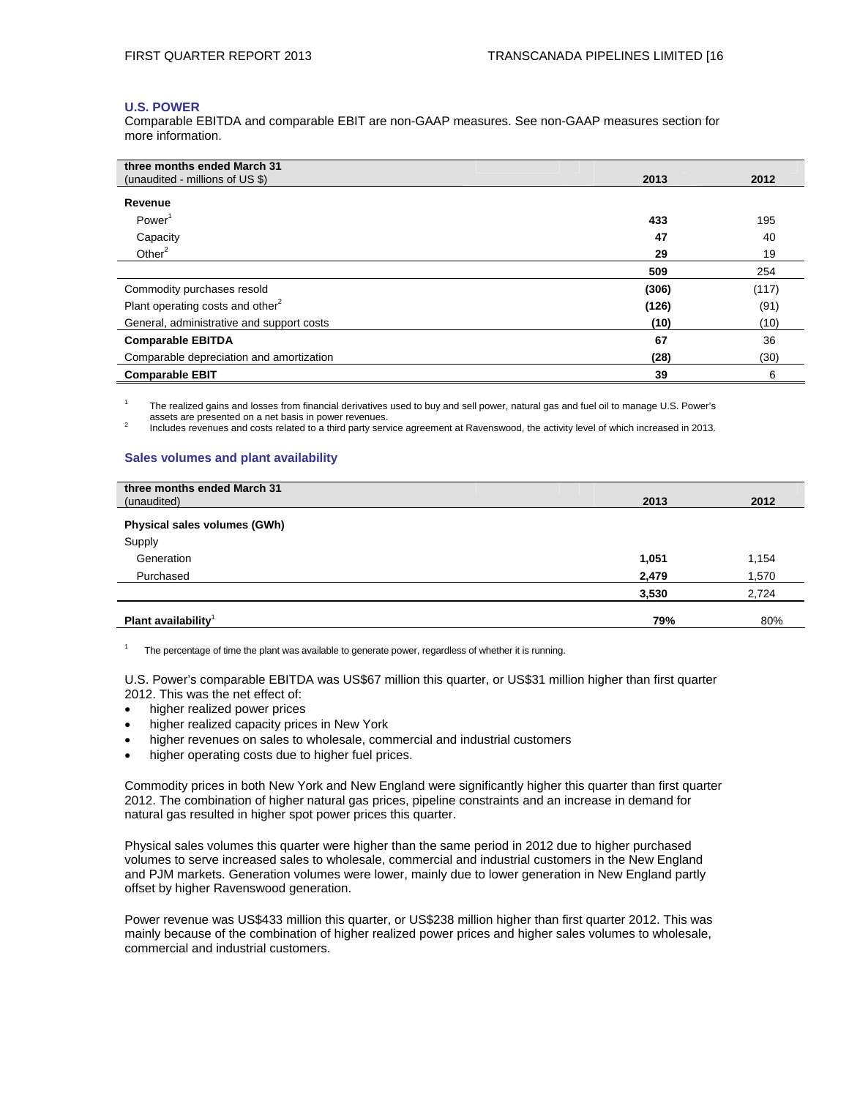#### **U.S. POWER**

Comparable EBITDA and comparable EBIT are non-GAAP measures. See non-GAAP measures section for more information.

| three months ended March 31<br>(unaudited - millions of US \$) | 2013  | 2012  |
|----------------------------------------------------------------|-------|-------|
| Revenue                                                        |       |       |
| Power <sup>1</sup>                                             | 433   | 195   |
| Capacity                                                       | 47    | 40    |
| Other $2$                                                      | 29    | 19    |
|                                                                | 509   | 254   |
| Commodity purchases resold                                     | (306) | (117) |
| Plant operating costs and other <sup>2</sup>                   | (126) | (91)  |
| General, administrative and support costs                      | (10)  | (10)  |
| <b>Comparable EBITDA</b>                                       | 67    | 36    |
| Comparable depreciation and amortization                       | (28)  | (30)  |
| <b>Comparable EBIT</b>                                         | 39    | 6     |

1 The realized gains and losses from financial derivatives used to buy and sell power, natural gas and fuel oil to manage U.S. Power's assets are presented on a net basis in power revenues.

Includes revenues and costs related to a third party service agreement at Ravenswood, the activity level of which increased in 2013.

#### **Sales volumes and plant availability**

| three months ended March 31<br>(unaudited) | 2013  | 2012  |
|--------------------------------------------|-------|-------|
| Physical sales volumes (GWh)               |       |       |
| Supply                                     |       |       |
| Generation                                 | 1,051 | 1,154 |
| Purchased                                  | 2,479 | 1,570 |
|                                            | 3,530 | 2,724 |
| Plant availability <sup>1</sup>            | 79%   | 80%   |

1 The percentage of time the plant was available to generate power, regardless of whether it is running.

U.S. Power's comparable EBITDA was US\$67 million this quarter, or US\$31 million higher than first quarter 2012. This was the net effect of:

- higher realized power prices
- higher realized capacity prices in New York
- higher revenues on sales to wholesale, commercial and industrial customers
- higher operating costs due to higher fuel prices.

Commodity prices in both New York and New England were significantly higher this quarter than first quarter 2012. The combination of higher natural gas prices, pipeline constraints and an increase in demand for natural gas resulted in higher spot power prices this quarter.

Physical sales volumes this quarter were higher than the same period in 2012 due to higher purchased volumes to serve increased sales to wholesale, commercial and industrial customers in the New England and PJM markets. Generation volumes were lower, mainly due to lower generation in New England partly offset by higher Ravenswood generation.

Power revenue was US\$433 million this quarter, or US\$238 million higher than first quarter 2012. This was mainly because of the combination of higher realized power prices and higher sales volumes to wholesale, commercial and industrial customers.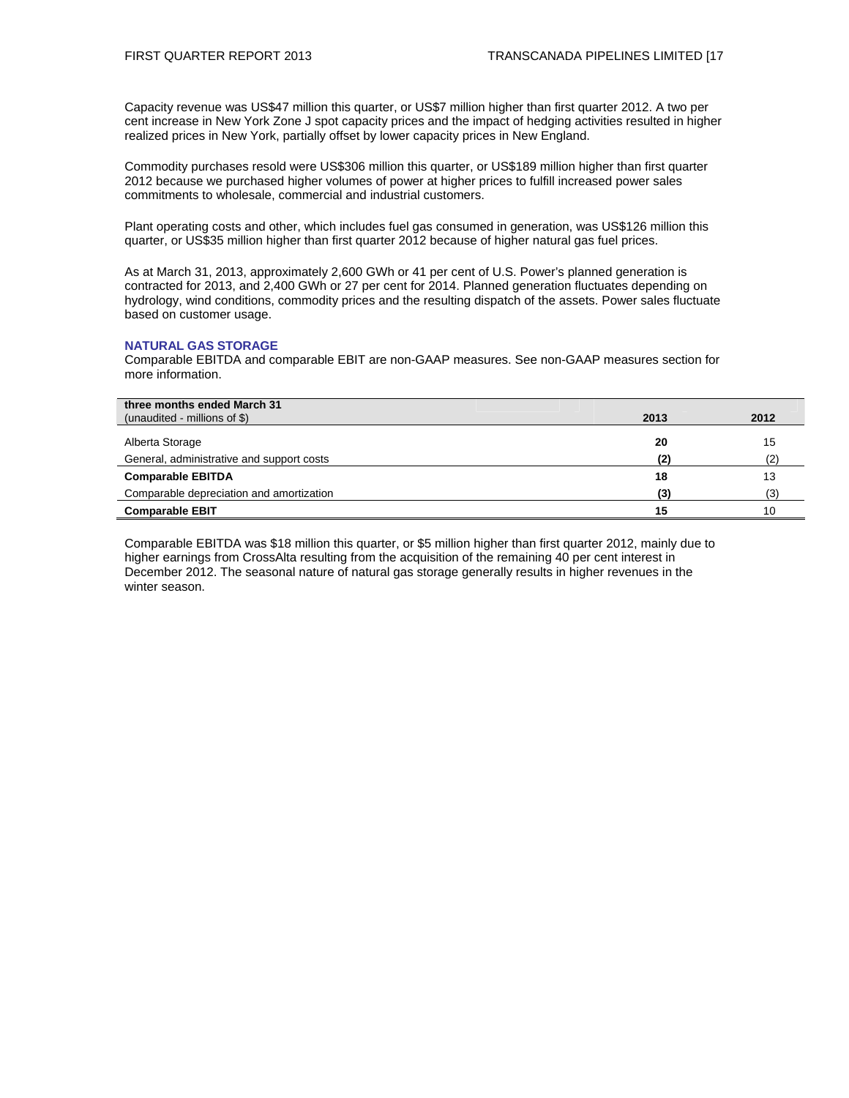Capacity revenue was US\$47 million this quarter, or US\$7 million higher than first quarter 2012. A two per cent increase in New York Zone J spot capacity prices and the impact of hedging activities resulted in higher realized prices in New York, partially offset by lower capacity prices in New England.

Commodity purchases resold were US\$306 million this quarter, or US\$189 million higher than first quarter 2012 because we purchased higher volumes of power at higher prices to fulfill increased power sales commitments to wholesale, commercial and industrial customers.

Plant operating costs and other, which includes fuel gas consumed in generation, was US\$126 million this quarter, or US\$35 million higher than first quarter 2012 because of higher natural gas fuel prices.

As at March 31, 2013, approximately 2,600 GWh or 41 per cent of U.S. Power's planned generation is contracted for 2013, and 2,400 GWh or 27 per cent for 2014. Planned generation fluctuates depending on hydrology, wind conditions, commodity prices and the resulting dispatch of the assets. Power sales fluctuate based on customer usage.

#### **NATURAL GAS STORAGE**

Comparable EBITDA and comparable EBIT are non-GAAP measures. See non-GAAP measures section for more information.

| three months ended March 31<br>(unaudited - millions of \$) | 2013 | 2012 |
|-------------------------------------------------------------|------|------|
| Alberta Storage                                             | 20   | 15   |
| General, administrative and support costs                   |      |      |
| <b>Comparable EBITDA</b>                                    | 18   | 13   |
| Comparable depreciation and amortization                    | (?)  |      |
| <b>Comparable EBIT</b>                                      | 15   | 10   |

Comparable EBITDA was \$18 million this quarter, or \$5 million higher than first quarter 2012, mainly due to higher earnings from CrossAlta resulting from the acquisition of the remaining 40 per cent interest in December 2012. The seasonal nature of natural gas storage generally results in higher revenues in the winter season.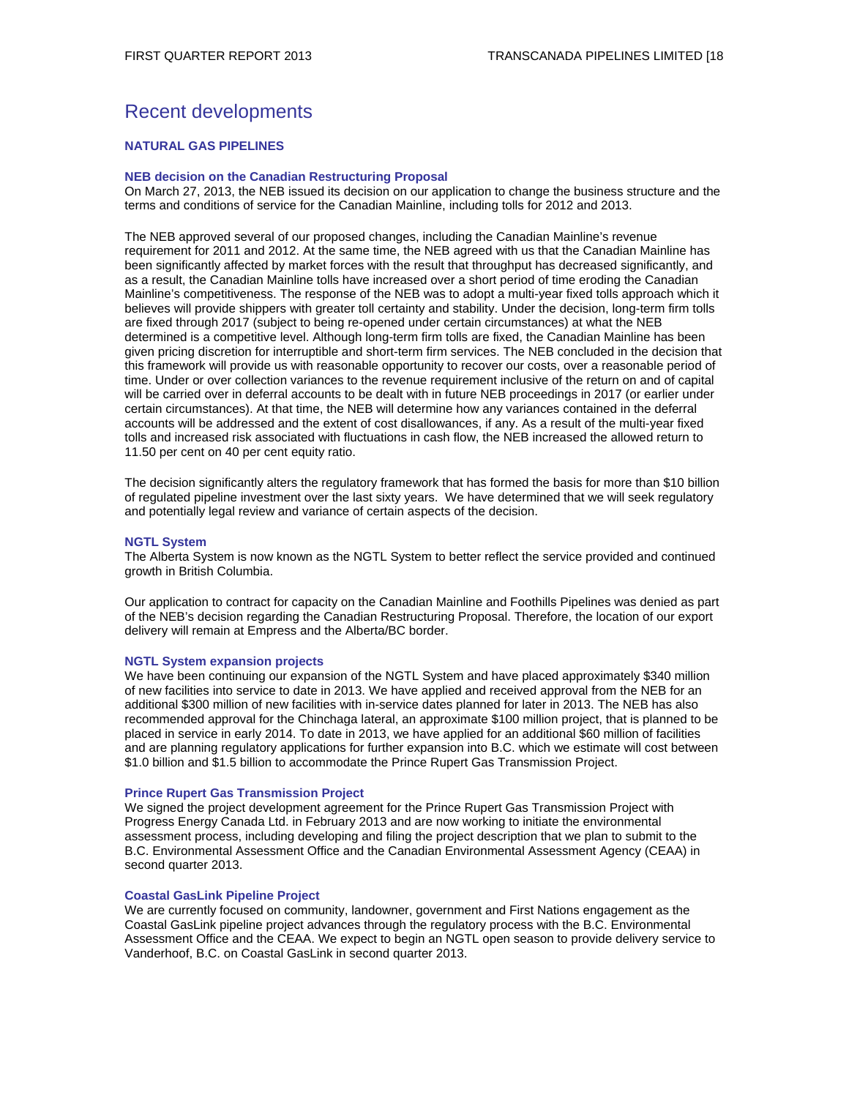# Recent developments

# **NATURAL GAS PIPELINES**

#### **NEB decision on the Canadian Restructuring Proposal**

On March 27, 2013, the NEB issued its decision on our application to change the business structure and the terms and conditions of service for the Canadian Mainline, including tolls for 2012 and 2013.

The NEB approved several of our proposed changes, including the Canadian Mainline's revenue requirement for 2011 and 2012. At the same time, the NEB agreed with us that the Canadian Mainline has been significantly affected by market forces with the result that throughput has decreased significantly, and as a result, the Canadian Mainline tolls have increased over a short period of time eroding the Canadian Mainline's competitiveness. The response of the NEB was to adopt a multi-year fixed tolls approach which it believes will provide shippers with greater toll certainty and stability. Under the decision, long-term firm tolls are fixed through 2017 (subject to being re-opened under certain circumstances) at what the NEB determined is a competitive level. Although long-term firm tolls are fixed, the Canadian Mainline has been given pricing discretion for interruptible and short-term firm services. The NEB concluded in the decision that this framework will provide us with reasonable opportunity to recover our costs, over a reasonable period of time. Under or over collection variances to the revenue requirement inclusive of the return on and of capital will be carried over in deferral accounts to be dealt with in future NEB proceedings in 2017 (or earlier under certain circumstances). At that time, the NEB will determine how any variances contained in the deferral accounts will be addressed and the extent of cost disallowances, if any. As a result of the multi-year fixed tolls and increased risk associated with fluctuations in cash flow, the NEB increased the allowed return to 11.50 per cent on 40 per cent equity ratio.

The decision significantly alters the regulatory framework that has formed the basis for more than \$10 billion of regulated pipeline investment over the last sixty years. We have determined that we will seek regulatory and potentially legal review and variance of certain aspects of the decision.

#### **NGTL System**

The Alberta System is now known as the NGTL System to better reflect the service provided and continued growth in British Columbia.

Our application to contract for capacity on the Canadian Mainline and Foothills Pipelines was denied as part of the NEB's decision regarding the Canadian Restructuring Proposal. Therefore, the location of our export delivery will remain at Empress and the Alberta/BC border.

#### **NGTL System expansion projects**

We have been continuing our expansion of the NGTL System and have placed approximately \$340 million of new facilities into service to date in 2013. We have applied and received approval from the NEB for an additional \$300 million of new facilities with in-service dates planned for later in 2013. The NEB has also recommended approval for the Chinchaga lateral, an approximate \$100 million project, that is planned to be placed in service in early 2014. To date in 2013, we have applied for an additional \$60 million of facilities and are planning regulatory applications for further expansion into B.C. which we estimate will cost between \$1.0 billion and \$1.5 billion to accommodate the Prince Rupert Gas Transmission Project.

#### **Prince Rupert Gas Transmission Project**

We signed the project development agreement for the Prince Rupert Gas Transmission Project with Progress Energy Canada Ltd. in February 2013 and are now working to initiate the environmental assessment process, including developing and filing the project description that we plan to submit to the B.C. Environmental Assessment Office and the Canadian Environmental Assessment Agency (CEAA) in second quarter 2013.

#### **Coastal GasLink Pipeline Project**

We are currently focused on community, landowner, government and First Nations engagement as the Coastal GasLink pipeline project advances through the regulatory process with the B.C. Environmental Assessment Office and the CEAA. We expect to begin an NGTL open season to provide delivery service to Vanderhoof, B.C. on Coastal GasLink in second quarter 2013.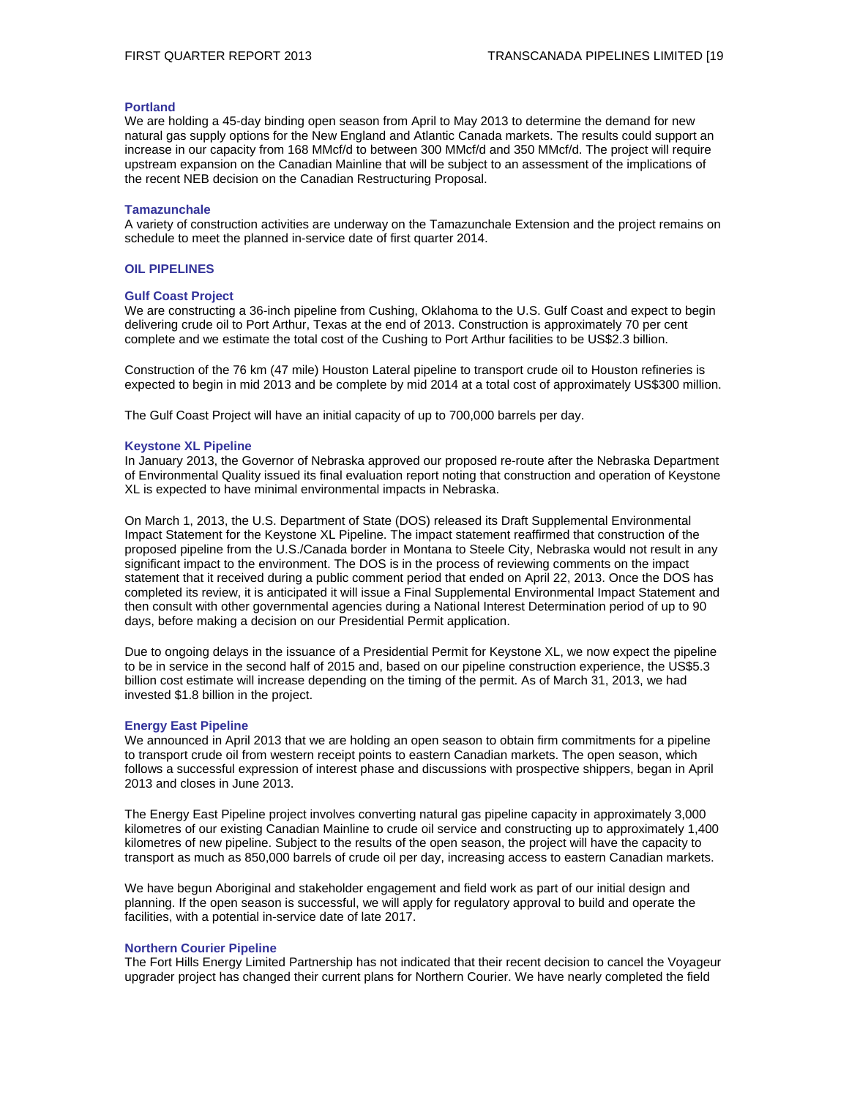# **Portland**

We are holding a 45-day binding open season from April to May 2013 to determine the demand for new natural gas supply options for the New England and Atlantic Canada markets. The results could support an increase in our capacity from 168 MMcf/d to between 300 MMcf/d and 350 MMcf/d. The project will require upstream expansion on the Canadian Mainline that will be subject to an assessment of the implications of the recent NEB decision on the Canadian Restructuring Proposal.

#### **Tamazunchale**

A variety of construction activities are underway on the Tamazunchale Extension and the project remains on schedule to meet the planned in-service date of first quarter 2014.

### **OIL PIPELINES**

#### **Gulf Coast Project**

We are constructing a 36-inch pipeline from Cushing, Oklahoma to the U.S. Gulf Coast and expect to begin delivering crude oil to Port Arthur, Texas at the end of 2013. Construction is approximately 70 per cent complete and we estimate the total cost of the Cushing to Port Arthur facilities to be US\$2.3 billion.

Construction of the 76 km (47 mile) Houston Lateral pipeline to transport crude oil to Houston refineries is expected to begin in mid 2013 and be complete by mid 2014 at a total cost of approximately US\$300 million.

The Gulf Coast Project will have an initial capacity of up to 700,000 barrels per day.

#### **Keystone XL Pipeline**

In January 2013, the Governor of Nebraska approved our proposed re-route after the Nebraska Department of Environmental Quality issued its final evaluation report noting that construction and operation of Keystone XL is expected to have minimal environmental impacts in Nebraska.

On March 1, 2013, the U.S. Department of State (DOS) released its Draft Supplemental Environmental Impact Statement for the Keystone XL Pipeline. The impact statement reaffirmed that construction of the proposed pipeline from the U.S./Canada border in Montana to Steele City, Nebraska would not result in any significant impact to the environment. The DOS is in the process of reviewing comments on the impact statement that it received during a public comment period that ended on April 22, 2013. Once the DOS has completed its review, it is anticipated it will issue a Final Supplemental Environmental Impact Statement and then consult with other governmental agencies during a National Interest Determination period of up to 90 days, before making a decision on our Presidential Permit application.

Due to ongoing delays in the issuance of a Presidential Permit for Keystone XL, we now expect the pipeline to be in service in the second half of 2015 and, based on our pipeline construction experience, the US\$5.3 billion cost estimate will increase depending on the timing of the permit. As of March 31, 2013, we had invested \$1.8 billion in the project.

#### **Energy East Pipeline**

We announced in April 2013 that we are holding an open season to obtain firm commitments for a pipeline to transport crude oil from western receipt points to eastern Canadian markets. The open season, which follows a successful expression of interest phase and discussions with prospective shippers, began in April 2013 and closes in June 2013.

The Energy East Pipeline project involves converting natural gas pipeline capacity in approximately 3,000 kilometres of our existing Canadian Mainline to crude oil service and constructing up to approximately 1,400 kilometres of new pipeline. Subject to the results of the open season, the project will have the capacity to transport as much as 850,000 barrels of crude oil per day, increasing access to eastern Canadian markets.

We have begun Aboriginal and stakeholder engagement and field work as part of our initial design and planning. If the open season is successful, we will apply for regulatory approval to build and operate the facilities, with a potential in-service date of late 2017.

#### **Northern Courier Pipeline**

The Fort Hills Energy Limited Partnership has not indicated that their recent decision to cancel the Voyageur upgrader project has changed their current plans for Northern Courier. We have nearly completed the field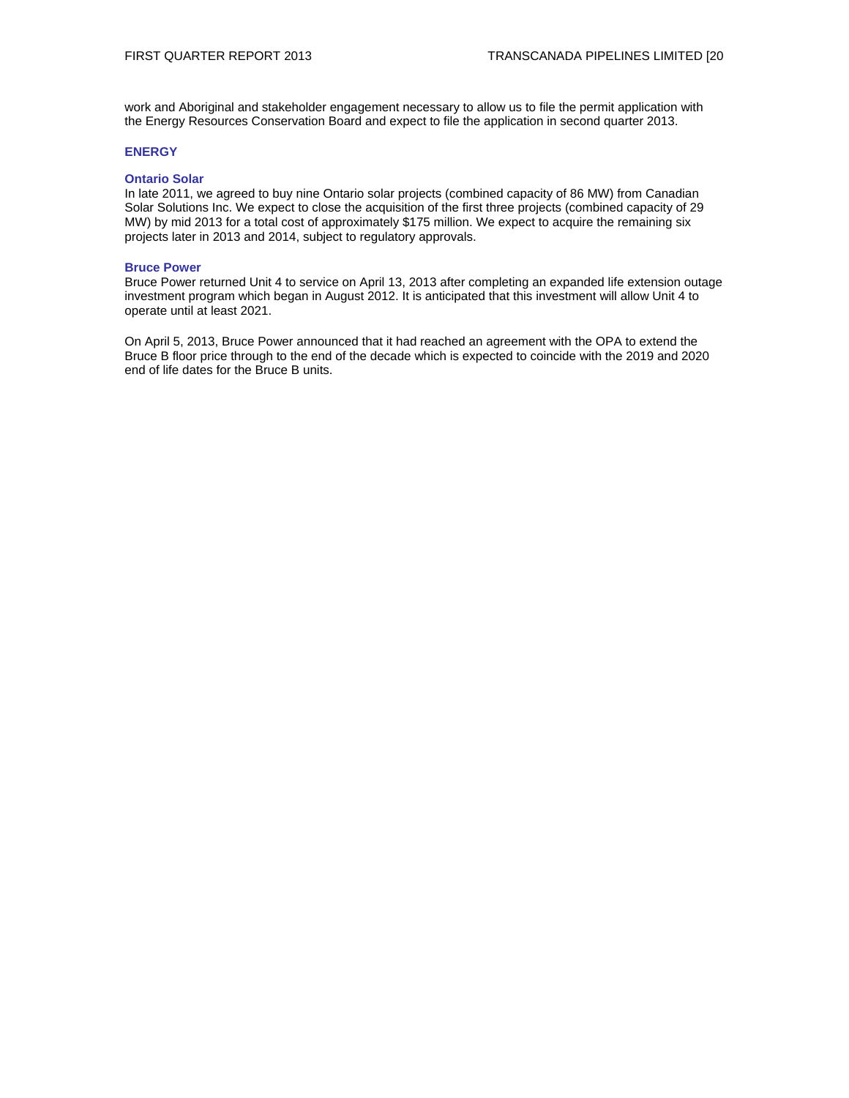work and Aboriginal and stakeholder engagement necessary to allow us to file the permit application with the Energy Resources Conservation Board and expect to file the application in second quarter 2013.

# **ENERGY**

#### **Ontario Solar**

In late 2011, we agreed to buy nine Ontario solar projects (combined capacity of 86 MW) from Canadian Solar Solutions Inc. We expect to close the acquisition of the first three projects (combined capacity of 29 MW) by mid 2013 for a total cost of approximately \$175 million. We expect to acquire the remaining six projects later in 2013 and 2014, subject to regulatory approvals.

#### **Bruce Power**

Bruce Power returned Unit 4 to service on April 13, 2013 after completing an expanded life extension outage investment program which began in August 2012. It is anticipated that this investment will allow Unit 4 to operate until at least 2021.

On April 5, 2013, Bruce Power announced that it had reached an agreement with the OPA to extend the Bruce B floor price through to the end of the decade which is expected to coincide with the 2019 and 2020 end of life dates for the Bruce B units.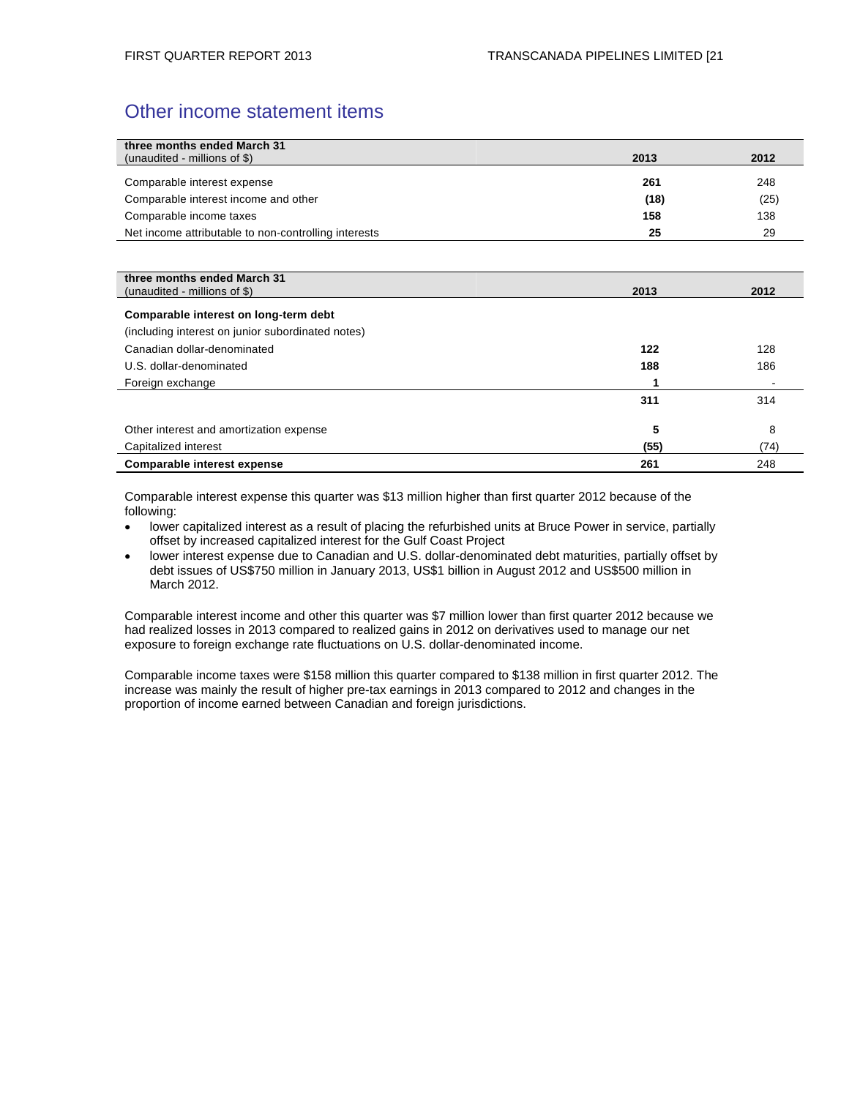# Other income statement items

| three months ended March 31<br>(unaudited - millions of \$) | 2013 | 2012 |
|-------------------------------------------------------------|------|------|
| Comparable interest expense                                 | 261  | 248  |
| Comparable interest income and other                        | (18) | (25) |
| Comparable income taxes                                     | 158  | 138  |
| Net income attributable to non-controlling interests        | 25   | 29   |
|                                                             |      |      |
| three months ended March 31                                 |      |      |
| (unaudited - millions of \$)                                | 2013 | 2012 |

| Comparable interest on long-term debt<br>(including interest on junior subordinated notes) |      |      |
|--------------------------------------------------------------------------------------------|------|------|
| Canadian dollar-denominated                                                                | 122  | 128  |
| U.S. dollar-denominated                                                                    | 188  | 186  |
| Foreign exchange                                                                           |      |      |
|                                                                                            | 311  | 314  |
| Other interest and amortization expense                                                    | 5    | 8    |
| Capitalized interest                                                                       | (55) | (74) |
| <b>Comparable interest expense</b>                                                         | 261  | 248  |

Comparable interest expense this quarter was \$13 million higher than first quarter 2012 because of the following:

- lower capitalized interest as a result of placing the refurbished units at Bruce Power in service, partially offset by increased capitalized interest for the Gulf Coast Project
- lower interest expense due to Canadian and U.S. dollar-denominated debt maturities, partially offset by debt issues of US\$750 million in January 2013, US\$1 billion in August 2012 and US\$500 million in March 2012.

Comparable interest income and other this quarter was \$7 million lower than first quarter 2012 because we had realized losses in 2013 compared to realized gains in 2012 on derivatives used to manage our net exposure to foreign exchange rate fluctuations on U.S. dollar-denominated income.

Comparable income taxes were \$158 million this quarter compared to \$138 million in first quarter 2012. The increase was mainly the result of higher pre-tax earnings in 2013 compared to 2012 and changes in the proportion of income earned between Canadian and foreign jurisdictions.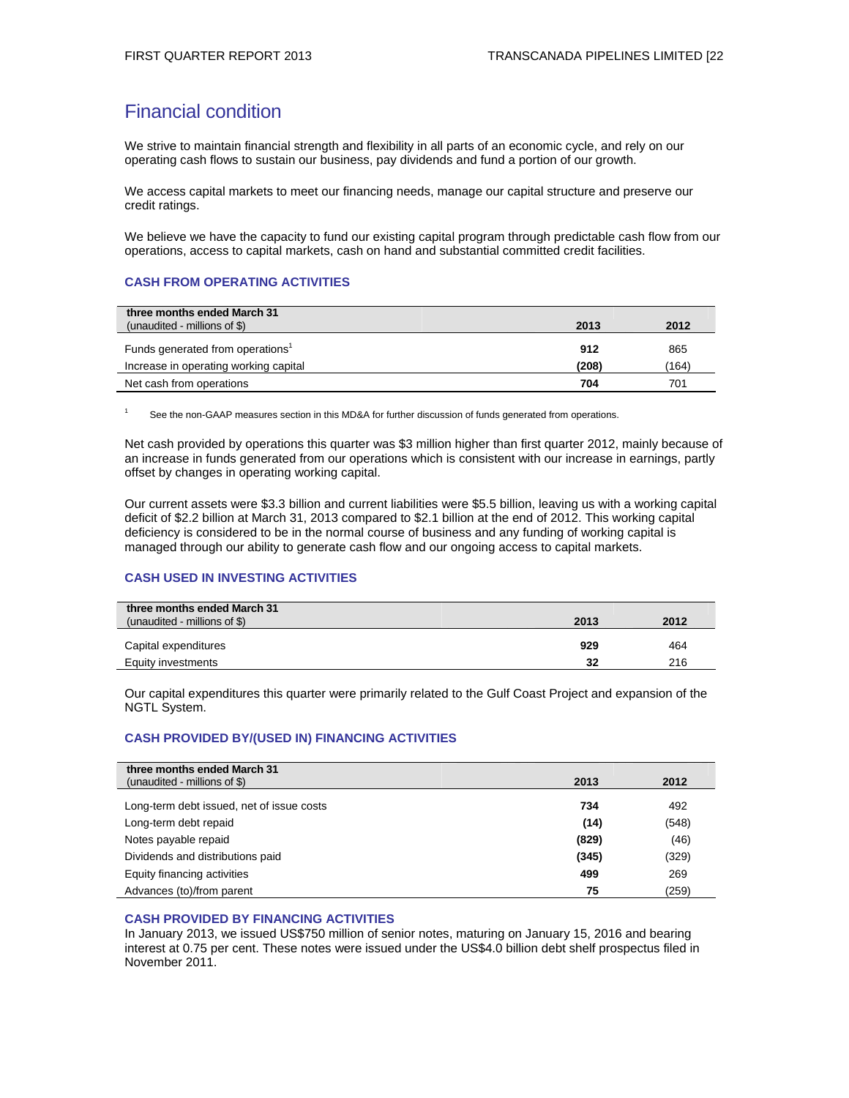# Financial condition

We strive to maintain financial strength and flexibility in all parts of an economic cycle, and rely on our operating cash flows to sustain our business, pay dividends and fund a portion of our growth.

We access capital markets to meet our financing needs, manage our capital structure and preserve our credit ratings.

We believe we have the capacity to fund our existing capital program through predictable cash flow from our operations, access to capital markets, cash on hand and substantial committed credit facilities.

## **CASH FROM OPERATING ACTIVITIES**

| three months ended March 31                  |       |      |
|----------------------------------------------|-------|------|
| (unaudited - millions of \$)                 | 2013  | 2012 |
|                                              |       |      |
| Funds generated from operations <sup>1</sup> | 912   | 865  |
| Increase in operating working capital        | (208) | (164 |
| Net cash from operations                     | 704   | 701  |

1 See the non-GAAP measures section in this MD&A for further discussion of funds generated from operations.

Net cash provided by operations this quarter was \$3 million higher than first quarter 2012, mainly because of an increase in funds generated from our operations which is consistent with our increase in earnings, partly offset by changes in operating working capital.

Our current assets were \$3.3 billion and current liabilities were \$5.5 billion, leaving us with a working capital deficit of \$2.2 billion at March 31, 2013 compared to \$2.1 billion at the end of 2012. This working capital deficiency is considered to be in the normal course of business and any funding of working capital is managed through our ability to generate cash flow and our ongoing access to capital markets.

#### **CASH USED IN INVESTING ACTIVITIES**

| three months ended March 31  |      |      |
|------------------------------|------|------|
| (unaudited - millions of \$) | 2013 | 2012 |
|                              |      |      |
| Capital expenditures         | 929  | 464  |
| Equity investments           | 32   | 216  |

Our capital expenditures this quarter were primarily related to the Gulf Coast Project and expansion of the NGTL System.

## **CASH PROVIDED BY/(USED IN) FINANCING ACTIVITIES**

| three months ended March 31               |       |       |
|-------------------------------------------|-------|-------|
| (unaudited - millions of \$)              | 2013  | 2012  |
| Long-term debt issued, net of issue costs | 734   | 492   |
| Long-term debt repaid                     | (14)  | (548) |
| Notes payable repaid                      | (829) | (46)  |
| Dividends and distributions paid          | (345) | (329) |
| Equity financing activities               | 499   | 269   |
| Advances (to)/from parent                 | 75    | (259) |

#### **CASH PROVIDED BY FINANCING ACTIVITIES**

In January 2013, we issued US\$750 million of senior notes, maturing on January 15, 2016 and bearing interest at 0.75 per cent. These notes were issued under the US\$4.0 billion debt shelf prospectus filed in November 2011.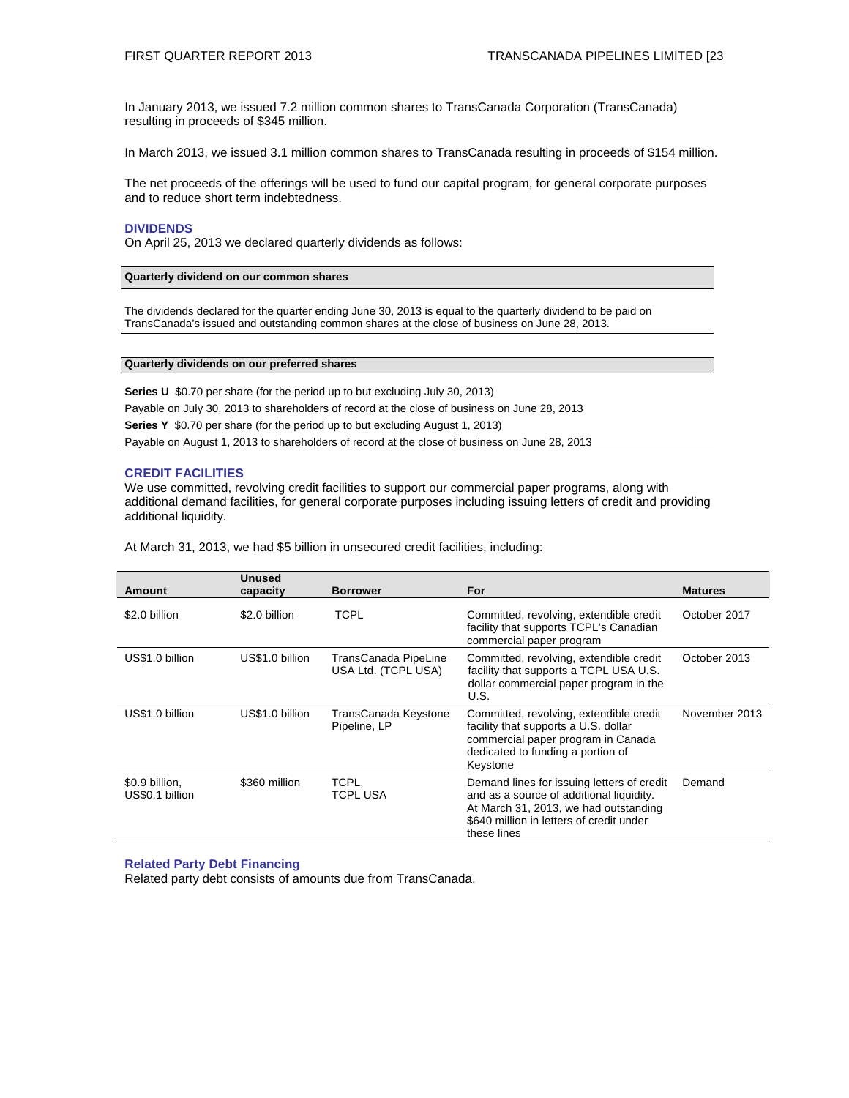In January 2013, we issued 7.2 million common shares to TransCanada Corporation (TransCanada) resulting in proceeds of \$345 million.

In March 2013, we issued 3.1 million common shares to TransCanada resulting in proceeds of \$154 million.

The net proceeds of the offerings will be used to fund our capital program, for general corporate purposes and to reduce short term indebtedness.

#### **DIVIDENDS**

On April 25, 2013 we declared quarterly dividends as follows:

#### **Quarterly dividend on our common shares**

The dividends declared for the quarter ending June 30, 2013 is equal to the quarterly dividend to be paid on TransCanada's issued and outstanding common shares at the close of business on June 28, 2013.

#### **Quarterly dividends on our preferred shares**

**Series U** \$0.70 per share (for the period up to but excluding July 30, 2013) Payable on July 30, 2013 to shareholders of record at the close of business on June 28, 2013 **Series Y** \$0.70 per share (for the period up to but excluding August 1, 2013) Payable on August 1, 2013 to shareholders of record at the close of business on June 28, 2013

#### **CREDIT FACILITIES**

We use committed, revolving credit facilities to support our commercial paper programs, along with additional demand facilities, for general corporate purposes including issuing letters of credit and providing additional liquidity.

| Amount                            | <b>Unused</b><br>capacity | <b>Borrower</b>                             | For                                                                                                                                                                                        | <b>Matures</b> |
|-----------------------------------|---------------------------|---------------------------------------------|--------------------------------------------------------------------------------------------------------------------------------------------------------------------------------------------|----------------|
| \$2.0 billion                     | \$2.0 billion             | <b>TCPL</b>                                 | Committed, revolving, extendible credit<br>facility that supports TCPL's Canadian<br>commercial paper program                                                                              | October 2017   |
| US\$1.0 billion                   | US\$1.0 billion           | TransCanada PipeLine<br>USA Ltd. (TCPL USA) | Committed, revolving, extendible credit<br>facility that supports a TCPL USA U.S.<br>dollar commercial paper program in the<br>U.S.                                                        | October 2013   |
| US\$1.0 billion                   | US\$1.0 billion           | TransCanada Keystone<br>Pipeline, LP        | Committed, revolving, extendible credit<br>facility that supports a U.S. dollar<br>commercial paper program in Canada<br>dedicated to funding a portion of<br>Keystone                     | November 2013  |
| \$0.9 billion.<br>US\$0.1 billion | \$360 million             | TCPL.<br><b>TCPL USA</b>                    | Demand lines for issuing letters of credit<br>and as a source of additional liquidity.<br>At March 31, 2013, we had outstanding<br>\$640 million in letters of credit under<br>these lines | Demand         |

At March 31, 2013, we had \$5 billion in unsecured credit facilities, including:

**Related Party Debt Financing** 

Related party debt consists of amounts due from TransCanada.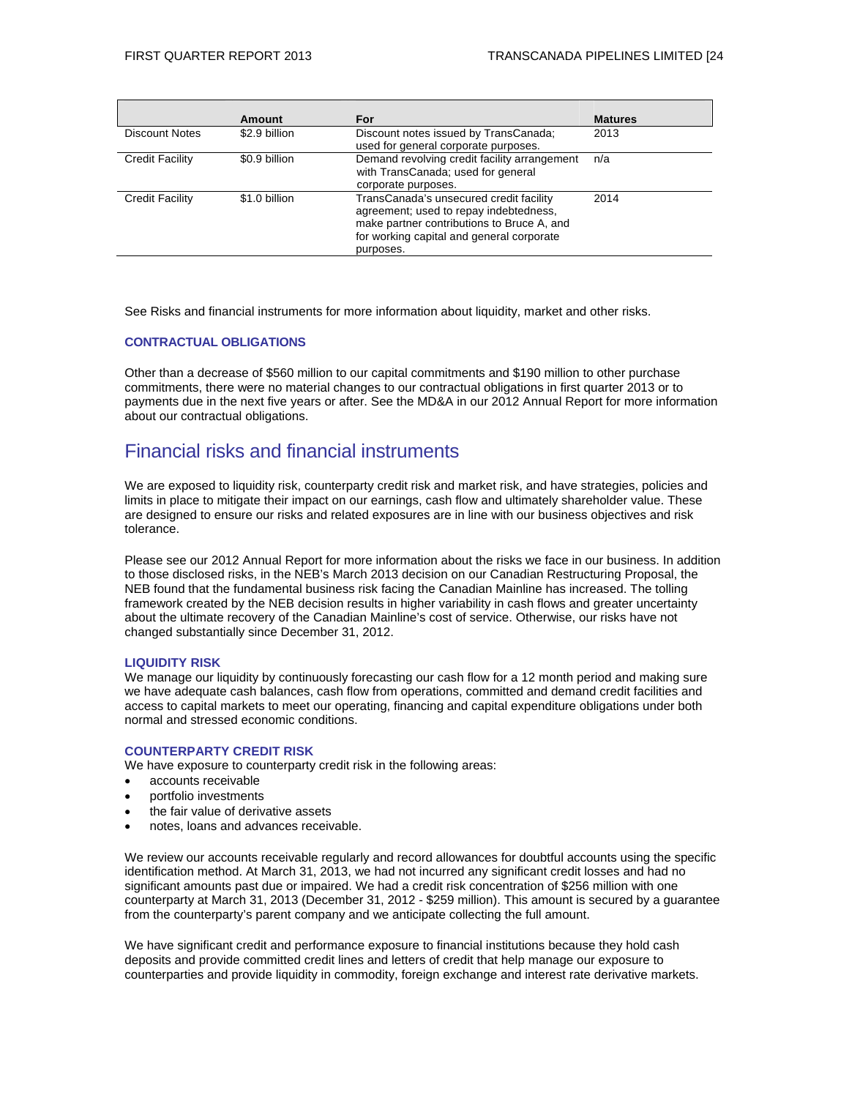|                        | Amount        | For                                                                                                                                                                                       | <b>Matures</b> |
|------------------------|---------------|-------------------------------------------------------------------------------------------------------------------------------------------------------------------------------------------|----------------|
| <b>Discount Notes</b>  | \$2.9 billion | Discount notes issued by TransCanada;<br>used for general corporate purposes.                                                                                                             | 2013           |
| <b>Credit Facility</b> | \$0.9 billion | Demand revolving credit facility arrangement<br>with TransCanada; used for general<br>corporate purposes.                                                                                 | n/a            |
| <b>Credit Facility</b> | \$1.0 billion | TransCanada's unsecured credit facility<br>agreement; used to repay indebtedness,<br>make partner contributions to Bruce A, and<br>for working capital and general corporate<br>purposes. | 2014           |

See Risks and financial instruments for more information about liquidity, market and other risks.

## **CONTRACTUAL OBLIGATIONS**

Other than a decrease of \$560 million to our capital commitments and \$190 million to other purchase commitments, there were no material changes to our contractual obligations in first quarter 2013 or to payments due in the next five years or after. See the MD&A in our 2012 Annual Report for more information about our contractual obligations.

# Financial risks and financial instruments

We are exposed to liquidity risk, counterparty credit risk and market risk, and have strategies, policies and limits in place to mitigate their impact on our earnings, cash flow and ultimately shareholder value. These are designed to ensure our risks and related exposures are in line with our business objectives and risk tolerance.

Please see our 2012 Annual Report for more information about the risks we face in our business. In addition to those disclosed risks, in the NEB's March 2013 decision on our Canadian Restructuring Proposal, the NEB found that the fundamental business risk facing the Canadian Mainline has increased. The tolling framework created by the NEB decision results in higher variability in cash flows and greater uncertainty about the ultimate recovery of the Canadian Mainline's cost of service. Otherwise, our risks have not changed substantially since December 31, 2012.

#### **LIQUIDITY RISK**

We manage our liquidity by continuously forecasting our cash flow for a 12 month period and making sure we have adequate cash balances, cash flow from operations, committed and demand credit facilities and access to capital markets to meet our operating, financing and capital expenditure obligations under both normal and stressed economic conditions.

#### **COUNTERPARTY CREDIT RISK**

We have exposure to counterparty credit risk in the following areas:

- accounts receivable
- portfolio investments
- the fair value of derivative assets
- notes, loans and advances receivable.

We review our accounts receivable regularly and record allowances for doubtful accounts using the specific identification method. At March 31, 2013, we had not incurred any significant credit losses and had no significant amounts past due or impaired. We had a credit risk concentration of \$256 million with one counterparty at March 31, 2013 (December 31, 2012 - \$259 million). This amount is secured by a guarantee from the counterparty's parent company and we anticipate collecting the full amount.

We have significant credit and performance exposure to financial institutions because they hold cash deposits and provide committed credit lines and letters of credit that help manage our exposure to counterparties and provide liquidity in commodity, foreign exchange and interest rate derivative markets.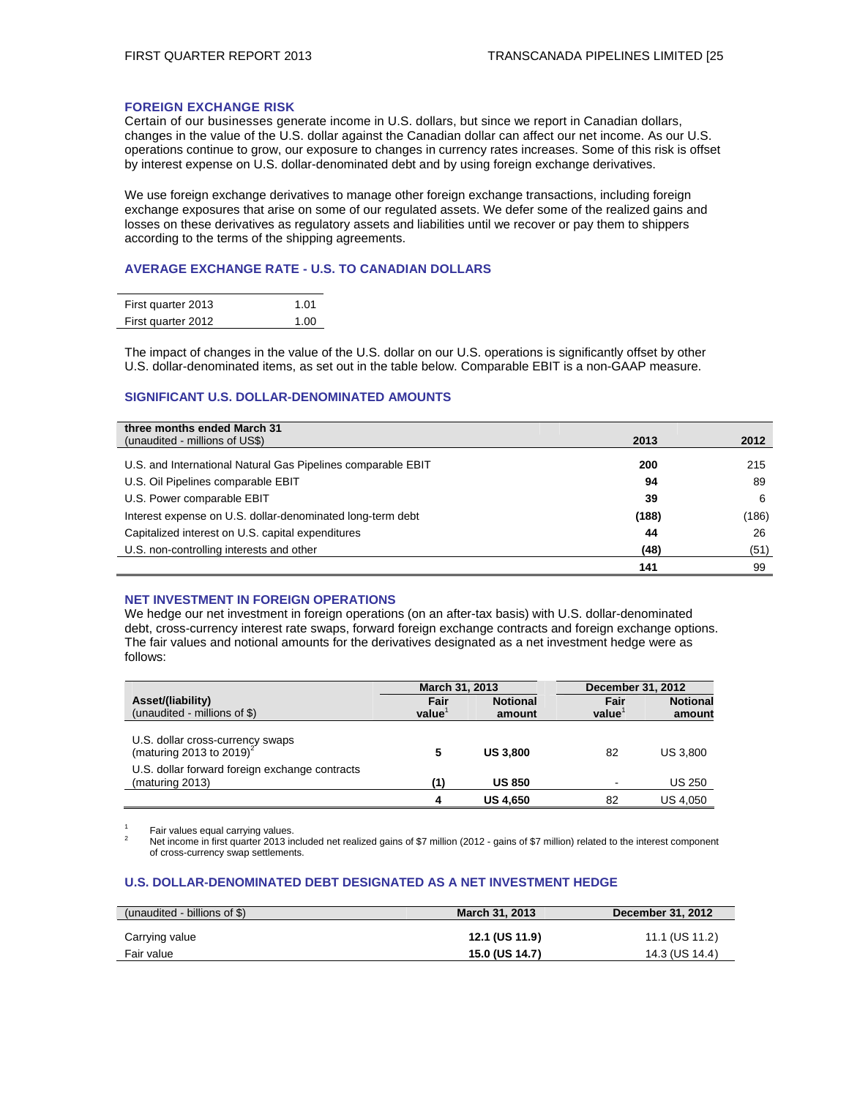## **FOREIGN EXCHANGE RISK**

Certain of our businesses generate income in U.S. dollars, but since we report in Canadian dollars, changes in the value of the U.S. dollar against the Canadian dollar can affect our net income. As our U.S. operations continue to grow, our exposure to changes in currency rates increases. Some of this risk is offset by interest expense on U.S. dollar-denominated debt and by using foreign exchange derivatives.

We use foreign exchange derivatives to manage other foreign exchange transactions, including foreign exchange exposures that arise on some of our regulated assets. We defer some of the realized gains and losses on these derivatives as regulatory assets and liabilities until we recover or pay them to shippers according to the terms of the shipping agreements.

### **AVERAGE EXCHANGE RATE - U.S. TO CANADIAN DOLLARS**

| First quarter 2013 | 1.01 |
|--------------------|------|
| First quarter 2012 | 1.00 |

The impact of changes in the value of the U.S. dollar on our U.S. operations is significantly offset by other U.S. dollar-denominated items, as set out in the table below. Comparable EBIT is a non-GAAP measure.

# **SIGNIFICANT U.S. DOLLAR-DENOMINATED AMOUNTS**

| three months ended March 31<br>(unaudited - millions of US\$) | 2013  | 2012  |
|---------------------------------------------------------------|-------|-------|
| U.S. and International Natural Gas Pipelines comparable EBIT  | 200   | 215   |
| U.S. Oil Pipelines comparable EBIT                            | 94    | 89    |
| U.S. Power comparable EBIT                                    | 39    | 6     |
| Interest expense on U.S. dollar-denominated long-term debt    | (188) | (186) |
| Capitalized interest on U.S. capital expenditures             | 44    | 26    |
| U.S. non-controlling interests and other                      | (48)  | (51)  |
|                                                               | 141   | 99    |

#### **NET INVESTMENT IN FOREIGN OPERATIONS**

We hedge our net investment in foreign operations (on an after-tax basis) with U.S. dollar-denominated debt, cross-currency interest rate swaps, forward foreign exchange contracts and foreign exchange options. The fair values and notional amounts for the derivatives designated as a net investment hedge were as follows:

|                                                                          | <b>March 31, 2013</b> |                           | <b>December 31, 2012</b>   |                           |  |
|--------------------------------------------------------------------------|-----------------------|---------------------------|----------------------------|---------------------------|--|
| Asset/(liability)<br>(unaudited - millions of \$)                        | Fair<br>value         | <b>Notional</b><br>amount | Fair<br>value <sup>1</sup> | <b>Notional</b><br>amount |  |
| U.S. dollar cross-currency swaps<br>(maturing 2013 to 2019) <sup>2</sup> | 5                     | <b>US 3,800</b>           | 82                         | <b>US 3.800</b>           |  |
| U.S. dollar forward foreign exchange contracts<br>(maturing 2013)        | (1)                   | <b>US 850</b>             |                            | <b>US 250</b>             |  |
|                                                                          | 4                     | <b>US 4.650</b>           | 82                         | US 4.050                  |  |

1 Fair values equal carrying values. 2

 Net income in first quarter 2013 included net realized gains of \$7 million (2012 - gains of \$7 million) related to the interest component of cross-currency swap settlements.

## **U.S. DOLLAR-DENOMINATED DEBT DESIGNATED AS A NET INVESTMENT HEDGE**

| (unaudited - billions of \$) | March 31, 2013 | December 31, 2012 |  |
|------------------------------|----------------|-------------------|--|
| Carrying value               | 12.1 (US 11.9) | 11.1 (US 11.2)    |  |
| Fair value                   | 15.0 (US 14.7) | 14.3 (US 14.4)    |  |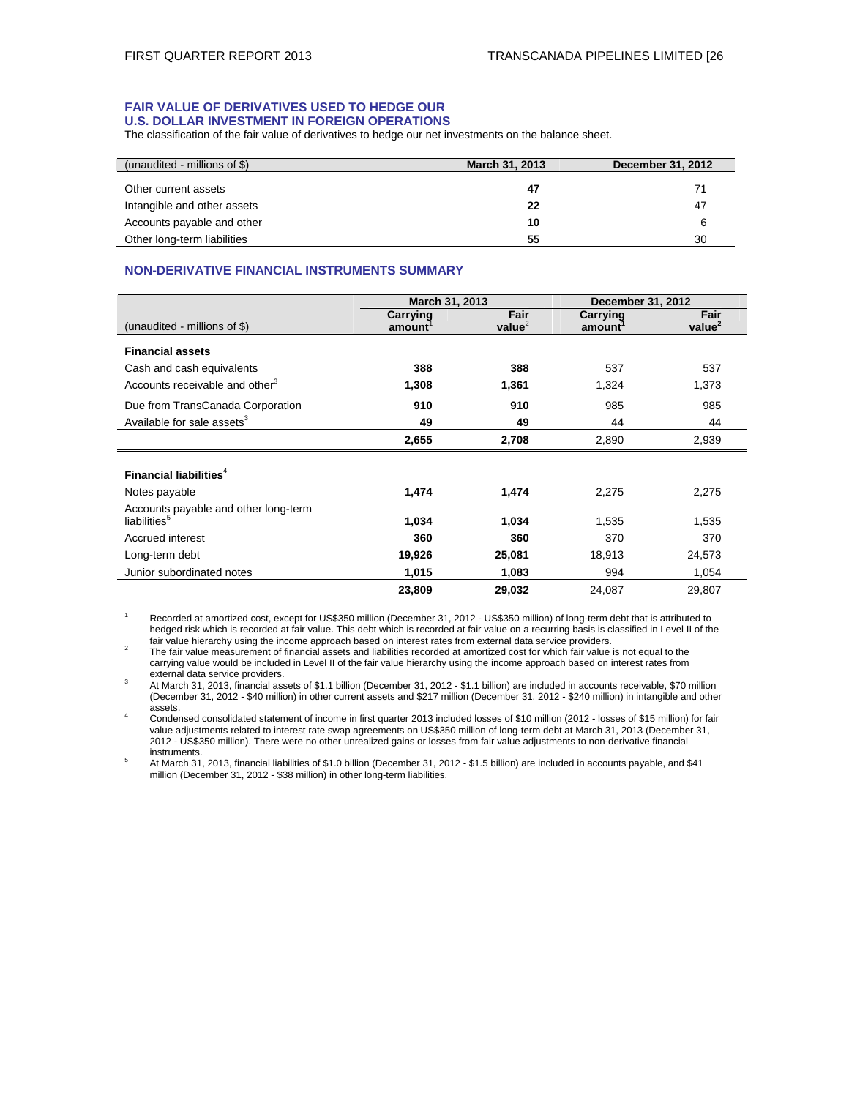# **FAIR VALUE OF DERIVATIVES USED TO HEDGE OUR**

## **U.S. DOLLAR INVESTMENT IN FOREIGN OPERATIONS**

The classification of the fair value of derivatives to hedge our net investments on the balance sheet.

| (unaudited - millions of \$) | <b>March 31, 2013</b> | December 31, 2012 |
|------------------------------|-----------------------|-------------------|
| Other current assets         | 47                    |                   |
| Intangible and other assets  | 22                    | 47                |
| Accounts payable and other   | 10                    |                   |
| Other long-term liabilities  | 55                    | 30                |

## **NON-DERIVATIVE FINANCIAL INSTRUMENTS SUMMARY**

|                                                                  |                                 | March 31, 2013           |                     | December 31, 2012          |  |
|------------------------------------------------------------------|---------------------------------|--------------------------|---------------------|----------------------------|--|
| (unaudited - millions of \$)                                     | Carrying<br>amount <sup>'</sup> | Fair<br>value $\epsilon$ | Carrying<br>amount' | Fair<br>value <sup>2</sup> |  |
| <b>Financial assets</b>                                          |                                 |                          |                     |                            |  |
| Cash and cash equivalents                                        | 388                             | 388                      | 537                 | 537                        |  |
| Accounts receivable and other <sup>3</sup>                       | 1,308                           | 1,361                    | 1,324               | 1,373                      |  |
| Due from TransCanada Corporation                                 | 910                             | 910                      | 985                 | 985                        |  |
| Available for sale assets <sup>3</sup>                           | 49                              | 49                       | 44                  | 44                         |  |
|                                                                  | 2,655                           | 2,708                    | 2,890               | 2,939                      |  |
| Financial liabilities $4$                                        |                                 |                          |                     |                            |  |
| Notes payable                                                    | 1,474                           | 1,474                    | 2,275               | 2,275                      |  |
| Accounts payable and other long-term<br>liabilities <sup>5</sup> | 1,034                           | 1,034                    | 1,535               | 1,535                      |  |
| Accrued interest                                                 | 360                             | 360                      | 370                 | 370                        |  |
| Long-term debt                                                   | 19,926                          | 25,081                   | 18,913              | 24,573                     |  |
| Junior subordinated notes                                        | 1,015                           | 1,083                    | 994                 | 1,054                      |  |
|                                                                  | 23,809                          | 29,032                   | 24,087              | 29,807                     |  |

1 Recorded at amortized cost, except for US\$350 million (December 31, 2012 - US\$350 million) of long-term debt that is attributed to hedged risk which is recorded at fair value. This debt which is recorded at fair value on a recurring basis is classified in Level II of the fair value hierarchy using the income approach based on interest rates from external data service providers.

 The fair value measurement of financial assets and liabilities recorded at amortized cost for which fair value is not equal to the carrying value would be included in Level II of the fair value hierarchy using the income approach based on interest rates from external data service providers.

 At March 31, 2013, financial assets of \$1.1 billion (December 31, 2012 - \$1.1 billion) are included in accounts receivable, \$70 million (December 31, 2012 - \$40 million) in other current assets and \$217 million (December 31, 2012 - \$240 million) in intangible and other<br>assets

assets. 4 Condensed consolidated statement of income in first quarter 2013 included losses of \$10 million (2012 - losses of \$15 million) for fair value adjustments related to interest rate swap agreements on US\$350 million of long-term debt at March 31, 2013 (December 31, 2012 - US\$350 million). There were no other unrealized gains or losses from fair value adjustments to non-derivative financial

instruments. 5 At March 31, 2013, financial liabilities of \$1.0 billion (December 31, 2012 - \$1.5 billion) are included in accounts payable, and \$41 million (December 31, 2012 - \$38 million) in other long-term liabilities.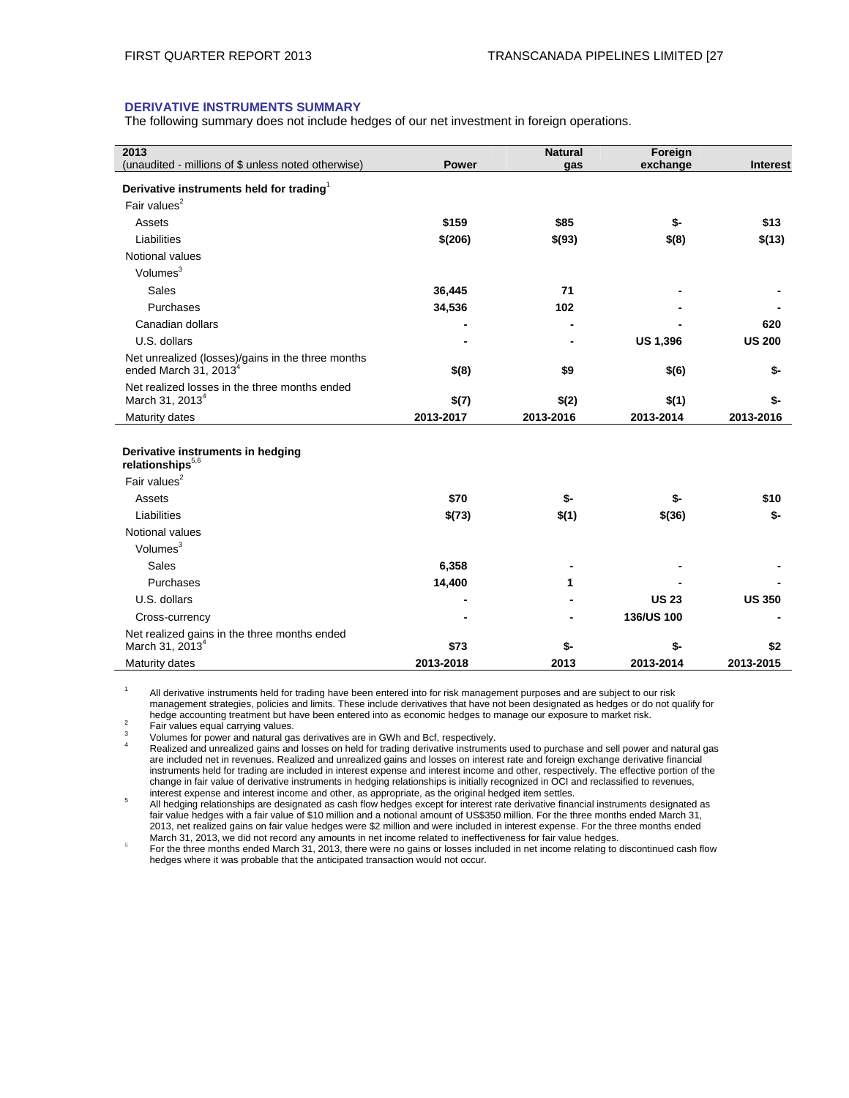# **DERIVATIVE INSTRUMENTS SUMMARY**

The following summary does not include hedges of our net investment in foreign operations.

| 2013                                                                          |             | <b>Natural</b> | Foreign         |                 |
|-------------------------------------------------------------------------------|-------------|----------------|-----------------|-----------------|
| (unaudited - millions of \$ unless noted otherwise)                           | Power       | gas            | exchange        | <b>Interest</b> |
| Derivative instruments held for trading <sup>1</sup>                          |             |                |                 |                 |
| Fair values <sup>2</sup>                                                      |             |                |                 |                 |
| Assets                                                                        | \$159       | \$85           | \$-             | \$13            |
| Liabilities                                                                   | $$^{(206)}$ | \$(93)         | \$(8)           | \$(13)          |
| Notional values                                                               |             |                |                 |                 |
| Volumes <sup>3</sup>                                                          |             |                |                 |                 |
| Sales                                                                         | 36,445      | 71             |                 |                 |
| Purchases                                                                     | 34,536      | 102            |                 |                 |
| Canadian dollars                                                              |             |                |                 | 620             |
| U.S. dollars                                                                  |             |                | <b>US 1,396</b> | <b>US 200</b>   |
| Net unrealized (losses)/gains in the three months<br>ended March 31, 2013 $4$ | \$(8)       | \$9            | \$(6)           | \$-             |
| Net realized losses in the three months ended<br>March 31, 2013 <sup>4</sup>  | \$(7)       | \$(2)          | \$(1)           | \$-             |
| Maturity dates                                                                | 2013-2017   | 2013-2016      | 2013-2014       | 2013-2016       |
|                                                                               |             |                |                 |                 |
| Derivative instruments in hedging<br>relationships <sup>5,6</sup>             |             |                |                 |                 |
| Fair values <sup>2</sup>                                                      |             |                |                 |                 |
| Assets                                                                        | \$70        | \$-            | \$-             | \$10            |
| Liabilities                                                                   | \$(73)      | \$(1)          | \$(36)          | \$-             |
| Notional values                                                               |             |                |                 |                 |
| Volumes <sup>3</sup>                                                          |             |                |                 |                 |
| Sales                                                                         | 6,358       |                |                 |                 |
| Purchases                                                                     | 14,400      | 1              |                 |                 |
| U.S. dollars                                                                  |             |                | <b>US 23</b>    | <b>US 350</b>   |
| Cross-currency                                                                |             |                | 136/US 100      |                 |
| Net realized gains in the three months ended<br>March 31, 2013 <sup>4</sup>   | \$73        | \$-            | \$-             | \$2             |
| Maturity dates                                                                | 2013-2018   | 2013           | 2013-2014       | 2013-2015       |

1 All derivative instruments held for trading have been entered into for risk management purposes and are subject to our risk management strategies, policies and limits. These include derivatives that have not been designated as hedges or do not qualify for

hedge accounting treatment but have been entered into as economic hedges to manage our exposure to market risk.

Fair values equal carrying values.

3 Volumes for power and natural gas derivatives are in GWh and Bcf, respectively. 4

 Realized and unrealized gains and losses on held for trading derivative instruments used to purchase and sell power and natural gas are included net in revenues. Realized and unrealized gains and losses on interest rate and foreign exchange derivative financial instruments held for trading are included in interest expense and interest income and other, respectively. The effective portion of the change in fair value of derivative instruments in hedging relationships is initially recognized in OCI and reclassified to revenues, interest expense and interest income and other, as appropriate, as the original hedged item settles. 5

 All hedging relationships are designated as cash flow hedges except for interest rate derivative financial instruments designated as fair value hedges with a fair value of \$10 million and a notional amount of US\$350 million. For the three months ended March 31, 2013, net realized gains on fair value hedges were \$2 million and were included in interest expense. For the three months ended<br>March 31, 2013, we did not record any amounts in net income related to ineffectiveness for fai

For the three months ended March 31, 2013, there were no gains or losses included in net income relating to discontinued cash flow hedges where it was probable that the anticipated transaction would not occur.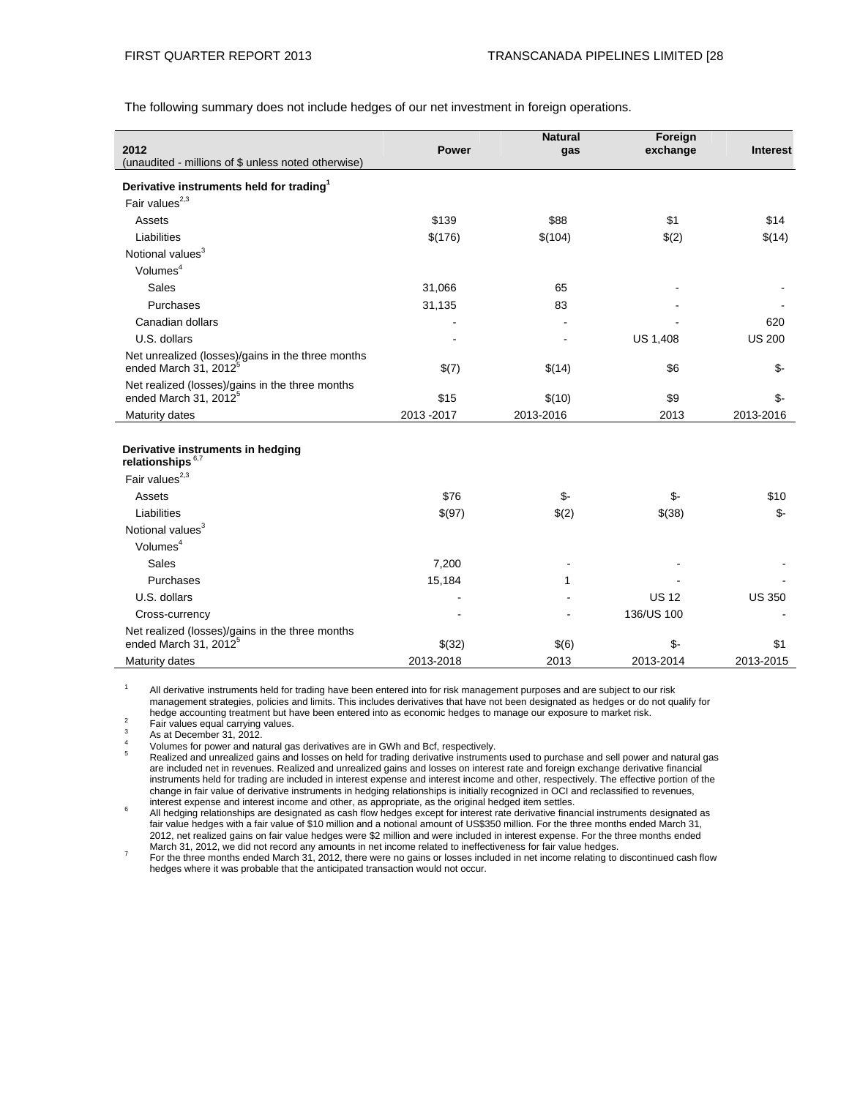The following summary does not include hedges of our net investment in foreign operations.

|                                                                                        |              | <b>Natural</b> | Foreign         |                 |
|----------------------------------------------------------------------------------------|--------------|----------------|-----------------|-----------------|
| 2012<br>(unaudited - millions of \$ unless noted otherwise)                            | <b>Power</b> | gas            | exchange        | <b>Interest</b> |
|                                                                                        |              |                |                 |                 |
| Derivative instruments held for trading <sup>1</sup>                                   |              |                |                 |                 |
| Fair values <sup>2,3</sup>                                                             |              |                |                 |                 |
| Assets                                                                                 | \$139        | \$88           | \$1             | \$14            |
| Liabilities                                                                            | \$(176)      | \$(104)        | \$(2)           | \$(14)          |
| Notional values <sup>3</sup>                                                           |              |                |                 |                 |
| Volumes <sup>4</sup>                                                                   |              |                |                 |                 |
| <b>Sales</b>                                                                           | 31,066       | 65             |                 |                 |
| Purchases                                                                              | 31,135       | 83             |                 |                 |
| Canadian dollars                                                                       |              |                |                 | 620             |
| U.S. dollars                                                                           |              |                | <b>US 1,408</b> | <b>US 200</b>   |
| Net unrealized (losses)/gains in the three months<br>ended March 31, 2012 <sup>5</sup> | \$(7)        | \$(14)         | \$6             | \$-             |
| Net realized (losses)/gains in the three months<br>ended March 31, 2012 <sup>5</sup>   | \$15         | \$(10)         | \$9             | \$-             |
| <b>Maturity dates</b>                                                                  | 2013-2017    | 2013-2016      | 2013            | 2013-2016       |
|                                                                                        |              |                |                 |                 |
| Derivative instruments in hedging<br>relationships $6,7$                               |              |                |                 |                 |
| Fair values <sup>2,3</sup>                                                             |              |                |                 |                 |
| Assets                                                                                 | \$76         | \$-            | \$-             | \$10            |
| Liabilities                                                                            | \$(97)       | \$(2)          | \$(38)          | \$-             |
| Notional values <sup>3</sup>                                                           |              |                |                 |                 |
| Volumes <sup>4</sup>                                                                   |              |                |                 |                 |
| Sales                                                                                  | 7,200        |                |                 |                 |
| Purchases                                                                              | 15,184       | 1              |                 |                 |
| U.S. dollars                                                                           |              |                | <b>US 12</b>    | <b>US 350</b>   |
| Cross-currency                                                                         |              |                | 136/US 100      |                 |
| Net realized (losses)/gains in the three months                                        |              |                |                 |                 |
| ended March 31, 2012 <sup>5</sup>                                                      | \$(32)       | \$(6)          | \$-             | \$1             |
| Maturity dates                                                                         | 2013-2018    | 2013           | 2013-2014       | 2013-2015       |

1 All derivative instruments held for trading have been entered into for risk management purposes and are subject to our risk management strategies, policies and limits. This includes derivatives that have not been designated as hedges or do not qualify for hedge accounting treatment but have been entered into as economic hedges to manage our exposure to market risk.

Fair values equal carrying values.

3 As at December 31, 2012.

4 Volumes for power and natural gas derivatives are in GWh and Bcf, respectively. 5

 Realized and unrealized gains and losses on held for trading derivative instruments used to purchase and sell power and natural gas are included net in revenues. Realized and unrealized gains and losses on interest rate and foreign exchange derivative financial instruments held for trading are included in interest expense and interest income and other, respectively. The effective portion of the change in fair value of derivative instruments in hedging relationships is initially recognized in OCI and reclassified to revenues, interest expense and interest income and other, as appropriate, as the original hedged item settles.

 All hedging relationships are designated as cash flow hedges except for interest rate derivative financial instruments designated as fair value hedges with a fair value of \$10 million and a notional amount of US\$350 million. For the three months ended March 31, 2012, net realized gains on fair value hedges were \$2 million and were included in interest expense. For the three months ended

March 31, 2012, we did not record any amounts in net income related to ineffectiveness for fair value hedges.<br><sup>7</sup> For the three months ended March 31, 2012, there were no gains or losses included in net income relating to hedges where it was probable that the anticipated transaction would not occur.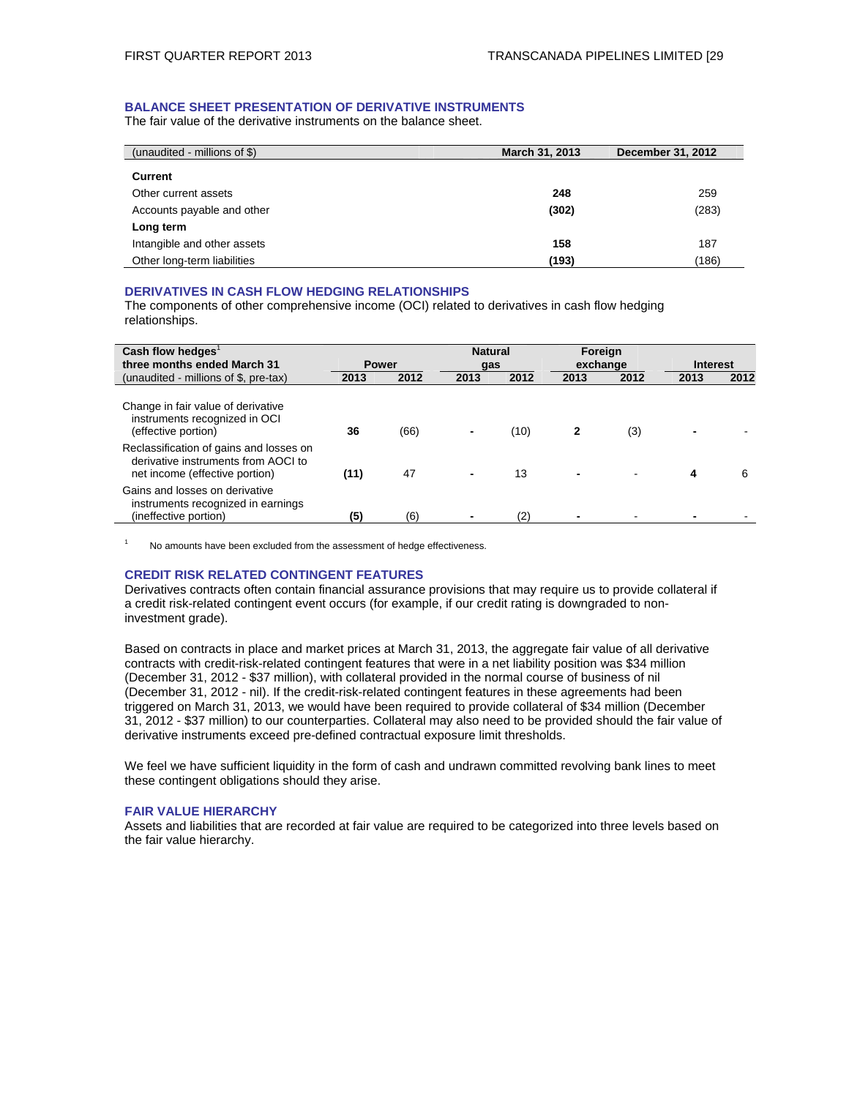# **BALANCE SHEET PRESENTATION OF DERIVATIVE INSTRUMENTS**

The fair value of the derivative instruments on the balance sheet.

| (unaudited - millions of \$) | March 31, 2013 | <b>December 31, 2012</b> |
|------------------------------|----------------|--------------------------|
| Current                      |                |                          |
| Other current assets         | 248            | 259                      |
| Accounts payable and other   | (302)          | (283)                    |
| Long term                    |                |                          |
| Intangible and other assets  | 158            | 187                      |
| Other long-term liabilities  | (193)          | (186)                    |

### **DERIVATIVES IN CASH FLOW HEDGING RELATIONSHIPS**

The components of other comprehensive income (OCI) related to derivatives in cash flow hedging relationships.

| Cash flow hedges'                                                                                                |              |      | <b>Natural</b> |      | Foreign  |      |                 |      |
|------------------------------------------------------------------------------------------------------------------|--------------|------|----------------|------|----------|------|-----------------|------|
| three months ended March 31                                                                                      | <b>Power</b> |      | qas            |      | exchange |      | <b>Interest</b> |      |
| (unaudited - millions of \$, pre-tax)                                                                            | 2013         | 2012 | 2013           | 2012 | 2013     | 2012 | 2013            | 2012 |
| Change in fair value of derivative<br>instruments recognized in OCI<br>(effective portion)                       | 36           | (66) |                | (10) | 2        | (3)  |                 |      |
| Reclassification of gains and losses on<br>derivative instruments from AOCI to<br>net income (effective portion) | (11)         | 47   |                | 13   |          |      | 4               | 6    |
| Gains and losses on derivative<br>instruments recognized in earnings<br>(ineffective portion)                    | (5)          | (6)  |                | (2)  |          |      |                 |      |

1 No amounts have been excluded from the assessment of hedge effectiveness.

#### **CREDIT RISK RELATED CONTINGENT FEATURES**

Derivatives contracts often contain financial assurance provisions that may require us to provide collateral if a credit risk-related contingent event occurs (for example, if our credit rating is downgraded to noninvestment grade).

Based on contracts in place and market prices at March 31, 2013, the aggregate fair value of all derivative contracts with credit-risk-related contingent features that were in a net liability position was \$34 million (December 31, 2012 - \$37 million), with collateral provided in the normal course of business of nil (December 31, 2012 - nil). If the credit-risk-related contingent features in these agreements had been triggered on March 31, 2013, we would have been required to provide collateral of \$34 million (December 31, 2012 - \$37 million) to our counterparties. Collateral may also need to be provided should the fair value of derivative instruments exceed pre-defined contractual exposure limit thresholds.

We feel we have sufficient liquidity in the form of cash and undrawn committed revolving bank lines to meet these contingent obligations should they arise.

#### **FAIR VALUE HIERARCHY**

Assets and liabilities that are recorded at fair value are required to be categorized into three levels based on the fair value hierarchy.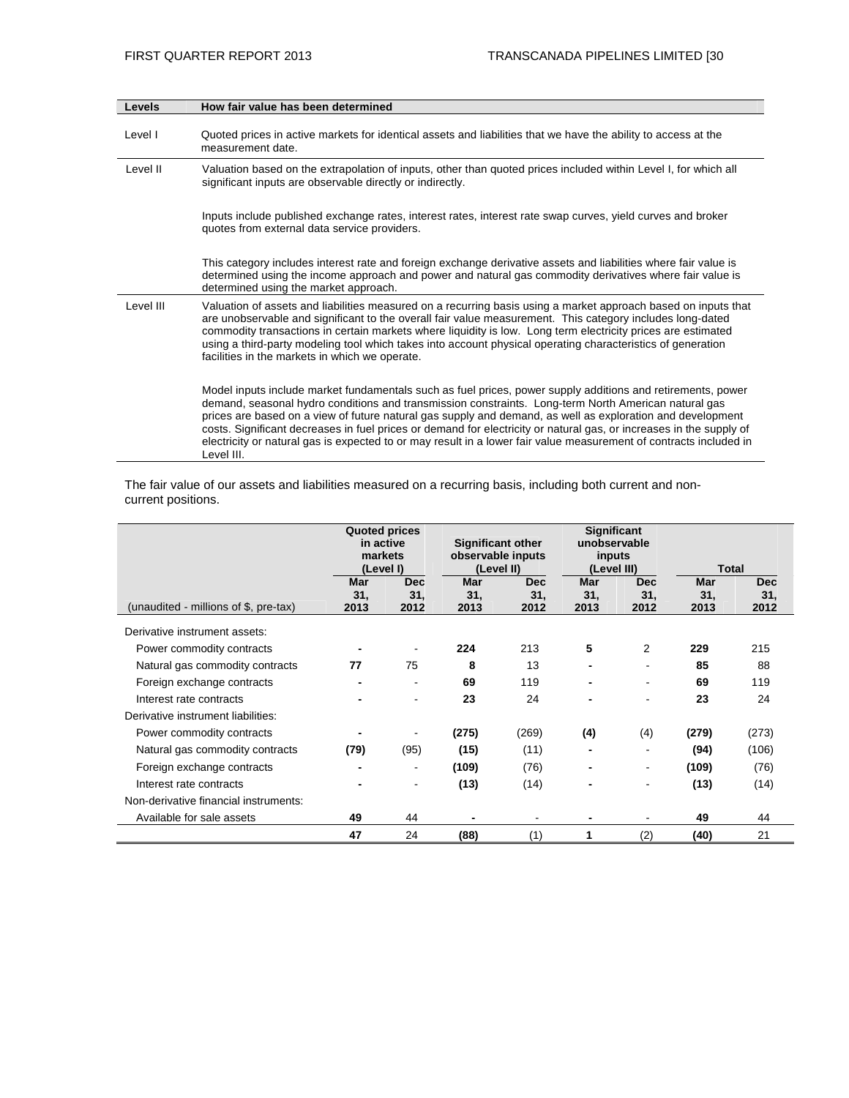| <b>Levels</b> | How fair value has been determined                                                                                                                                                                                                                                                                                                                                                                                                                                                                                                                                                           |
|---------------|----------------------------------------------------------------------------------------------------------------------------------------------------------------------------------------------------------------------------------------------------------------------------------------------------------------------------------------------------------------------------------------------------------------------------------------------------------------------------------------------------------------------------------------------------------------------------------------------|
| Level I       | Quoted prices in active markets for identical assets and liabilities that we have the ability to access at the<br>measurement date.                                                                                                                                                                                                                                                                                                                                                                                                                                                          |
| Level II      | Valuation based on the extrapolation of inputs, other than quoted prices included within Level I, for which all<br>significant inputs are observable directly or indirectly.                                                                                                                                                                                                                                                                                                                                                                                                                 |
|               | Inputs include published exchange rates, interest rates, interest rate swap curves, yield curves and broker<br>quotes from external data service providers.                                                                                                                                                                                                                                                                                                                                                                                                                                  |
|               | This category includes interest rate and foreign exchange derivative assets and liabilities where fair value is<br>determined using the income approach and power and natural gas commodity derivatives where fair value is<br>determined using the market approach.                                                                                                                                                                                                                                                                                                                         |
| Level III     | Valuation of assets and liabilities measured on a recurring basis using a market approach based on inputs that<br>are unobservable and significant to the overall fair value measurement. This category includes long-dated<br>commodity transactions in certain markets where liquidity is low. Long term electricity prices are estimated<br>using a third-party modeling tool which takes into account physical operating characteristics of generation<br>facilities in the markets in which we operate.                                                                                 |
|               | Model inputs include market fundamentals such as fuel prices, power supply additions and retirements, power<br>demand, seasonal hydro conditions and transmission constraints. Long-term North American natural gas<br>prices are based on a view of future natural gas supply and demand, as well as exploration and development<br>costs. Significant decreases in fuel prices or demand for electricity or natural gas, or increases in the supply of<br>electricity or natural gas is expected to or may result in a lower fair value measurement of contracts included in<br>Level III. |

The fair value of our assets and liabilities measured on a recurring basis, including both current and noncurrent positions.

|                                       | <b>Quoted prices</b><br>in active<br><b>Significant other</b><br>markets<br>observable inputs<br>(Level I) |             | <b>Significant</b><br>unobservable |                          |                       |                          |              |             |
|---------------------------------------|------------------------------------------------------------------------------------------------------------|-------------|------------------------------------|--------------------------|-----------------------|--------------------------|--------------|-------------|
|                                       |                                                                                                            |             | (Level II)                         |                          | inputs<br>(Level III) |                          | <b>Total</b> |             |
|                                       | Mar                                                                                                        | <b>Dec</b>  | Mar                                | <b>Dec</b>               | Mar                   | <b>Dec</b>               | Mar          | <b>Dec</b>  |
| (unaudited - millions of \$, pre-tax) | 31,<br>2013                                                                                                | 31.<br>2012 | 31,<br>2013                        | 31.<br>2012              | 31,<br>2013           | 31.<br>2012              | 31,<br>2013  | 31.<br>2012 |
| Derivative instrument assets:         |                                                                                                            |             |                                    |                          |                       |                          |              |             |
| Power commodity contracts             |                                                                                                            |             | 224                                | 213                      | 5                     | 2                        | 229          | 215         |
| Natural gas commodity contracts       | 77                                                                                                         | 75          | 8                                  | 13                       |                       | $\overline{\phantom{a}}$ | 85           | 88          |
| Foreign exchange contracts            |                                                                                                            | -           | 69                                 | 119                      |                       | ٠                        | 69           | 119         |
| Interest rate contracts               |                                                                                                            |             | 23                                 | 24                       |                       |                          | 23           | 24          |
| Derivative instrument liabilities:    |                                                                                                            |             |                                    |                          |                       |                          |              |             |
| Power commodity contracts             |                                                                                                            | -           | (275)                              | (269)                    | (4)                   | (4)                      | (279)        | (273)       |
| Natural gas commodity contracts       | (79)                                                                                                       | (95)        | (15)                               | (11)                     | $\blacksquare$        | $\overline{\phantom{a}}$ | (94)         | (106)       |
| Foreign exchange contracts            |                                                                                                            | -           | (109)                              | (76)                     |                       | $\overline{\phantom{a}}$ | (109)        | (76)        |
| Interest rate contracts               |                                                                                                            | -           | (13)                               | (14)                     |                       | $\overline{\phantom{a}}$ | (13)         | (14)        |
| Non-derivative financial instruments: |                                                                                                            |             |                                    |                          |                       |                          |              |             |
| Available for sale assets             | 49                                                                                                         | 44          | $\blacksquare$                     | $\overline{\phantom{a}}$ | $\blacksquare$        | $\blacksquare$           | 49           | 44          |
|                                       | 47                                                                                                         | 24          | (88)                               | (1)                      |                       | (2)                      | (40)         | 21          |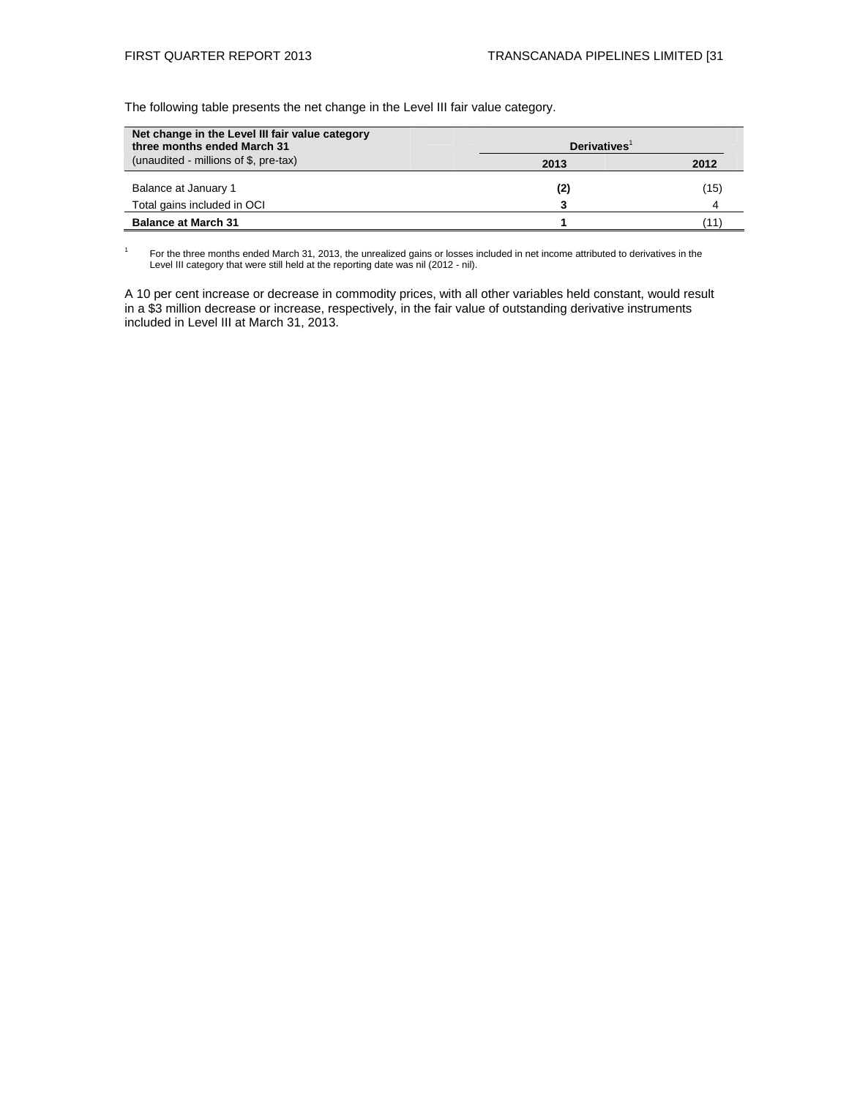The following table presents the net change in the Level III fair value category.

| Net change in the Level III fair value category |             |      |
|-------------------------------------------------|-------------|------|
| three months ended March 31                     | Derivatives |      |
| (unaudited - millions of \$, pre-tax)           | 2013        | 2012 |
| Balance at January 1                            | (2)         | (15) |
| Total gains included in OCI                     |             |      |
| <b>Balance at March 31</b>                      |             |      |

1 For the three months ended March 31, 2013, the unrealized gains or losses included in net income attributed to derivatives in the Level III category that were still held at the reporting date was nil (2012 - nil).

A 10 per cent increase or decrease in commodity prices, with all other variables held constant, would result in a \$3 million decrease or increase, respectively, in the fair value of outstanding derivative instruments included in Level III at March 31, 2013.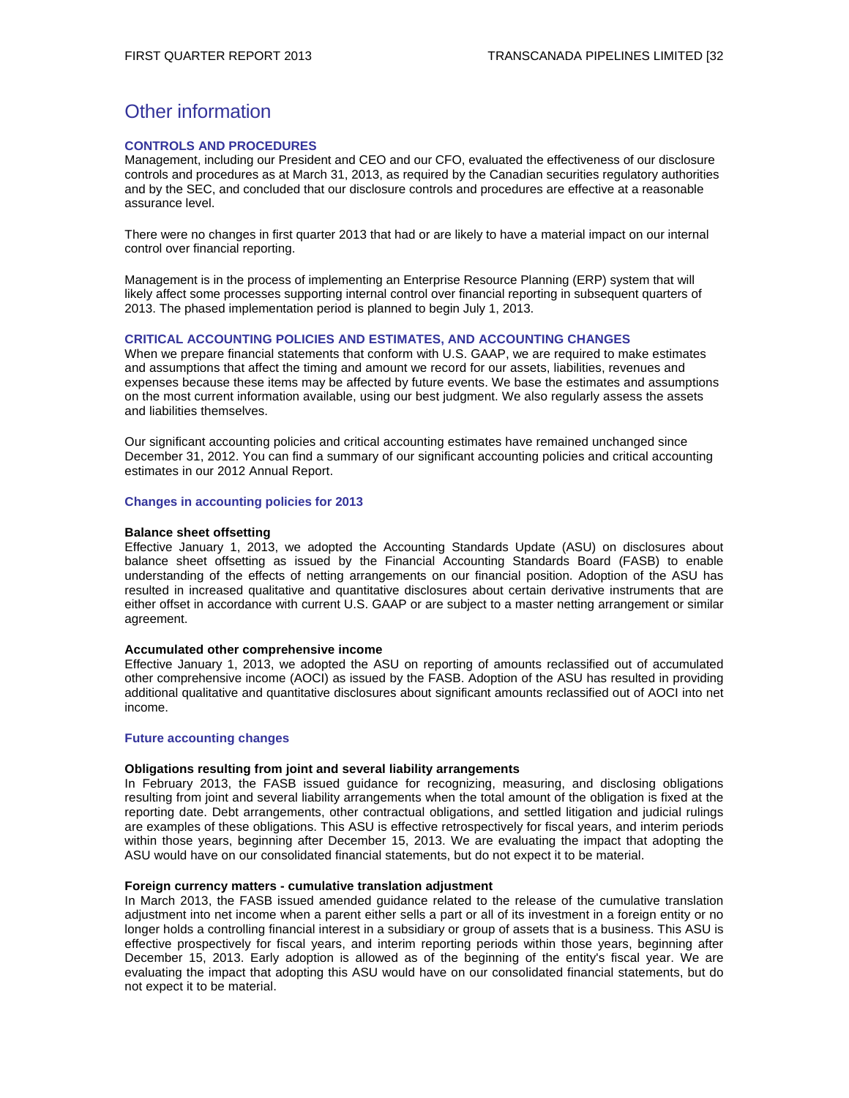# Other information

## **CONTROLS AND PROCEDURES**

Management, including our President and CEO and our CFO, evaluated the effectiveness of our disclosure controls and procedures as at March 31, 2013, as required by the Canadian securities regulatory authorities and by the SEC, and concluded that our disclosure controls and procedures are effective at a reasonable assurance level.

There were no changes in first quarter 2013 that had or are likely to have a material impact on our internal control over financial reporting.

Management is in the process of implementing an Enterprise Resource Planning (ERP) system that will likely affect some processes supporting internal control over financial reporting in subsequent quarters of 2013. The phased implementation period is planned to begin July 1, 2013.

#### **CRITICAL ACCOUNTING POLICIES AND ESTIMATES, AND ACCOUNTING CHANGES**

When we prepare financial statements that conform with U.S. GAAP, we are required to make estimates and assumptions that affect the timing and amount we record for our assets, liabilities, revenues and expenses because these items may be affected by future events. We base the estimates and assumptions on the most current information available, using our best judgment. We also regularly assess the assets and liabilities themselves.

Our significant accounting policies and critical accounting estimates have remained unchanged since December 31, 2012. You can find a summary of our significant accounting policies and critical accounting estimates in our 2012 Annual Report.

## **Changes in accounting policies for 2013**

#### **Balance sheet offsetting**

Effective January 1, 2013, we adopted the Accounting Standards Update (ASU) on disclosures about balance sheet offsetting as issued by the Financial Accounting Standards Board (FASB) to enable understanding of the effects of netting arrangements on our financial position. Adoption of the ASU has resulted in increased qualitative and quantitative disclosures about certain derivative instruments that are either offset in accordance with current U.S. GAAP or are subject to a master netting arrangement or similar agreement.

#### **Accumulated other comprehensive income**

Effective January 1, 2013, we adopted the ASU on reporting of amounts reclassified out of accumulated other comprehensive income (AOCI) as issued by the FASB. Adoption of the ASU has resulted in providing additional qualitative and quantitative disclosures about significant amounts reclassified out of AOCI into net income.

#### **Future accounting changes**

## **Obligations resulting from joint and several liability arrangements**

In February 2013, the FASB issued guidance for recognizing, measuring, and disclosing obligations resulting from joint and several liability arrangements when the total amount of the obligation is fixed at the reporting date. Debt arrangements, other contractual obligations, and settled litigation and judicial rulings are examples of these obligations. This ASU is effective retrospectively for fiscal years, and interim periods within those years, beginning after December 15, 2013. We are evaluating the impact that adopting the ASU would have on our consolidated financial statements, but do not expect it to be material.

#### **Foreign currency matters - cumulative translation adjustment**

In March 2013, the FASB issued amended guidance related to the release of the cumulative translation adjustment into net income when a parent either sells a part or all of its investment in a foreign entity or no longer holds a controlling financial interest in a subsidiary or group of assets that is a business. This ASU is effective prospectively for fiscal years, and interim reporting periods within those years, beginning after December 15, 2013. Early adoption is allowed as of the beginning of the entity's fiscal year. We are evaluating the impact that adopting this ASU would have on our consolidated financial statements, but do not expect it to be material.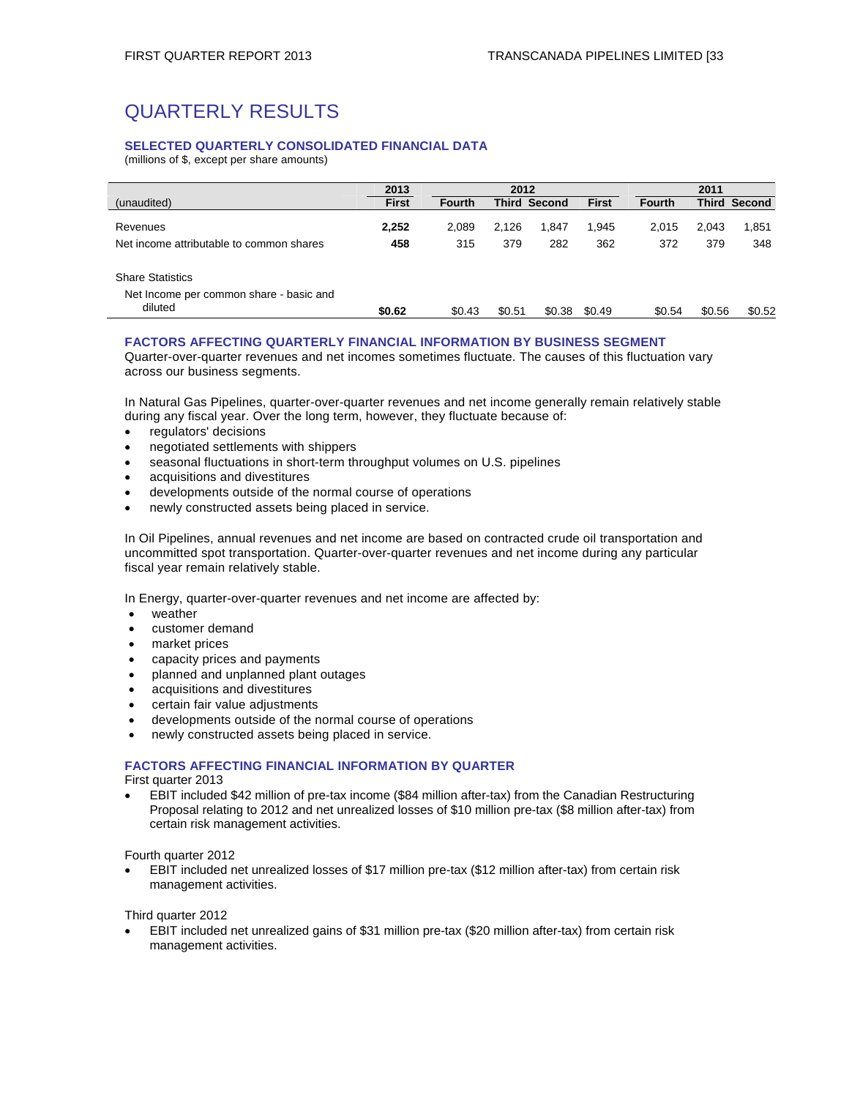# QUARTERLY RESULTS

# **SELECTED QUARTERLY CONSOLIDATED FINANCIAL DATA**

(millions of \$, except per share amounts)

|                                                    | 2013         |               | 2012   |                     |              |               | 2011   |                     |
|----------------------------------------------------|--------------|---------------|--------|---------------------|--------------|---------------|--------|---------------------|
| (unaudited)                                        | <b>First</b> | <b>Fourth</b> |        | <b>Third Second</b> | <b>First</b> | <b>Fourth</b> |        | <b>Third Second</b> |
| Revenues                                           | 2,252        | 2.089         | 2,126  | 1,847               | 1.945        | 2.015         | 2.043  | 1,851               |
| Net income attributable to common shares           | 458          | 315           | 379    | 282                 | 362          | 372           | 379    | 348                 |
| <b>Share Statistics</b>                            |              |               |        |                     |              |               |        |                     |
| Net Income per common share - basic and<br>diluted | \$0.62       | \$0.43        | \$0.51 | \$0.38              | \$0.49       | \$0.54        | \$0.56 | \$0.52              |

# **FACTORS AFFECTING QUARTERLY FINANCIAL INFORMATION BY BUSINESS SEGMENT**

Quarter-over-quarter revenues and net incomes sometimes fluctuate. The causes of this fluctuation vary across our business segments.

In Natural Gas Pipelines, quarter-over-quarter revenues and net income generally remain relatively stable during any fiscal year. Over the long term, however, they fluctuate because of:

- regulators' decisions
- negotiated settlements with shippers
- seasonal fluctuations in short-term throughput volumes on U.S. pipelines
- acquisitions and divestitures
- developments outside of the normal course of operations
- newly constructed assets being placed in service.

In Oil Pipelines, annual revenues and net income are based on contracted crude oil transportation and uncommitted spot transportation. Quarter-over-quarter revenues and net income during any particular fiscal year remain relatively stable.

In Energy, quarter-over-quarter revenues and net income are affected by:

- weather
- customer demand
- market prices
- capacity prices and payments
- planned and unplanned plant outages
- acquisitions and divestitures
- certain fair value adjustments
- developments outside of the normal course of operations
- newly constructed assets being placed in service.

# **FACTORS AFFECTING FINANCIAL INFORMATION BY QUARTER**

First quarter 2013

• EBIT included \$42 million of pre-tax income (\$84 million after-tax) from the Canadian Restructuring Proposal relating to 2012 and net unrealized losses of \$10 million pre-tax (\$8 million after-tax) from certain risk management activities.

Fourth quarter 2012

• EBIT included net unrealized losses of \$17 million pre-tax (\$12 million after-tax) from certain risk management activities.

Third quarter 2012

• EBIT included net unrealized gains of \$31 million pre-tax (\$20 million after-tax) from certain risk management activities.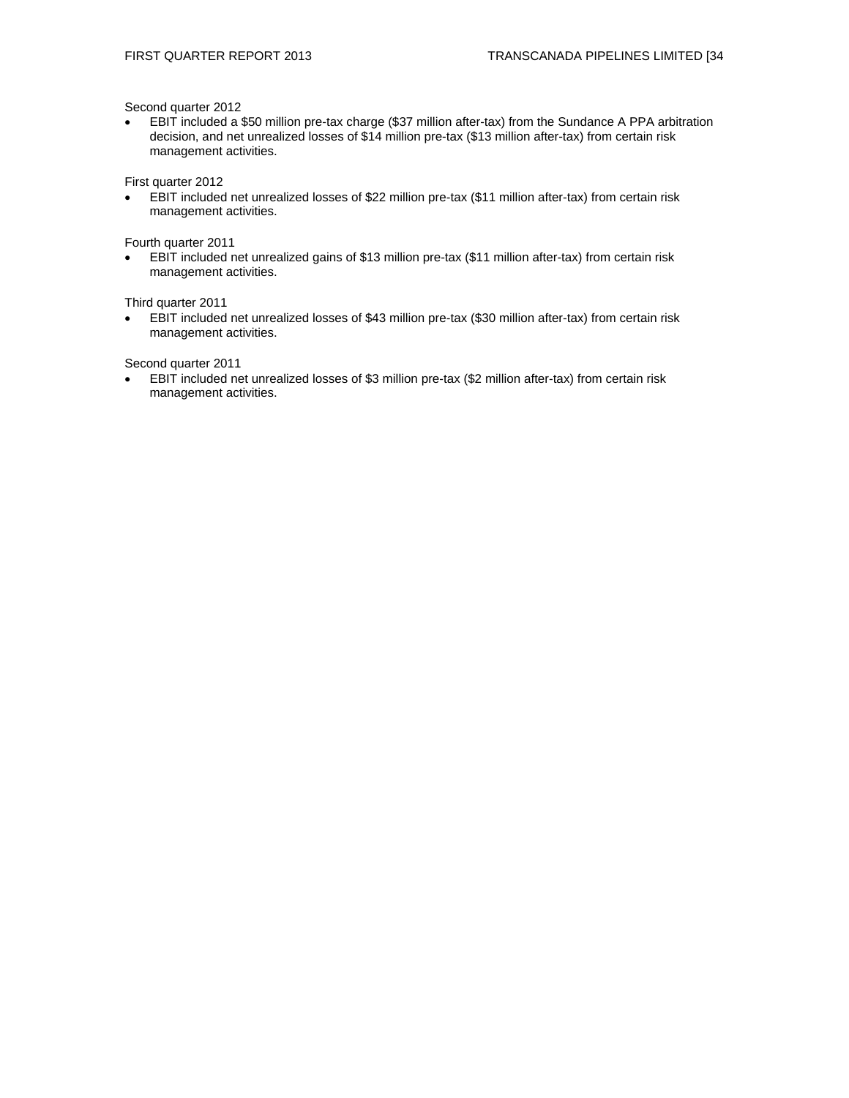Second quarter 2012

• EBIT included a \$50 million pre-tax charge (\$37 million after-tax) from the Sundance A PPA arbitration decision, and net unrealized losses of \$14 million pre-tax (\$13 million after-tax) from certain risk management activities.

First quarter 2012

• EBIT included net unrealized losses of \$22 million pre-tax (\$11 million after-tax) from certain risk management activities.

Fourth quarter 2011

• EBIT included net unrealized gains of \$13 million pre-tax (\$11 million after-tax) from certain risk management activities.

Third quarter 2011

• EBIT included net unrealized losses of \$43 million pre-tax (\$30 million after-tax) from certain risk management activities.

Second quarter 2011

• EBIT included net unrealized losses of \$3 million pre-tax (\$2 million after-tax) from certain risk management activities.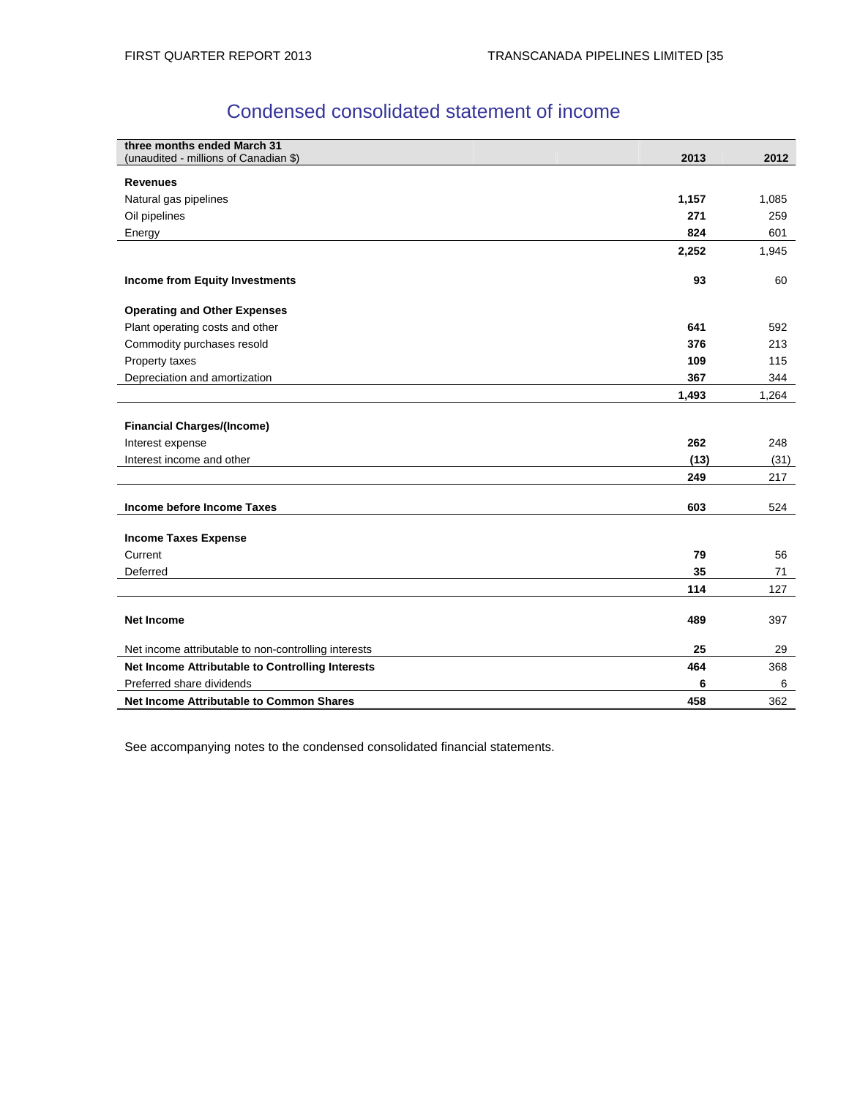# Condensed consolidated statement of income

| three months ended March 31<br>(unaudited - millions of Canadian \$) | 2013  | 2012  |
|----------------------------------------------------------------------|-------|-------|
| <b>Revenues</b>                                                      |       |       |
| Natural gas pipelines                                                | 1,157 | 1,085 |
| Oil pipelines                                                        | 271   | 259   |
| Energy                                                               | 824   | 601   |
|                                                                      | 2,252 | 1,945 |
|                                                                      |       |       |
| <b>Income from Equity Investments</b>                                | 93    | 60    |
|                                                                      |       |       |
| <b>Operating and Other Expenses</b>                                  |       |       |
| Plant operating costs and other                                      | 641   | 592   |
| Commodity purchases resold                                           | 376   | 213   |
| Property taxes                                                       | 109   | 115   |
| Depreciation and amortization                                        | 367   | 344   |
|                                                                      | 1,493 | 1,264 |
| <b>Financial Charges/(Income)</b>                                    |       |       |
| Interest expense                                                     | 262   | 248   |
| Interest income and other                                            | (13)  | (31)  |
|                                                                      | 249   | 217   |
|                                                                      |       |       |
| Income before Income Taxes                                           | 603   | 524   |
|                                                                      |       |       |
| <b>Income Taxes Expense</b>                                          |       |       |
| Current                                                              | 79    | 56    |
| Deferred                                                             | 35    | 71    |
|                                                                      | 114   | 127   |
|                                                                      |       |       |
| <b>Net Income</b>                                                    | 489   | 397   |
| Net income attributable to non-controlling interests                 | 25    | 29    |
| Net Income Attributable to Controlling Interests                     | 464   | 368   |
| Preferred share dividends                                            | 6     | 6     |
| <b>Net Income Attributable to Common Shares</b>                      | 458   | 362   |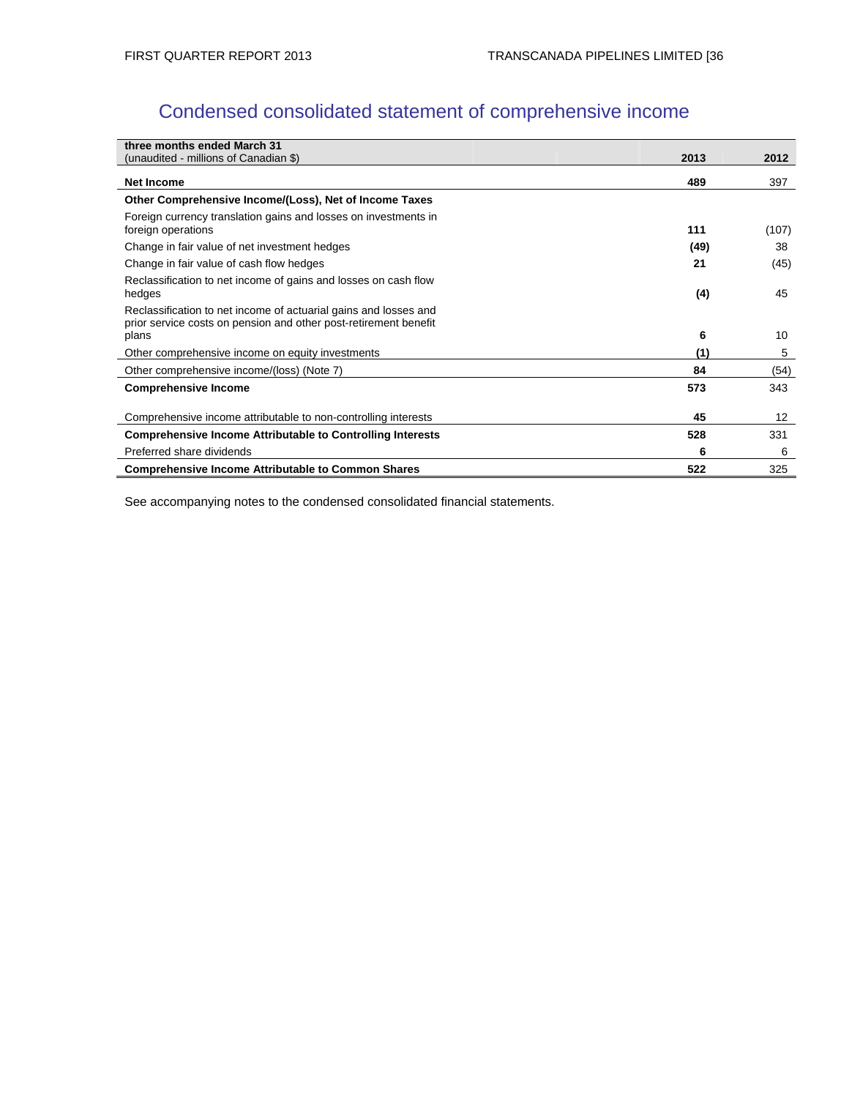# Condensed consolidated statement of comprehensive income

| three months ended March 31                                                                                                          |      |       |
|--------------------------------------------------------------------------------------------------------------------------------------|------|-------|
| (unaudited - millions of Canadian \$)                                                                                                | 2013 | 2012  |
| <b>Net Income</b>                                                                                                                    | 489  | 397   |
| Other Comprehensive Income/(Loss), Net of Income Taxes                                                                               |      |       |
| Foreign currency translation gains and losses on investments in<br>foreign operations                                                | 111  | (107) |
| Change in fair value of net investment hedges                                                                                        | (49) | 38    |
| Change in fair value of cash flow hedges                                                                                             | 21   | (45)  |
| Reclassification to net income of gains and losses on cash flow<br>hedges                                                            | (4)  | 45    |
| Reclassification to net income of actuarial gains and losses and<br>prior service costs on pension and other post-retirement benefit |      |       |
| plans                                                                                                                                | 6    | 10    |
| Other comprehensive income on equity investments                                                                                     | (1)  | 5     |
| Other comprehensive income/(loss) (Note 7)                                                                                           | 84   | (54)  |
| <b>Comprehensive Income</b>                                                                                                          | 573  | 343   |
| Comprehensive income attributable to non-controlling interests                                                                       | 45   | 12    |
| <b>Comprehensive Income Attributable to Controlling Interests</b>                                                                    | 528  | 331   |
| Preferred share dividends                                                                                                            | 6    | 6     |
| <b>Comprehensive Income Attributable to Common Shares</b>                                                                            | 522  | 325   |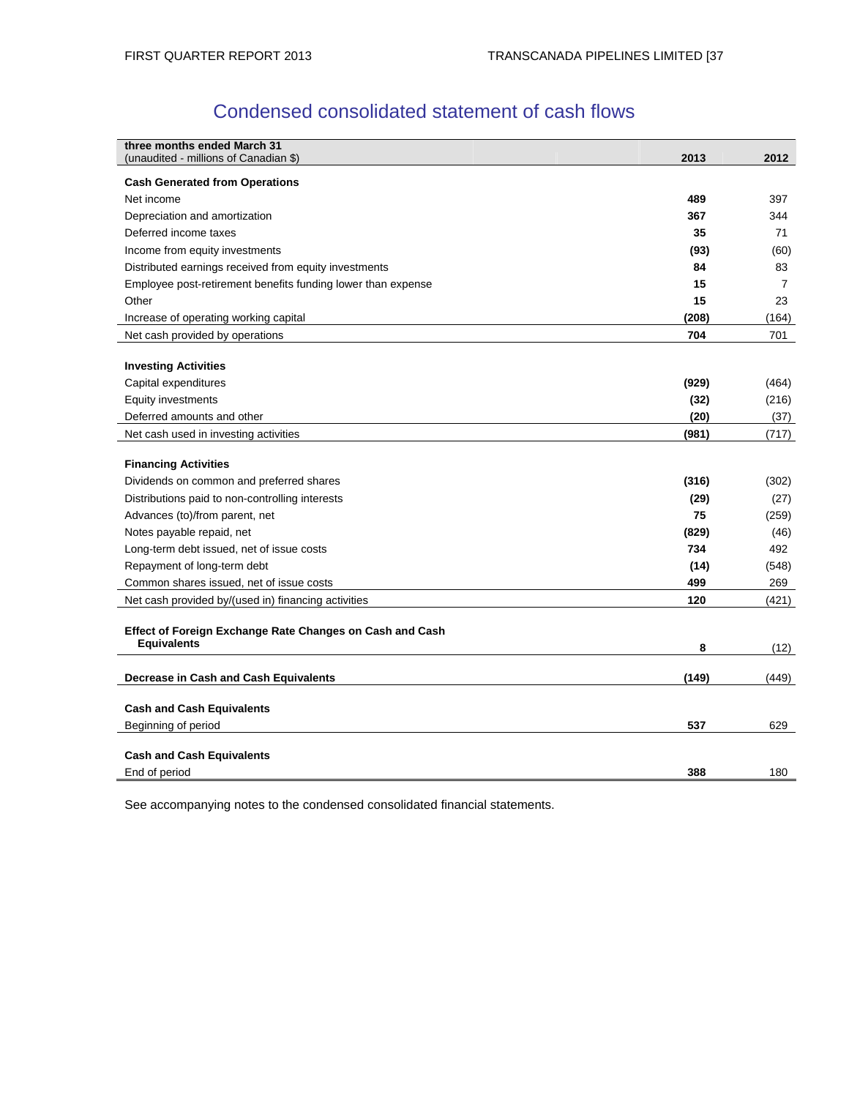# Condensed consolidated statement of cash flows

| three months ended March 31<br>(unaudited - millions of Canadian \$) | 2013  | 2012           |
|----------------------------------------------------------------------|-------|----------------|
| <b>Cash Generated from Operations</b>                                |       |                |
| Net income                                                           | 489   | 397            |
| Depreciation and amortization                                        | 367   | 344            |
| Deferred income taxes                                                | 35    | 71             |
| Income from equity investments                                       | (93)  | (60)           |
| Distributed earnings received from equity investments                | 84    | 83             |
| Employee post-retirement benefits funding lower than expense         | 15    | $\overline{7}$ |
| Other                                                                | 15    | 23             |
| Increase of operating working capital                                | (208) | (164)          |
| Net cash provided by operations                                      | 704   | 701            |
|                                                                      |       |                |
| <b>Investing Activities</b>                                          |       |                |
| Capital expenditures                                                 | (929) | (464)          |
| Equity investments                                                   | (32)  | (216)          |
| Deferred amounts and other                                           | (20)  | (37)           |
| Net cash used in investing activities                                | (981) | (717)          |
| <b>Financing Activities</b>                                          |       |                |
| Dividends on common and preferred shares                             | (316) | (302)          |
| Distributions paid to non-controlling interests                      | (29)  | (27)           |
| Advances (to)/from parent, net                                       | 75    | (259)          |
| Notes payable repaid, net                                            | (829) | (46)           |
| Long-term debt issued, net of issue costs                            | 734   | 492            |
| Repayment of long-term debt                                          | (14)  | (548)          |
| Common shares issued, net of issue costs                             | 499   | 269            |
| Net cash provided by/(used in) financing activities                  | 120   | (421)          |
|                                                                      |       |                |
| Effect of Foreign Exchange Rate Changes on Cash and Cash             |       |                |
| <b>Equivalents</b>                                                   | 8     | (12)           |
|                                                                      |       |                |
| Decrease in Cash and Cash Equivalents                                | (149) | (449)          |
|                                                                      |       |                |
| <b>Cash and Cash Equivalents</b>                                     | 537   |                |
| Beginning of period                                                  |       | 629            |
| <b>Cash and Cash Equivalents</b>                                     |       |                |
| End of period                                                        | 388   | 180            |
|                                                                      |       |                |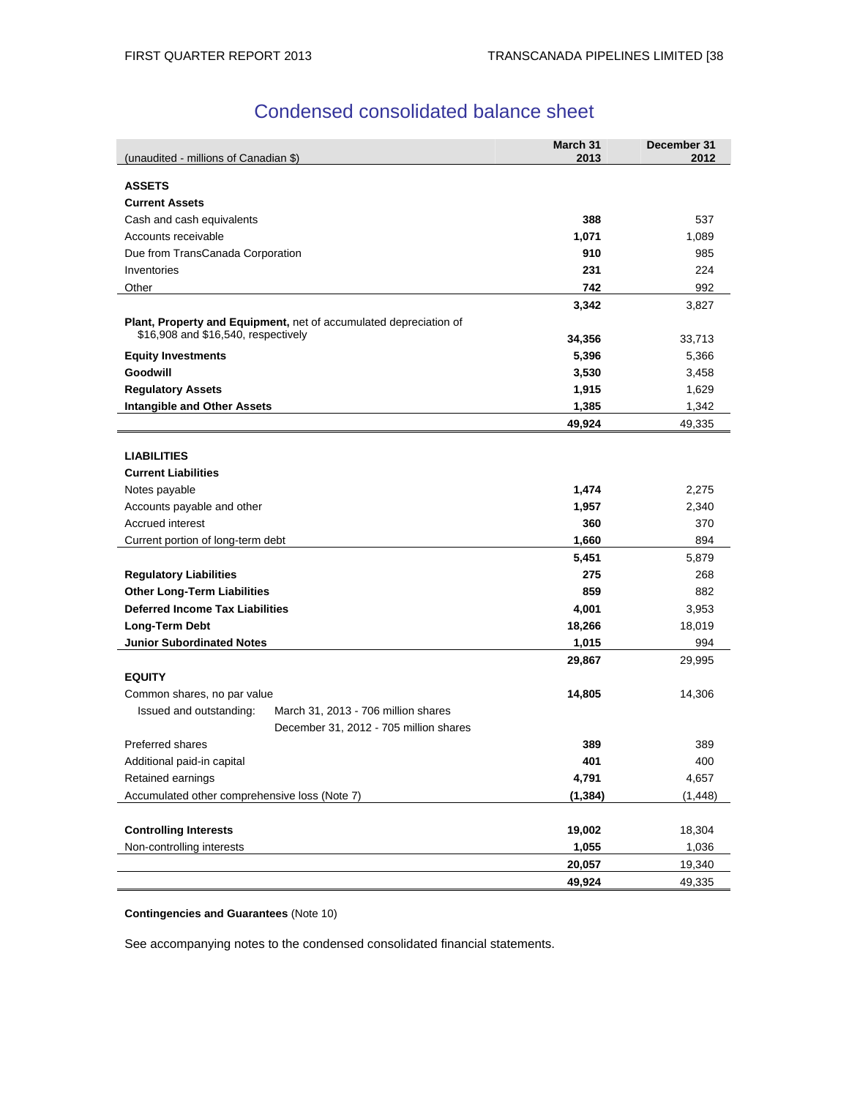# Condensed consolidated balance sheet

| (unaudited - millions of Canadian \$)                             | March 31<br>2013 | December 31<br>2012 |
|-------------------------------------------------------------------|------------------|---------------------|
|                                                                   |                  |                     |
| <b>ASSETS</b>                                                     |                  |                     |
| <b>Current Assets</b>                                             |                  |                     |
| Cash and cash equivalents                                         | 388              | 537                 |
| Accounts receivable                                               | 1,071            | 1,089               |
| Due from TransCanada Corporation                                  | 910              | 985                 |
| Inventories                                                       | 231              | 224                 |
| Other                                                             | 742              | 992                 |
|                                                                   | 3,342            | 3,827               |
| Plant, Property and Equipment, net of accumulated depreciation of |                  |                     |
| \$16,908 and \$16,540, respectively                               | 34,356           | 33,713              |
| <b>Equity Investments</b>                                         | 5,396            | 5,366               |
| Goodwill                                                          | 3,530            | 3,458               |
| <b>Regulatory Assets</b>                                          | 1,915            | 1,629               |
| <b>Intangible and Other Assets</b>                                | 1,385            | 1,342               |
|                                                                   | 49,924           | 49,335              |
|                                                                   |                  |                     |
| <b>LIABILITIES</b>                                                |                  |                     |
| <b>Current Liabilities</b>                                        |                  |                     |
| Notes payable                                                     | 1,474            | 2,275               |
| Accounts payable and other                                        | 1,957            | 2,340               |
| Accrued interest                                                  | 360              | 370                 |
| Current portion of long-term debt                                 | 1,660            | 894                 |
|                                                                   | 5,451            | 5,879               |
| <b>Regulatory Liabilities</b>                                     | 275              | 268                 |
| <b>Other Long-Term Liabilities</b>                                | 859              | 882                 |
| <b>Deferred Income Tax Liabilities</b>                            | 4,001            | 3,953               |
| Long-Term Debt                                                    | 18,266           | 18,019              |
| <b>Junior Subordinated Notes</b>                                  | 1,015            | 994                 |
|                                                                   | 29,867           | 29,995              |
| <b>EQUITY</b>                                                     |                  |                     |
| Common shares, no par value                                       | 14,805           | 14,306              |
| Issued and outstanding:<br>March 31, 2013 - 706 million shares    |                  |                     |
| December 31, 2012 - 705 million shares                            |                  |                     |
| <b>Preferred shares</b>                                           | 389              | 389                 |
| Additional paid-in capital                                        | 401              | 400                 |
| Retained earnings                                                 | 4,791            | 4,657               |
| Accumulated other comprehensive loss (Note 7)                     | (1, 384)         | (1, 448)            |
|                                                                   |                  |                     |
| <b>Controlling Interests</b>                                      | 19,002           | 18,304              |
| Non-controlling interests                                         | 1,055            | 1,036               |
|                                                                   | 20,057           | 19,340              |
|                                                                   | 49,924           | 49,335              |

**Contingencies and Guarantees** (Note 10)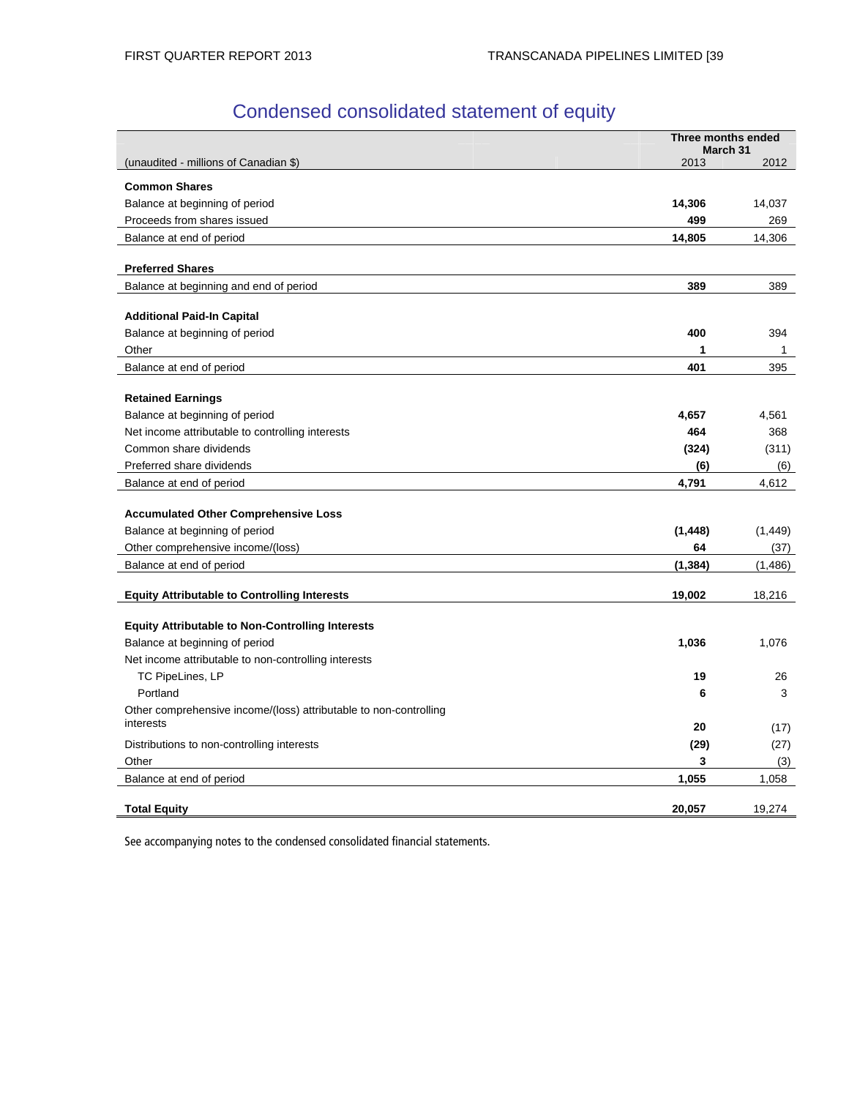# Condensed consolidated statement of equity

|                                                                   |          | Three months ended<br>March 31 |  |
|-------------------------------------------------------------------|----------|--------------------------------|--|
| (unaudited - millions of Canadian \$)                             | 2013     | 2012                           |  |
| <b>Common Shares</b>                                              |          |                                |  |
| Balance at beginning of period                                    | 14,306   | 14,037                         |  |
| Proceeds from shares issued                                       | 499      | 269                            |  |
| Balance at end of period                                          | 14,805   | 14,306                         |  |
|                                                                   |          |                                |  |
| <b>Preferred Shares</b>                                           |          |                                |  |
| Balance at beginning and end of period                            | 389      | 389                            |  |
|                                                                   |          |                                |  |
| <b>Additional Paid-In Capital</b>                                 |          |                                |  |
| Balance at beginning of period                                    | 400      | 394                            |  |
| Other                                                             | 1        | 1                              |  |
| Balance at end of period                                          | 401      | 395                            |  |
| <b>Retained Earnings</b>                                          |          |                                |  |
| Balance at beginning of period                                    | 4,657    | 4,561                          |  |
| Net income attributable to controlling interests                  | 464      | 368                            |  |
| Common share dividends                                            | (324)    | (311)                          |  |
| Preferred share dividends                                         | (6)      | (6)                            |  |
| Balance at end of period                                          | 4,791    | 4,612                          |  |
|                                                                   |          |                                |  |
| <b>Accumulated Other Comprehensive Loss</b>                       |          |                                |  |
| Balance at beginning of period                                    | (1, 448) | (1, 449)                       |  |
| Other comprehensive income/(loss)                                 | 64       | (37)                           |  |
| Balance at end of period                                          | (1, 384) | (1, 486)                       |  |
|                                                                   |          |                                |  |
| <b>Equity Attributable to Controlling Interests</b>               | 19,002   | 18,216                         |  |
| <b>Equity Attributable to Non-Controlling Interests</b>           |          |                                |  |
| Balance at beginning of period                                    | 1,036    | 1,076                          |  |
| Net income attributable to non-controlling interests              |          |                                |  |
| TC PipeLines, LP                                                  | 19       | 26                             |  |
| Portland                                                          | 6        | 3                              |  |
| Other comprehensive income/(loss) attributable to non-controlling |          |                                |  |
| interests                                                         | 20       | (17)                           |  |
| Distributions to non-controlling interests                        | (29)     | (27)                           |  |
| Other                                                             | 3        | (3)                            |  |
| Balance at end of period                                          | 1,055    | 1,058                          |  |
|                                                                   |          |                                |  |
| <b>Total Equity</b>                                               | 20,057   | 19,274                         |  |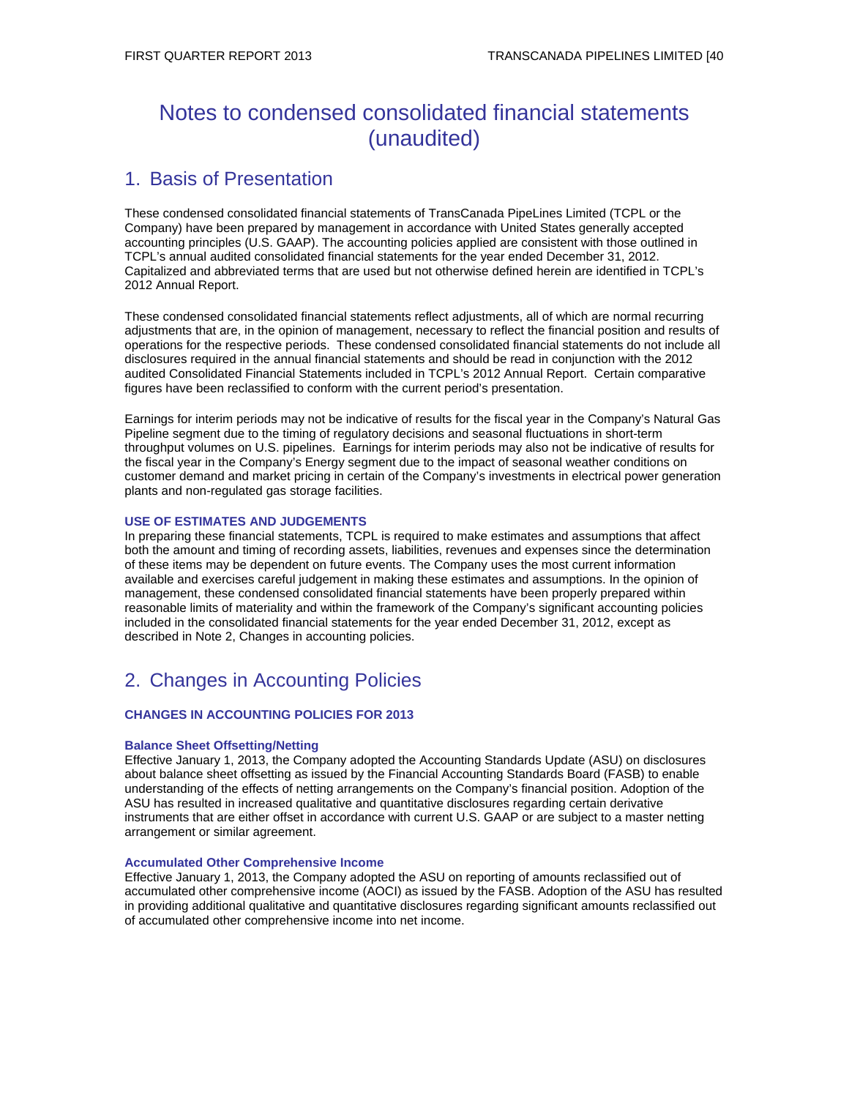# Notes to condensed consolidated financial statements (unaudited)

# 1. Basis of Presentation

These condensed consolidated financial statements of TransCanada PipeLines Limited (TCPL or the Company) have been prepared by management in accordance with United States generally accepted accounting principles (U.S. GAAP). The accounting policies applied are consistent with those outlined in TCPL's annual audited consolidated financial statements for the year ended December 31, 2012. Capitalized and abbreviated terms that are used but not otherwise defined herein are identified in TCPL's 2012 Annual Report.

These condensed consolidated financial statements reflect adjustments, all of which are normal recurring adjustments that are, in the opinion of management, necessary to reflect the financial position and results of operations for the respective periods. These condensed consolidated financial statements do not include all disclosures required in the annual financial statements and should be read in conjunction with the 2012 audited Consolidated Financial Statements included in TCPL's 2012 Annual Report. Certain comparative figures have been reclassified to conform with the current period's presentation.

Earnings for interim periods may not be indicative of results for the fiscal year in the Company's Natural Gas Pipeline segment due to the timing of regulatory decisions and seasonal fluctuations in short-term throughput volumes on U.S. pipelines. Earnings for interim periods may also not be indicative of results for the fiscal year in the Company's Energy segment due to the impact of seasonal weather conditions on customer demand and market pricing in certain of the Company's investments in electrical power generation plants and non-regulated gas storage facilities.

## **USE OF ESTIMATES AND JUDGEMENTS**

In preparing these financial statements, TCPL is required to make estimates and assumptions that affect both the amount and timing of recording assets, liabilities, revenues and expenses since the determination of these items may be dependent on future events. The Company uses the most current information available and exercises careful judgement in making these estimates and assumptions. In the opinion of management, these condensed consolidated financial statements have been properly prepared within reasonable limits of materiality and within the framework of the Company's significant accounting policies included in the consolidated financial statements for the year ended December 31, 2012, except as described in Note 2, Changes in accounting policies.

# 2. Changes in Accounting Policies

# **CHANGES IN ACCOUNTING POLICIES FOR 2013**

## **Balance Sheet Offsetting/Netting**

Effective January 1, 2013, the Company adopted the Accounting Standards Update (ASU) on disclosures about balance sheet offsetting as issued by the Financial Accounting Standards Board (FASB) to enable understanding of the effects of netting arrangements on the Company's financial position. Adoption of the ASU has resulted in increased qualitative and quantitative disclosures regarding certain derivative instruments that are either offset in accordance with current U.S. GAAP or are subject to a master netting arrangement or similar agreement.

#### **Accumulated Other Comprehensive Income**

Effective January 1, 2013, the Company adopted the ASU on reporting of amounts reclassified out of accumulated other comprehensive income (AOCI) as issued by the FASB. Adoption of the ASU has resulted in providing additional qualitative and quantitative disclosures regarding significant amounts reclassified out of accumulated other comprehensive income into net income.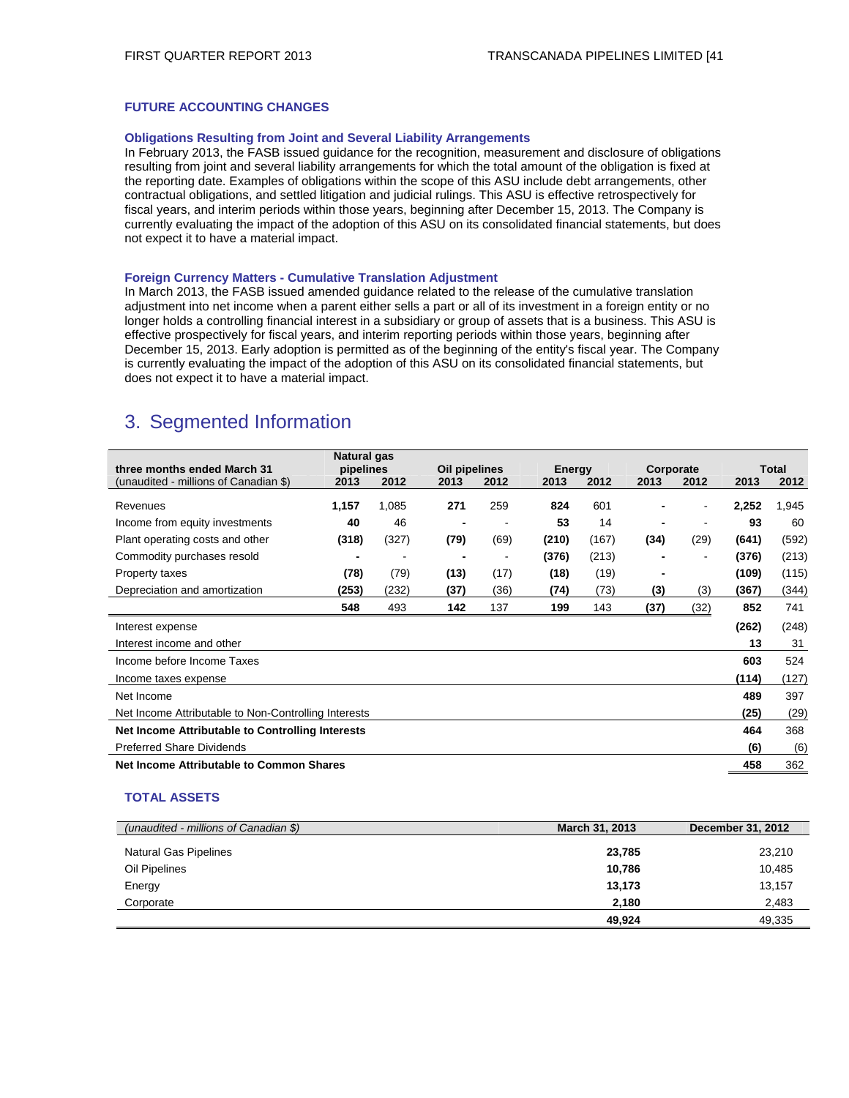# **FUTURE ACCOUNTING CHANGES**

## **Obligations Resulting from Joint and Several Liability Arrangements**

In February 2013, the FASB issued guidance for the recognition, measurement and disclosure of obligations resulting from joint and several liability arrangements for which the total amount of the obligation is fixed at the reporting date. Examples of obligations within the scope of this ASU include debt arrangements, other contractual obligations, and settled litigation and judicial rulings. This ASU is effective retrospectively for fiscal years, and interim periods within those years, beginning after December 15, 2013. The Company is currently evaluating the impact of the adoption of this ASU on its consolidated financial statements, but does not expect it to have a material impact.

#### **Foreign Currency Matters - Cumulative Translation Adjustment**

In March 2013, the FASB issued amended guidance related to the release of the cumulative translation adjustment into net income when a parent either sells a part or all of its investment in a foreign entity or no longer holds a controlling financial interest in a subsidiary or group of assets that is a business. This ASU is effective prospectively for fiscal years, and interim reporting periods within those years, beginning after December 15, 2013. Early adoption is permitted as of the beginning of the entity's fiscal year. The Company is currently evaluating the impact of the adoption of this ASU on its consolidated financial statements, but does not expect it to have a material impact.

# 3. Segmented Information

|                                                                      | Natural gas       |       |                       |                          |                       |       |                   |                          |       |               |
|----------------------------------------------------------------------|-------------------|-------|-----------------------|--------------------------|-----------------------|-------|-------------------|--------------------------|-------|---------------|
| three months ended March 31<br>(unaudited - millions of Canadian \$) | pipelines<br>2013 | 2012  | Oil pipelines<br>2013 | 2012                     | <b>Energy</b><br>2013 | 2012  | Corporate<br>2013 | 2012                     | 2013  | Total<br>2012 |
|                                                                      |                   |       |                       |                          |                       |       |                   |                          |       |               |
| Revenues                                                             | 1,157             | 1,085 | 271                   | 259                      | 824                   | 601   |                   |                          | 2,252 | 1,945         |
| Income from equity investments                                       | 40                | 46    | $\blacksquare$        | $\overline{\phantom{a}}$ | 53                    | 14    | ٠                 | $\blacksquare$           | 93    | 60            |
| Plant operating costs and other                                      | (318)             | (327) | (79)                  | (69)                     | (210)                 | (167) | (34)              | (29)                     | (641) | (592)         |
| Commodity purchases resold                                           | $\blacksquare$    | ٠     | $\blacksquare$        | $\overline{\phantom{a}}$ | (376)                 | (213) |                   | $\overline{\phantom{0}}$ | (376) | (213)         |
| Property taxes                                                       | (78)              | (79)  | (13)                  | (17)                     | (18)                  | (19)  |                   |                          | (109) | (115)         |
| Depreciation and amortization                                        | (253)             | (232) | (37)                  | (36)                     | (74)                  | (73)  | (3)               | (3)                      | (367) | (344)         |
|                                                                      | 548               | 493   | 142                   | 137                      | 199                   | 143   | (37)              | (32)                     | 852   | 741           |
| Interest expense                                                     |                   |       |                       |                          |                       |       |                   |                          | (262) | (248)         |
| Interest income and other                                            |                   |       |                       |                          |                       |       |                   |                          | 13    | 31            |
| Income before Income Taxes                                           |                   |       |                       |                          |                       |       |                   |                          | 603   | 524           |
| Income taxes expense                                                 |                   |       |                       |                          |                       |       |                   |                          | (114) | (127)         |
| Net Income                                                           |                   |       |                       |                          |                       |       |                   |                          | 489   | 397           |
| Net Income Attributable to Non-Controlling Interests                 |                   |       |                       |                          |                       |       |                   |                          | (25)  | (29)          |
| Net Income Attributable to Controlling Interests                     |                   |       |                       |                          |                       | 464   | 368               |                          |       |               |
| <b>Preferred Share Dividends</b>                                     |                   |       |                       |                          |                       |       |                   |                          | (6)   | (6)           |
| Net Income Attributable to Common Shares                             |                   |       |                       |                          |                       |       |                   |                          | 458   | 362           |

#### **TOTAL ASSETS**

| (unaudited - millions of Canadian \$) | March 31, 2013 | <b>December 31, 2012</b> |
|---------------------------------------|----------------|--------------------------|
| <b>Natural Gas Pipelines</b>          | 23,785         | 23,210                   |
| Oil Pipelines                         | 10,786         | 10,485                   |
| Energy                                | 13,173         | 13,157                   |
| Corporate                             | 2,180          | 2,483                    |
|                                       | 49.924         | 49,335                   |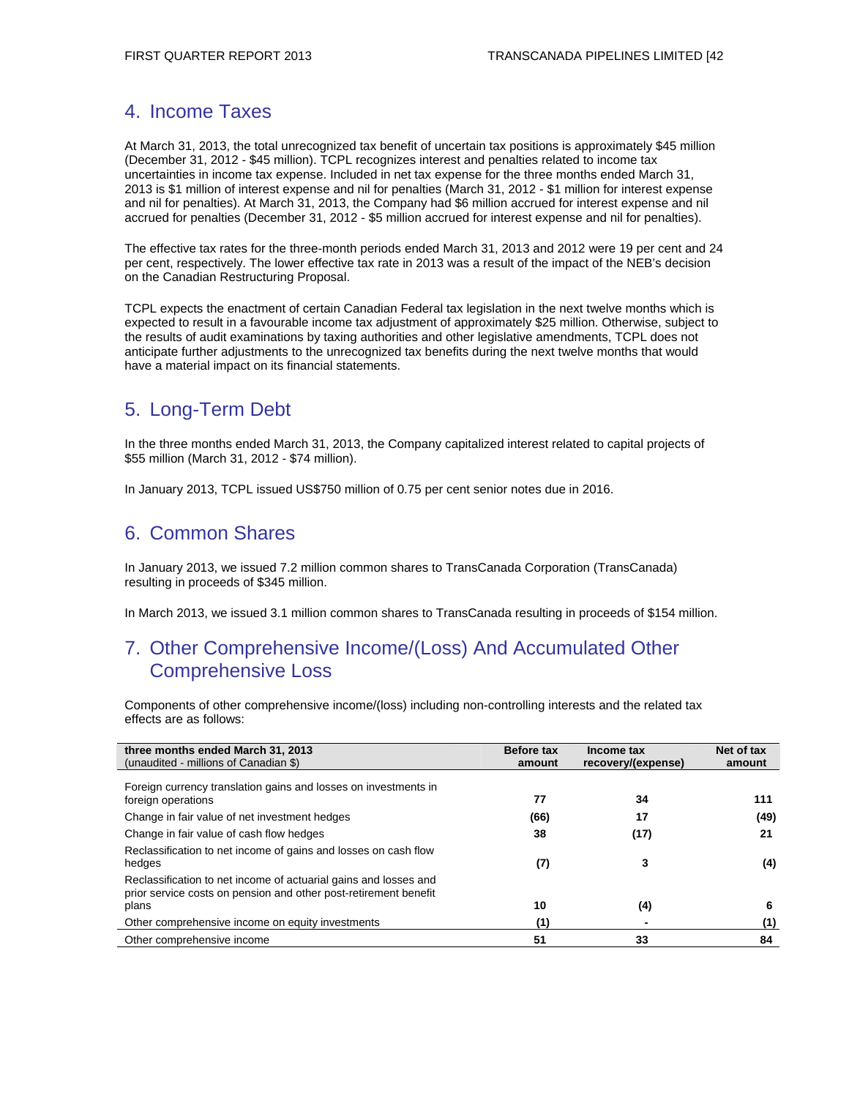# 4. Income Taxes

At March 31, 2013, the total unrecognized tax benefit of uncertain tax positions is approximately \$45 million (December 31, 2012 - \$45 million). TCPL recognizes interest and penalties related to income tax uncertainties in income tax expense. Included in net tax expense for the three months ended March 31, 2013 is \$1 million of interest expense and nil for penalties (March 31, 2012 - \$1 million for interest expense and nil for penalties). At March 31, 2013, the Company had \$6 million accrued for interest expense and nil accrued for penalties (December 31, 2012 - \$5 million accrued for interest expense and nil for penalties).

The effective tax rates for the three-month periods ended March 31, 2013 and 2012 were 19 per cent and 24 per cent, respectively. The lower effective tax rate in 2013 was a result of the impact of the NEB's decision on the Canadian Restructuring Proposal.

TCPL expects the enactment of certain Canadian Federal tax legislation in the next twelve months which is expected to result in a favourable income tax adjustment of approximately \$25 million. Otherwise, subject to the results of audit examinations by taxing authorities and other legislative amendments, TCPL does not anticipate further adjustments to the unrecognized tax benefits during the next twelve months that would have a material impact on its financial statements.

# 5. Long-Term Debt

In the three months ended March 31, 2013, the Company capitalized interest related to capital projects of \$55 million (March 31, 2012 - \$74 million).

In January 2013, TCPL issued US\$750 million of 0.75 per cent senior notes due in 2016.

# 6. Common Shares

In January 2013, we issued 7.2 million common shares to TransCanada Corporation (TransCanada) resulting in proceeds of \$345 million.

In March 2013, we issued 3.1 million common shares to TransCanada resulting in proceeds of \$154 million.

# 7. Other Comprehensive Income/(Loss) And Accumulated Other Comprehensive Loss

Components of other comprehensive income/(loss) including non-controlling interests and the related tax effects are as follows:

| three months ended March 31, 2013                                                                                                    | <b>Before tax</b> | Income tax         | Net of tax |
|--------------------------------------------------------------------------------------------------------------------------------------|-------------------|--------------------|------------|
| (unaudited - millions of Canadian \$)                                                                                                | amount            | recovery/(expense) | amount     |
| Foreign currency translation gains and losses on investments in<br>foreign operations                                                | 77                | 34                 | 111        |
| Change in fair value of net investment hedges                                                                                        | (66)              | 17                 | (49)       |
| Change in fair value of cash flow hedges                                                                                             | 38                | (17)               | 21         |
| Reclassification to net income of gains and losses on cash flow<br>hedges                                                            | (7)               | 3                  | (4)        |
| Reclassification to net income of actuarial gains and losses and<br>prior service costs on pension and other post-retirement benefit |                   |                    |            |
| plans                                                                                                                                | 10                | (4)                | 6          |
| Other comprehensive income on equity investments                                                                                     | (1)               |                    | (1)        |
| Other comprehensive income                                                                                                           | 51                | 33                 | 84         |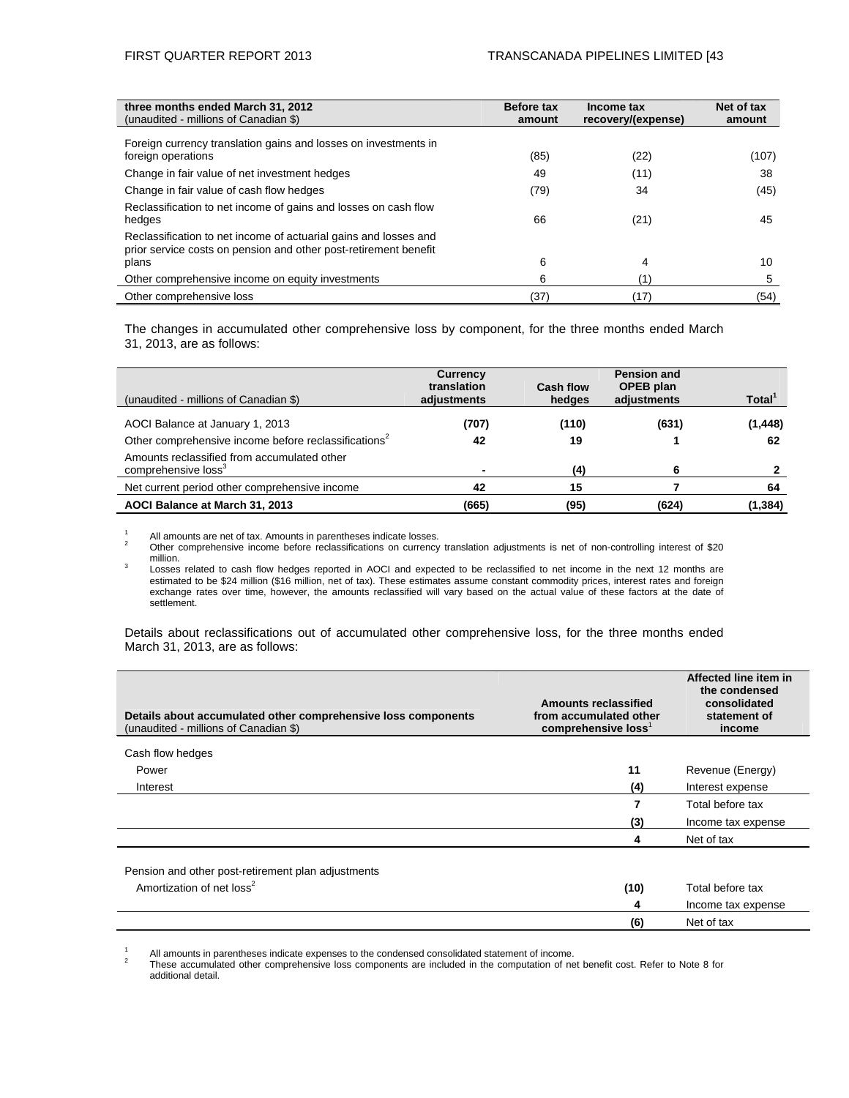| three months ended March 31, 2012<br>(unaudited - millions of Canadian \$)                                                           | <b>Before tax</b> | Income tax         | Net of tax |
|--------------------------------------------------------------------------------------------------------------------------------------|-------------------|--------------------|------------|
|                                                                                                                                      | amount            | recovery/(expense) | amount     |
| Foreign currency translation gains and losses on investments in<br>foreign operations                                                | (85)              | (22)               | (107)      |
| Change in fair value of net investment hedges                                                                                        | 49                | (11)               | 38         |
| Change in fair value of cash flow hedges                                                                                             | (79)              | 34                 | (45)       |
| Reclassification to net income of gains and losses on cash flow<br>hedges                                                            | 66                | (21)               | 45         |
| Reclassification to net income of actuarial gains and losses and<br>prior service costs on pension and other post-retirement benefit |                   |                    |            |
| plans                                                                                                                                | 6                 | 4                  | 10         |
| Other comprehensive income on equity investments                                                                                     | 6                 |                    | 5          |
| Other comprehensive loss                                                                                                             | (37)              | (17)               | (54)       |

The changes in accumulated other comprehensive loss by component, for the three months ended March 31, 2013, are as follows:

| (unaudited - millions of Canadian \$)                                                               | Currency<br>translation<br>adiustments | Cash flow<br>hedges | <b>Pension and</b><br><b>OPEB</b> plan<br>adjustments | Total <sup>1</sup> |
|-----------------------------------------------------------------------------------------------------|----------------------------------------|---------------------|-------------------------------------------------------|--------------------|
| AOCI Balance at January 1, 2013<br>Other comprehensive income before reclassifications <sup>2</sup> | (707)<br>42                            | (110)<br>19         | (631)                                                 | (1, 448)<br>62     |
| Amounts reclassified from accumulated other<br>comprehensive loss <sup>3</sup>                      |                                        | (4)                 | 6                                                     |                    |
| Net current period other comprehensive income                                                       | 42                                     | 15                  |                                                       | 64                 |
| AOCI Balance at March 31, 2013                                                                      | (665)                                  | (95)                | (624)                                                 | (1,384)            |

1 All amounts are net of tax. Amounts in parentheses indicate losses.

2 Other comprehensive income before reclassifications on currency translation adjustments is net of non-controlling interest of \$20

million.<br><sup>3</sup> Losses related to cash flow hedges reported in AOCI and expected to be reclassified to net income in the next 12 months are estimated to be \$24 million (\$16 million, net of tax). These estimates assume constant commodity prices, interest rates and foreign exchange rates over time, however, the amounts reclassified will vary based on the actual value of these factors at the date of settlement.

Details about reclassifications out of accumulated other comprehensive loss, for the three months ended March 31, 2013, are as follows:

| Details about accumulated other comprehensive loss components<br>(unaudited - millions of Canadian \$) | <b>Amounts reclassified</b><br>from accumulated other<br>comprehensive loss <sup>1</sup> | Affected line item in<br>the condensed<br>consolidated<br>statement of<br>income |
|--------------------------------------------------------------------------------------------------------|------------------------------------------------------------------------------------------|----------------------------------------------------------------------------------|
| Cash flow hedges                                                                                       |                                                                                          |                                                                                  |
| Power                                                                                                  | 11                                                                                       | Revenue (Energy)                                                                 |
| Interest                                                                                               | (4)                                                                                      | Interest expense                                                                 |
|                                                                                                        | 7                                                                                        | Total before tax                                                                 |
|                                                                                                        | (3)                                                                                      | Income tax expense                                                               |
|                                                                                                        | 4                                                                                        | Net of tax                                                                       |
| Pension and other post-retirement plan adjustments                                                     |                                                                                          |                                                                                  |
| Amortization of net loss <sup>2</sup>                                                                  | (10)                                                                                     | Total before tax                                                                 |
|                                                                                                        | 4                                                                                        | Income tax expense                                                               |
|                                                                                                        | (6)                                                                                      | Net of tax                                                                       |

1 <sup>1</sup> All amounts in parentheses indicate expenses to the condensed consolidated statement of income.

 These accumulated other comprehensive loss components are included in the computation of net benefit cost. Refer to Note 8 for additional detail.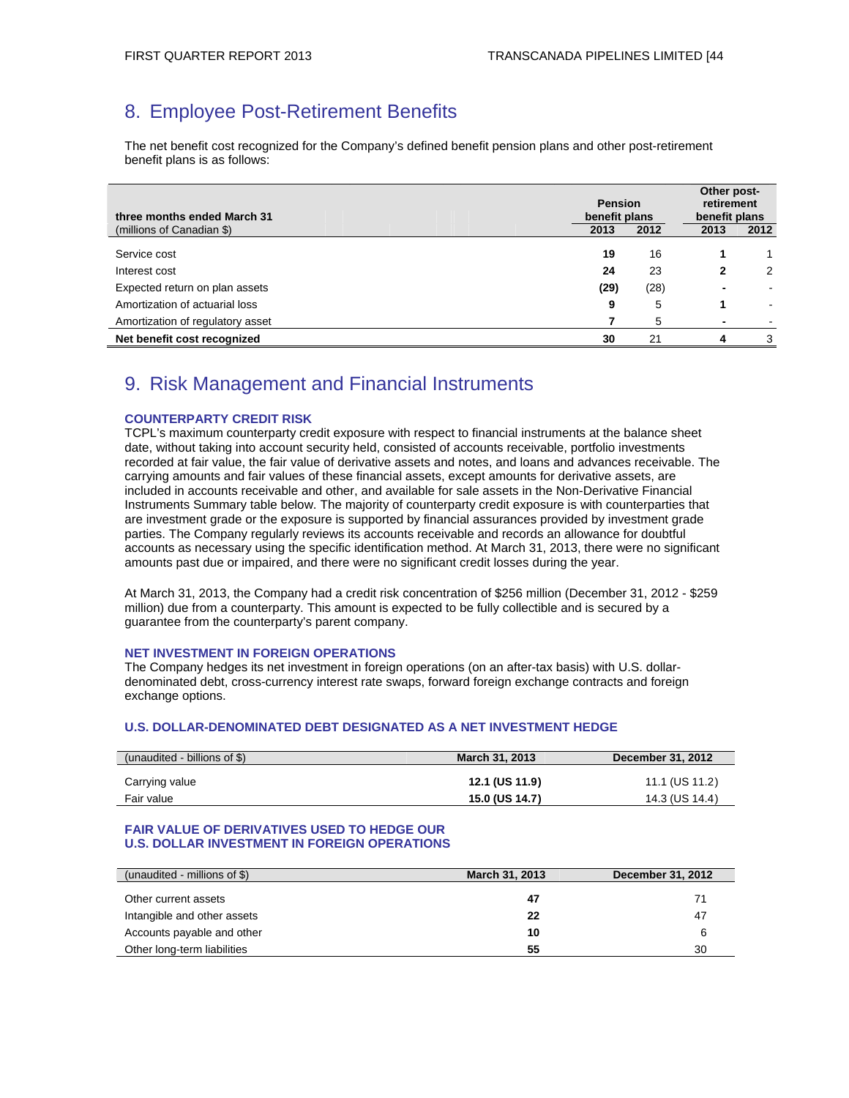# 8. Employee Post-Retirement Benefits

The net benefit cost recognized for the Company's defined benefit pension plans and other post-retirement benefit plans is as follows:

| three months ended March 31      | <b>Pension</b><br>benefit plans |      | Other post-<br>retirement<br>benefit plans |      |
|----------------------------------|---------------------------------|------|--------------------------------------------|------|
| (millions of Canadian \$)        | 2013                            | 2012 | 2013                                       | 2012 |
| Service cost                     | 19                              | 16   |                                            | 1    |
| Interest cost                    | 24                              | 23   | 2                                          | 2    |
| Expected return on plan assets   | (29)                            | (28) |                                            |      |
| Amortization of actuarial loss   | 9                               | 5    |                                            |      |
| Amortization of regulatory asset |                                 | 5    |                                            |      |
| Net benefit cost recognized      | 30                              | 21   | 4                                          | 3    |

# 9. Risk Management and Financial Instruments

## **COUNTERPARTY CREDIT RISK**

TCPL's maximum counterparty credit exposure with respect to financial instruments at the balance sheet date, without taking into account security held, consisted of accounts receivable, portfolio investments recorded at fair value, the fair value of derivative assets and notes, and loans and advances receivable. The carrying amounts and fair values of these financial assets, except amounts for derivative assets, are included in accounts receivable and other, and available for sale assets in the Non-Derivative Financial Instruments Summary table below. The majority of counterparty credit exposure is with counterparties that are investment grade or the exposure is supported by financial assurances provided by investment grade parties. The Company regularly reviews its accounts receivable and records an allowance for doubtful accounts as necessary using the specific identification method. At March 31, 2013, there were no significant amounts past due or impaired, and there were no significant credit losses during the year.

At March 31, 2013, the Company had a credit risk concentration of \$256 million (December 31, 2012 - \$259 million) due from a counterparty. This amount is expected to be fully collectible and is secured by a guarantee from the counterparty's parent company.

## **NET INVESTMENT IN FOREIGN OPERATIONS**

The Company hedges its net investment in foreign operations (on an after-tax basis) with U.S. dollardenominated debt, cross-currency interest rate swaps, forward foreign exchange contracts and foreign exchange options.

# **U.S. DOLLAR-DENOMINATED DEBT DESIGNATED AS A NET INVESTMENT HEDGE**

| (unaudited - billions of \$)<br>March 31, 2013 |                       | December 31, 2012 |
|------------------------------------------------|-----------------------|-------------------|
| Carrying value                                 | 12.1 (US 11.9)        | 11.1 (US 11.2)    |
| Fair value                                     | <b>15.0 (US 14.7)</b> | 14.3 (US 14.4)    |

#### **FAIR VALUE OF DERIVATIVES USED TO HEDGE OUR U.S. DOLLAR INVESTMENT IN FOREIGN OPERATIONS**

| (unaudited - millions of \$) | March 31, 2013 | December 31, 2012 |
|------------------------------|----------------|-------------------|
| Other current assets         | 47             |                   |
| Intangible and other assets  | 22             | 47                |
| Accounts payable and other   | 10             |                   |
| Other long-term liabilities  | 55             | 30                |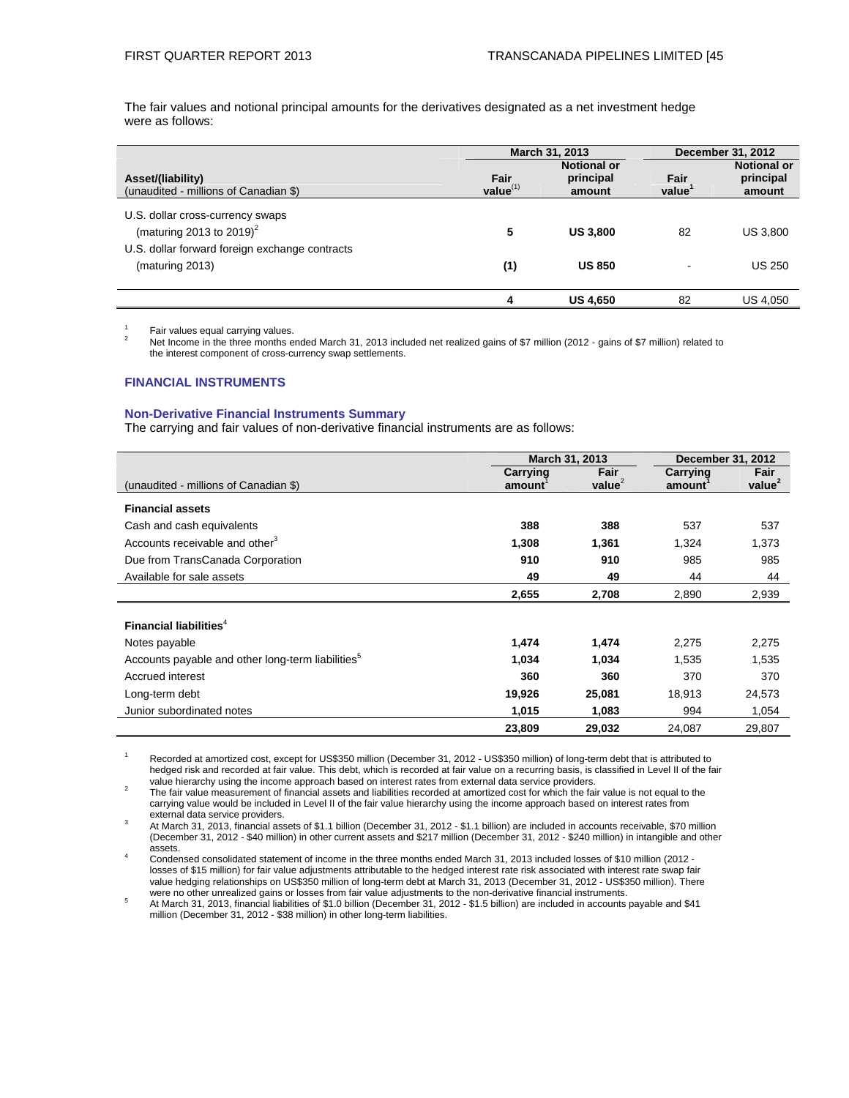The fair values and notional principal amounts for the derivatives designated as a net investment hedge were as follows:

|                                                                          |                        | March 31, 2013                     |                            | December 31, 2012                         |
|--------------------------------------------------------------------------|------------------------|------------------------------------|----------------------------|-------------------------------------------|
| Asset/(liability)<br>(unaudited - millions of Canadian \$)               | Fair<br>value $^{(1)}$ | Notional or<br>principal<br>amount | Fair<br>value <sup>1</sup> | <b>Notional or</b><br>principal<br>amount |
| U.S. dollar cross-currency swaps<br>(maturing 2013 to 2019) <sup>2</sup> | 5                      | <b>US 3,800</b>                    | 82                         | US 3,800                                  |
| U.S. dollar forward foreign exchange contracts<br>(maturity 2013)        | (1)                    | <b>US 850</b>                      |                            | US 250                                    |
|                                                                          | 4                      | <b>US 4.650</b>                    | 82                         | US 4,050                                  |

1 Fair values equal carrying values.

2 Net Income in the three months ended March 31, 2013 included net realized gains of \$7 million (2012 - gains of \$7 million) related to the interest component of cross-currency swap settlements.

## **FINANCIAL INSTRUMENTS**

#### **Non-Derivative Financial Instruments Summary**

The carrying and fair values of non-derivative financial instruments are as follows:

|                                                               |                    | March 31, 2013    |                                 | December 31, 2012 |
|---------------------------------------------------------------|--------------------|-------------------|---------------------------------|-------------------|
| (unaudited - millions of Canadian \$)                         | Carrying<br>amount | Fair<br>value $2$ | Carrying<br>amount <sup>'</sup> | Fair<br>value $2$ |
| <b>Financial assets</b>                                       |                    |                   |                                 |                   |
| Cash and cash equivalents                                     | 388                | 388               | 537                             | 537               |
| Accounts receivable and other <sup>3</sup>                    | 1,308              | 1,361             | 1,324                           | 1,373             |
| Due from TransCanada Corporation                              | 910                | 910               | 985                             | 985               |
| Available for sale assets                                     | 49                 | 49                | 44                              | 44                |
|                                                               | 2,655              | 2,708             | 2,890                           | 2,939             |
|                                                               |                    |                   |                                 |                   |
| Financial liabilities <sup>4</sup>                            |                    |                   |                                 |                   |
| Notes payable                                                 | 1,474              | 1,474             | 2,275                           | 2,275             |
| Accounts payable and other long-term liabilities <sup>5</sup> | 1,034              | 1,034             | 1,535                           | 1,535             |
| Accrued interest                                              | 360                | 360               | 370                             | 370               |
| Long-term debt                                                | 19,926             | 25,081            | 18,913                          | 24,573            |
| Junior subordinated notes                                     | 1,015              | 1,083             | 994                             | 1,054             |
|                                                               | 23,809             | 29,032            | 24,087                          | 29,807            |

1 Recorded at amortized cost, except for US\$350 million (December 31, 2012 - US\$350 million) of long-term debt that is attributed to hedged risk and recorded at fair value. This debt, which is recorded at fair value on a recurring basis, is classified in Level II of the fair value hierarchy using the income approach based on interest rates from external data service providers.<br><sup>2</sup> The fair value approximant of financial service and lightilities approached at approximal service which the fai

 The fair value measurement of financial assets and liabilities recorded at amortized cost for which the fair value is not equal to the carrying value would be included in Level II of the fair value hierarchy using the income approach based on interest rates from external data service providers.

 At March 31, 2013, financial assets of \$1.1 billion (December 31, 2012 - \$1.1 billion) are included in accounts receivable, \$70 million (December 31, 2012 - \$40 million) in other current assets and \$217 million (December 31, 2012 - \$240 million) in intangible and other assets. 4

 Condensed consolidated statement of income in the three months ended March 31, 2013 included losses of \$10 million (2012 losses of \$15 million) for fair value adjustments attributable to the hedged interest rate risk associated with interest rate swap fair value hedging relationships on US\$350 million of long-term debt at March 31, 2013 (December 31, 2012 - US\$350 million). There were no other unrealized gains or losses from fair value adjustments to the non-derivative financial instruments. 5

 At March 31, 2013, financial liabilities of \$1.0 billion (December 31, 2012 - \$1.5 billion) are included in accounts payable and \$41 million (December 31, 2012 - \$38 million) in other long-term liabilities.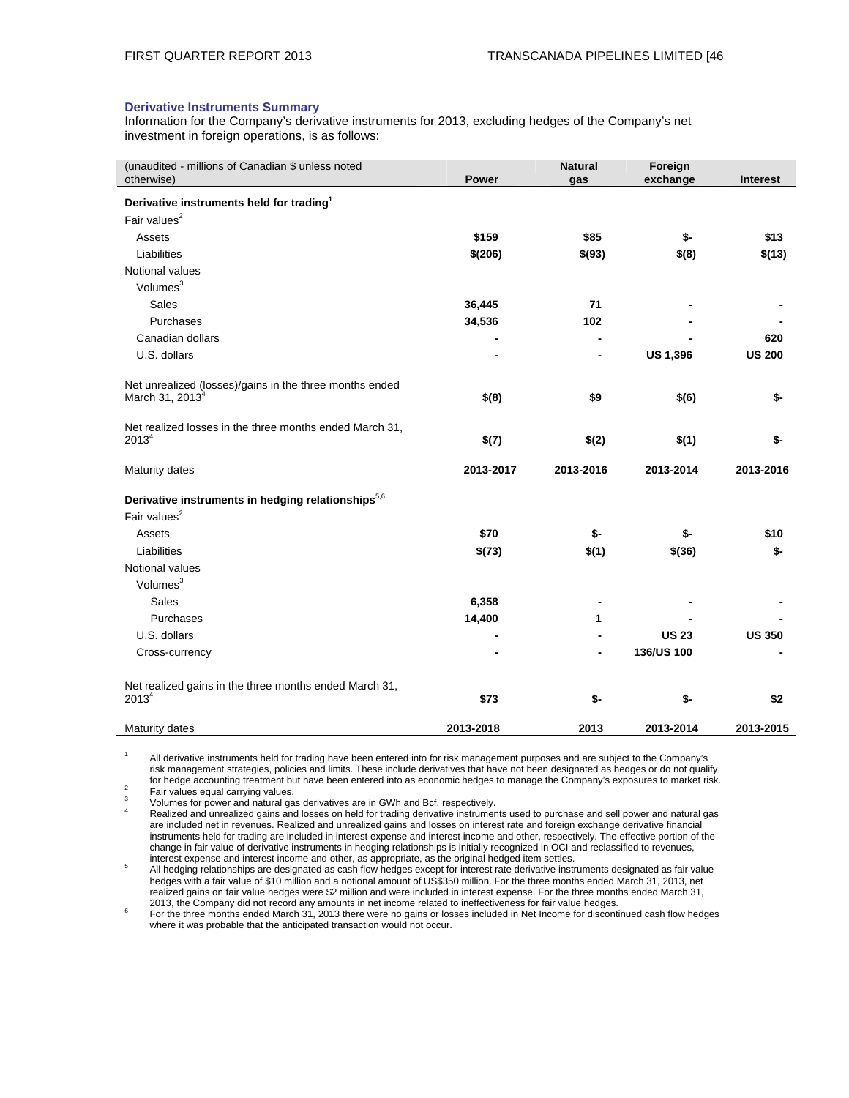# **Derivative Instruments Summary**

Information for the Company's derivative instruments for 2013, excluding hedges of the Company's net investment in foreign operations, is as follows:

| (unaudited - millions of Canadian \$ unless noted                                          |              | <b>Natural</b> | Foreign         |                 |
|--------------------------------------------------------------------------------------------|--------------|----------------|-----------------|-----------------|
| otherwise)                                                                                 | <b>Power</b> | gas            | exchange        | <b>Interest</b> |
| Derivative instruments held for trading <sup>1</sup>                                       |              |                |                 |                 |
| Fair values <sup>2</sup>                                                                   |              |                |                 |                 |
| Assets                                                                                     | \$159        | \$85           | \$-             | \$13            |
| Liabilities                                                                                | \$(206)      | \$(93)         | \$(8)           | \$(13)          |
| Notional values                                                                            |              |                |                 |                 |
| Volumes <sup>3</sup>                                                                       |              |                |                 |                 |
| Sales                                                                                      | 36,445       | 71             |                 |                 |
| Purchases                                                                                  | 34,536       | 102            |                 |                 |
| Canadian dollars                                                                           |              |                |                 | 620             |
| U.S. dollars                                                                               |              | $\blacksquare$ | <b>US 1,396</b> | <b>US 200</b>   |
|                                                                                            |              |                |                 |                 |
| Net unrealized (losses)/gains in the three months ended                                    |              |                |                 |                 |
| March 31, 2013 <sup>4</sup>                                                                | \$(8)        | \$9            | \$(6)           | \$-             |
| Net realized losses in the three months ended March 31,                                    |              |                |                 |                 |
| 2013 <sup>4</sup>                                                                          | \$(7)        | \$(2)          | \$(1)           | \$-             |
|                                                                                            |              |                |                 |                 |
| Maturity dates                                                                             | 2013-2017    | 2013-2016      | 2013-2014       | 2013-2016       |
|                                                                                            |              |                |                 |                 |
| Derivative instruments in hedging relationships <sup>5,6</sup><br>Fair values <sup>2</sup> |              |                |                 |                 |
|                                                                                            |              |                |                 |                 |
| Assets                                                                                     | \$70         | \$-            | \$-             | \$10            |
| Liabilities                                                                                | \$(73)       | \$(1)          | \$(36)          | \$-             |
| Notional values                                                                            |              |                |                 |                 |
| Volumes <sup>3</sup>                                                                       |              |                |                 |                 |
| Sales                                                                                      | 6,358        |                |                 |                 |
| Purchases                                                                                  | 14,400       | 1              |                 |                 |
| U.S. dollars                                                                               |              |                | <b>US 23</b>    | <b>US 350</b>   |
| Cross-currency                                                                             |              |                | 136/US 100      |                 |
| Net realized gains in the three months ended March 31,                                     |              |                |                 |                 |
| 2013 <sup>4</sup>                                                                          | \$73         | \$-            | \$-             | \$2             |
| Maturity dates                                                                             | 2013-2018    | 2013           | 2013-2014       | 2013-2015       |

1 All derivative instruments held for trading have been entered into for risk management purposes and are subject to the Company's risk management strategies, policies and limits. These include derivatives that have not been designated as hedges or do not qualify for hedge accounting treatment but have been entered into as economic hedges to manage the Company's exposures to market risk.

Fair values equal carrying values.

3 Volumes for power and natural gas derivatives are in GWh and Bcf, respectively.

4 Realized and unrealized gains and losses on held for trading derivative instruments used to purchase and sell power and natural gas are included net in revenues. Realized and unrealized gains and losses on interest rate and foreign exchange derivative financial instruments held for trading are included in interest expense and interest income and other, respectively. The effective portion of the change in fair value of derivative instruments in hedging relationships is initially recognized in OCI and reclassified to revenues,

interest expense and interest income and other, as appropriate, as the original hedged item settles. All hedging relationships are designated as cash flow hedges except for interest rate derivative instruments designated as fair value hedges with a fair value of \$10 million and a notional amount of US\$350 million. For the three months ended March 31, 2013, net realized gains on fair value hedges were \$2 million and were included in interest expense. For the three months ended March 31, 2013, the Company did not record any amounts in net income related to ineffectiveness for fair value hedges. 6

 For the three months ended March 31, 2013 there were no gains or losses included in Net Income for discontinued cash flow hedges where it was probable that the anticipated transaction would not occur.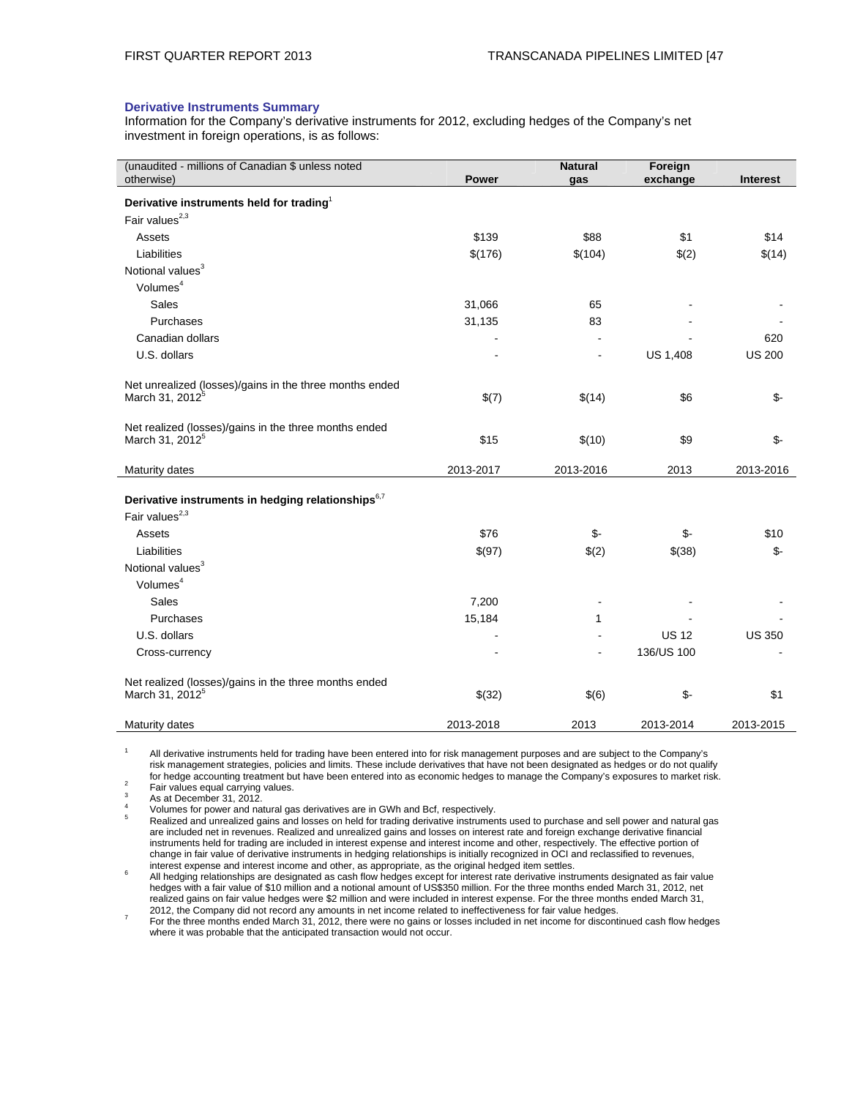# **Derivative Instruments Summary**

Information for the Company's derivative instruments for 2012, excluding hedges of the Company's net investment in foreign operations, is as follows:

| (unaudited - millions of Canadian \$ unless noted<br>otherwise)                      | <b>Power</b> | <b>Natural</b><br>gas    | Foreign<br>exchange | <b>Interest</b> |
|--------------------------------------------------------------------------------------|--------------|--------------------------|---------------------|-----------------|
|                                                                                      |              |                          |                     |                 |
| Derivative instruments held for trading <sup>1</sup>                                 |              |                          |                     |                 |
| Fair values <sup>2,3</sup>                                                           |              |                          |                     |                 |
| Assets                                                                               | \$139        | \$88                     | \$1                 | \$14            |
| Liabilities                                                                          | \$(176)      | \$(104)                  | \$(2)               | \$(14)          |
| Notional values <sup>3</sup>                                                         |              |                          |                     |                 |
| Volumes <sup>4</sup>                                                                 |              |                          |                     |                 |
| Sales                                                                                | 31,066       | 65                       |                     |                 |
| Purchases                                                                            | 31,135       | 83                       |                     |                 |
| Canadian dollars                                                                     |              |                          |                     | 620             |
| U.S. dollars                                                                         |              | $\overline{\phantom{a}}$ | <b>US 1,408</b>     | <b>US 200</b>   |
| Net unrealized (losses)/gains in the three months ended                              |              |                          |                     |                 |
| March 31, 2012 <sup>5</sup>                                                          | \$(7)        | \$(14)                   | \$6                 | \$-             |
| Net realized (losses)/gains in the three months ended                                |              |                          |                     |                 |
| March 31, 2012 <sup>5</sup>                                                          | \$15         | \$(10)                   | \$9                 | \$-             |
| Maturity dates                                                                       | 2013-2017    | 2013-2016                | 2013                | 2013-2016       |
| Derivative instruments in hedging relationships <sup>6,7</sup>                       |              |                          |                     |                 |
| Fair values <sup>2,3</sup>                                                           |              |                          |                     |                 |
| Assets                                                                               | \$76         | \$-                      | \$-                 | \$10            |
| Liabilities                                                                          | \$(97)       | \$(2)                    | \$(38)              | \$-             |
| Notional values <sup>3</sup>                                                         |              |                          |                     |                 |
| Volumes <sup>4</sup>                                                                 |              |                          |                     |                 |
| Sales                                                                                | 7,200        |                          |                     |                 |
| Purchases                                                                            | 15,184       | 1                        |                     |                 |
| U.S. dollars                                                                         |              |                          | <b>US 12</b>        | <b>US 350</b>   |
|                                                                                      |              |                          | 136/US 100          |                 |
| Cross-currency                                                                       |              |                          |                     |                 |
| Net realized (losses)/gains in the three months ended<br>March 31, 2012 <sup>5</sup> | \$(32)       | \$(6)                    | \$-                 | \$1             |
|                                                                                      |              |                          |                     |                 |
| Maturity dates                                                                       | 2013-2018    | 2013                     | 2013-2014           | 2013-2015       |

1 All derivative instruments held for trading have been entered into for risk management purposes and are subject to the Company's risk management strategies, policies and limits. These include derivatives that have not been designated as hedges or do not qualify for hedge accounting treatment but have been entered into as economic hedges to manage the Company's exposures to market risk.

Fair values equal carrying values.

3 As at December 31, 2012.

4 Volumes for power and natural gas derivatives are in GWh and Bcf, respectively.

5 Realized and unrealized gains and losses on held for trading derivative instruments used to purchase and sell power and natural gas are included net in revenues. Realized and unrealized gains and losses on interest rate and foreign exchange derivative financial instruments held for trading are included in interest expense and interest income and other, respectively. The effective portion of change in fair value of derivative instruments in hedging relationships is initially recognized in OCI and reclassified to revenues,

interest expense and interest income and other, as appropriate, as the original hedged item settles.<br>All hedging relationships are designated as cash flow hedges except for interest rate derivative instruments designated a hedges with a fair value of \$10 million and a notional amount of US\$350 million. For the three months ended March 31, 2012, net realized gains on fair value hedges were \$2 million and were included in interest expense. For the three months ended March 31, 2012, the Company did not record any amounts in net income related to ineffectiveness for fair value hedges. 7

 For the three months ended March 31, 2012, there were no gains or losses included in net income for discontinued cash flow hedges where it was probable that the anticipated transaction would not occur.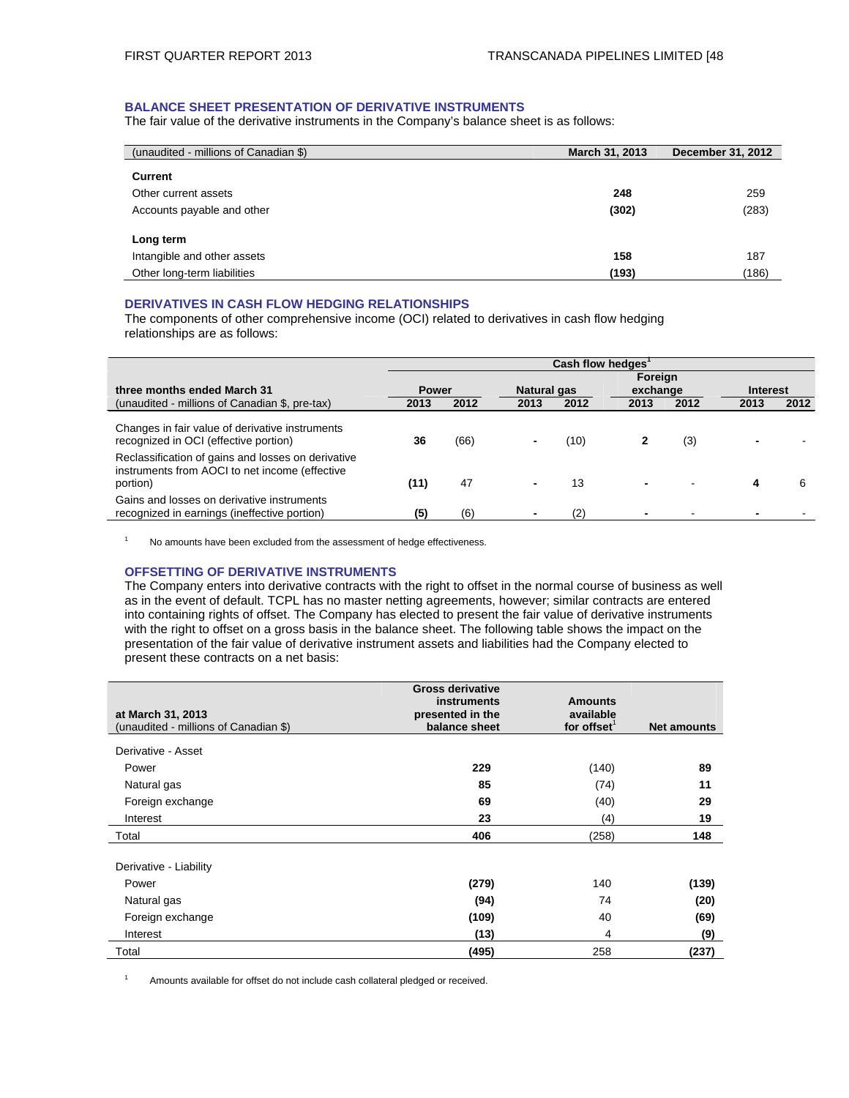# **BALANCE SHEET PRESENTATION OF DERIVATIVE INSTRUMENTS**

The fair value of the derivative instruments in the Company's balance sheet is as follows:

| (unaudited - millions of Canadian \$) | March 31, 2013 | <b>December 31, 2012</b> |
|---------------------------------------|----------------|--------------------------|
| Current                               |                |                          |
| Other current assets                  | 248            | 259                      |
| Accounts payable and other            | (302)          | (283)                    |
| Long term                             |                |                          |
|                                       |                |                          |
| Intangible and other assets           | 158            | 187                      |
| Other long-term liabilities           | (193)          | (186)                    |

## **DERIVATIVES IN CASH FLOW HEDGING RELATIONSHIPS**

The components of other comprehensive income (OCI) related to derivatives in cash flow hedging relationships are as follows:

|                                                                                                                  | Cash flow hedges |      |             |      |          |      |                 |      |
|------------------------------------------------------------------------------------------------------------------|------------------|------|-------------|------|----------|------|-----------------|------|
|                                                                                                                  | Foreign          |      |             |      |          |      |                 |      |
| three months ended March 31                                                                                      | <b>Power</b>     |      | Natural gas |      | exchange |      | <b>Interest</b> |      |
| (unaudited - millions of Canadian \$, pre-tax)                                                                   | 2013             | 2012 | 2013        | 2012 | 2013     | 2012 | 2013            | 2012 |
| Changes in fair value of derivative instruments<br>recognized in OCI (effective portion)                         | 36               | (66) |             | (10) |          | (3)  |                 |      |
| Reclassification of gains and losses on derivative<br>instruments from AOCI to net income (effective<br>portion) | (11)             | 47   |             | 13   |          |      | 4               | 6    |
| Gains and losses on derivative instruments<br>recognized in earnings (ineffective portion)                       | (5)              | (6)  |             | (2)  |          |      |                 |      |

1 No amounts have been excluded from the assessment of hedge effectiveness.

#### **OFFSETTING OF DERIVATIVE INSTRUMENTS**

The Company enters into derivative contracts with the right to offset in the normal course of business as well as in the event of default. TCPL has no master netting agreements, however; similar contracts are entered into containing rights of offset. The Company has elected to present the fair value of derivative instruments with the right to offset on a gross basis in the balance sheet. The following table shows the impact on the presentation of the fair value of derivative instrument assets and liabilities had the Company elected to present these contracts on a net basis:

| at March 31, 2013                     | <b>Gross derivative</b><br>instruments<br>presented in the | <b>Amounts</b><br>available |             |
|---------------------------------------|------------------------------------------------------------|-----------------------------|-------------|
| (unaudited - millions of Canadian \$) | balance sheet                                              | for offset                  | Net amounts |
| Derivative - Asset                    |                                                            |                             |             |
| Power                                 | 229                                                        | (140)                       | 89          |
| Natural gas                           | 85                                                         | (74)                        | 11          |
| Foreign exchange                      | 69                                                         | (40)                        | 29          |
| Interest                              | 23                                                         | (4)                         | 19          |
| Total                                 | 406                                                        | (258)                       | 148         |
| Derivative - Liability                |                                                            |                             |             |
| Power                                 | (279)                                                      | 140                         | (139)       |
| Natural gas                           | (94)                                                       | 74                          | (20)        |
| Foreign exchange                      | (109)                                                      | 40                          | (69)        |
| Interest                              | (13)                                                       | 4                           | (9)         |
| Total                                 | (495)                                                      | 258                         | (237)       |

1 Amounts available for offset do not include cash collateral pledged or received.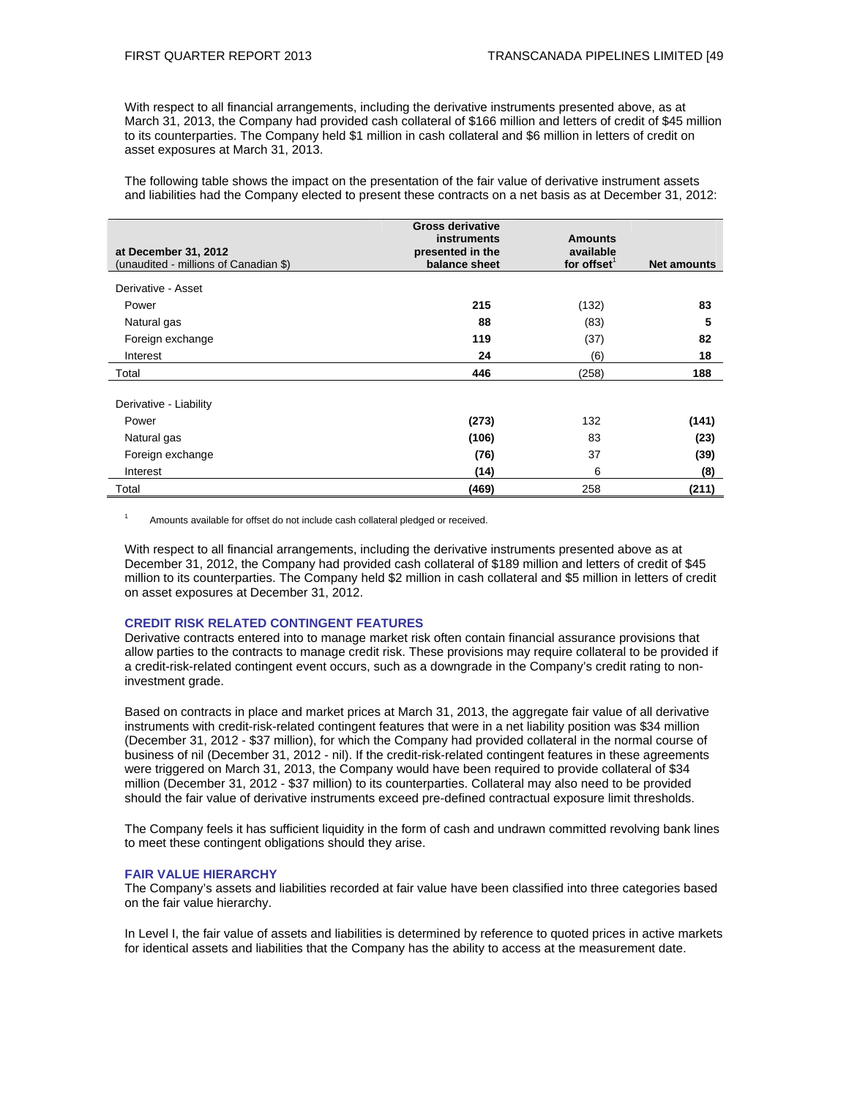With respect to all financial arrangements, including the derivative instruments presented above, as at March 31, 2013, the Company had provided cash collateral of \$166 million and letters of credit of \$45 million to its counterparties. The Company held \$1 million in cash collateral and \$6 million in letters of credit on asset exposures at March 31, 2013.

The following table shows the impact on the presentation of the fair value of derivative instrument assets and liabilities had the Company elected to present these contracts on a net basis as at December 31, 2012:

|                                                               | <b>Gross derivative</b><br>instruments | <b>Amounts</b>          |                    |
|---------------------------------------------------------------|----------------------------------------|-------------------------|--------------------|
| at December 31, 2012<br>(unaudited - millions of Canadian \$) | presented in the<br>balance sheet      | available<br>for offset | <b>Net amounts</b> |
| Derivative - Asset                                            |                                        |                         |                    |
| Power                                                         | 215                                    | (132)                   | 83                 |
| Natural gas                                                   | 88                                     | (83)                    | 5                  |
| Foreign exchange                                              | 119                                    | (37)                    | 82                 |
| Interest                                                      | 24                                     | (6)                     | 18                 |
| Total                                                         | 446                                    | (258)                   | 188                |
| Derivative - Liability                                        |                                        |                         |                    |
| Power                                                         | (273)                                  | 132                     | (141)              |
| Natural gas                                                   | (106)                                  | 83                      | (23)               |
| Foreign exchange                                              | (76)                                   | 37                      | (39)               |
| Interest                                                      | (14)                                   | 6                       | (8)                |
| Total                                                         | (469)                                  | 258                     | (211)              |

1 Amounts available for offset do not include cash collateral pledged or received.

With respect to all financial arrangements, including the derivative instruments presented above as at December 31, 2012, the Company had provided cash collateral of \$189 million and letters of credit of \$45 million to its counterparties. The Company held \$2 million in cash collateral and \$5 million in letters of credit on asset exposures at December 31, 2012.

## **CREDIT RISK RELATED CONTINGENT FEATURES**

Derivative contracts entered into to manage market risk often contain financial assurance provisions that allow parties to the contracts to manage credit risk. These provisions may require collateral to be provided if a credit-risk-related contingent event occurs, such as a downgrade in the Company's credit rating to noninvestment grade.

Based on contracts in place and market prices at March 31, 2013, the aggregate fair value of all derivative instruments with credit-risk-related contingent features that were in a net liability position was \$34 million (December 31, 2012 - \$37 million), for which the Company had provided collateral in the normal course of business of nil (December 31, 2012 - nil). If the credit-risk-related contingent features in these agreements were triggered on March 31, 2013, the Company would have been required to provide collateral of \$34 million (December 31, 2012 - \$37 million) to its counterparties. Collateral may also need to be provided should the fair value of derivative instruments exceed pre-defined contractual exposure limit thresholds.

The Company feels it has sufficient liquidity in the form of cash and undrawn committed revolving bank lines to meet these contingent obligations should they arise.

#### **FAIR VALUE HIERARCHY**

The Company's assets and liabilities recorded at fair value have been classified into three categories based on the fair value hierarchy.

In Level I, the fair value of assets and liabilities is determined by reference to quoted prices in active markets for identical assets and liabilities that the Company has the ability to access at the measurement date.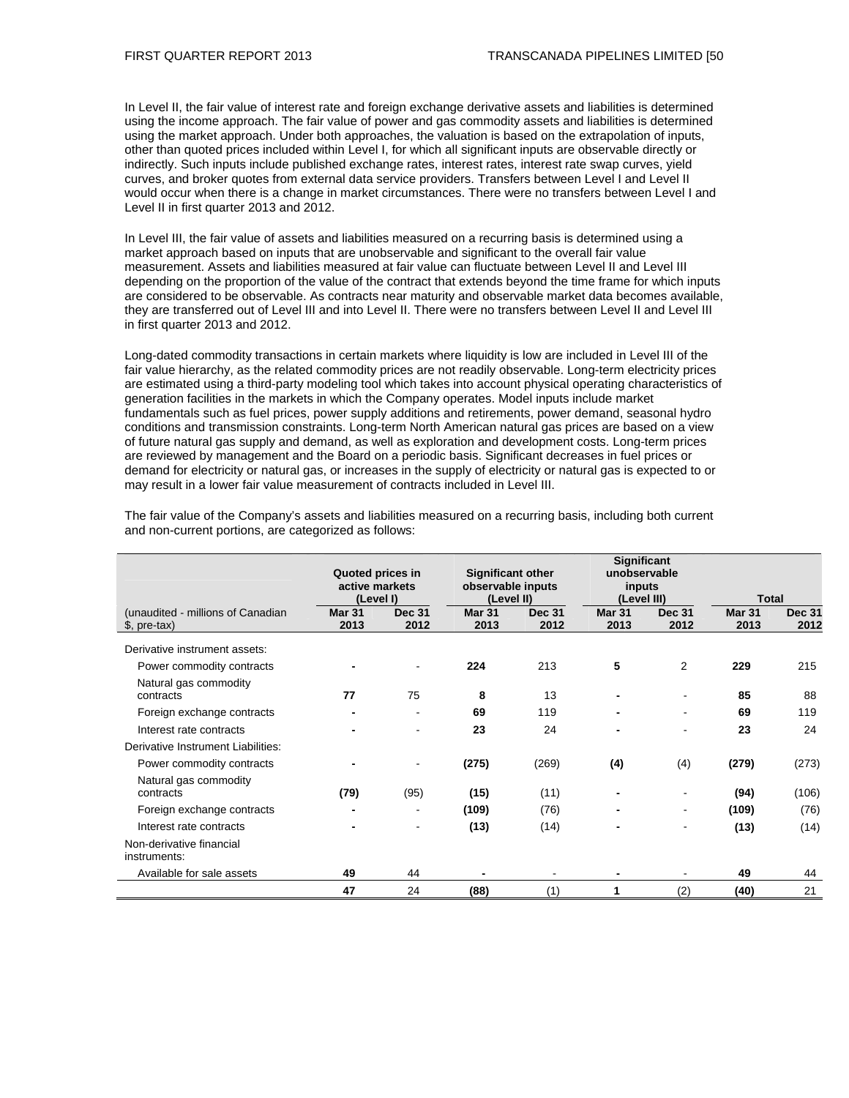In Level II, the fair value of interest rate and foreign exchange derivative assets and liabilities is determined using the income approach. The fair value of power and gas commodity assets and liabilities is determined using the market approach. Under both approaches, the valuation is based on the extrapolation of inputs, other than quoted prices included within Level I, for which all significant inputs are observable directly or indirectly. Such inputs include published exchange rates, interest rates, interest rate swap curves, yield curves, and broker quotes from external data service providers. Transfers between Level I and Level II would occur when there is a change in market circumstances. There were no transfers between Level I and Level II in first quarter 2013 and 2012.

In Level III, the fair value of assets and liabilities measured on a recurring basis is determined using a market approach based on inputs that are unobservable and significant to the overall fair value measurement. Assets and liabilities measured at fair value can fluctuate between Level II and Level III depending on the proportion of the value of the contract that extends beyond the time frame for which inputs are considered to be observable. As contracts near maturity and observable market data becomes available, they are transferred out of Level III and into Level II. There were no transfers between Level II and Level III in first quarter 2013 and 2012.

Long-dated commodity transactions in certain markets where liquidity is low are included in Level III of the fair value hierarchy, as the related commodity prices are not readily observable. Long-term electricity prices are estimated using a third-party modeling tool which takes into account physical operating characteristics of generation facilities in the markets in which the Company operates. Model inputs include market fundamentals such as fuel prices, power supply additions and retirements, power demand, seasonal hydro conditions and transmission constraints. Long-term North American natural gas prices are based on a view of future natural gas supply and demand, as well as exploration and development costs. Long-term prices are reviewed by management and the Board on a periodic basis. Significant decreases in fuel prices or demand for electricity or natural gas, or increases in the supply of electricity or natural gas is expected to or may result in a lower fair value measurement of contracts included in Level III.

|                                                   | <b>Quoted prices in</b><br>active markets |                       | <b>Significant other</b><br>observable inputs |                       |                       | <b>Significant</b><br>unobservable<br>inputs<br>(Level III) |                       |                       |
|---------------------------------------------------|-------------------------------------------|-----------------------|-----------------------------------------------|-----------------------|-----------------------|-------------------------------------------------------------|-----------------------|-----------------------|
|                                                   |                                           | (Level I)             |                                               | (Level II)            |                       |                                                             |                       | Total                 |
| (unaudited - millions of Canadian<br>\$, pre-tax) | <b>Mar 31</b><br>2013                     | <b>Dec 31</b><br>2012 | <b>Mar 31</b><br>2013                         | <b>Dec 31</b><br>2012 | <b>Mar 31</b><br>2013 | <b>Dec 31</b><br>2012                                       | <b>Mar 31</b><br>2013 | <b>Dec 31</b><br>2012 |
| Derivative instrument assets:                     |                                           |                       |                                               |                       |                       |                                                             |                       |                       |
| Power commodity contracts                         |                                           |                       | 224                                           | 213                   | 5                     | 2                                                           | 229                   | 215                   |
| Natural gas commodity                             |                                           |                       |                                               |                       |                       |                                                             |                       |                       |
| contracts                                         | 77                                        | 75                    | 8                                             | 13                    |                       |                                                             | 85                    | 88                    |
| Foreign exchange contracts                        |                                           | $\blacksquare$        | 69                                            | 119                   |                       | ٠                                                           | 69                    | 119                   |
| Interest rate contracts                           |                                           |                       | 23                                            | 24                    |                       |                                                             | 23                    | 24                    |
| Derivative Instrument Liabilities:                |                                           |                       |                                               |                       |                       |                                                             |                       |                       |
| Power commodity contracts                         |                                           |                       | (275)                                         | (269)                 | (4)                   | (4)                                                         | (279)                 | (273)                 |
| Natural gas commodity                             |                                           |                       |                                               |                       |                       |                                                             |                       |                       |
| contracts                                         | (79)                                      | (95)                  | (15)                                          | (11)                  |                       |                                                             | (94)                  | (106)                 |
| Foreign exchange contracts                        |                                           |                       | (109)                                         | (76)                  |                       | ۰                                                           | (109)                 | (76)                  |
| Interest rate contracts                           |                                           |                       | (13)                                          | (14)                  |                       |                                                             | (13)                  | (14)                  |
| Non-derivative financial<br>instruments:          |                                           |                       |                                               |                       |                       |                                                             |                       |                       |
| Available for sale assets                         | 49                                        | 44                    |                                               |                       |                       |                                                             | 49                    | 44                    |
|                                                   | 47                                        | 24                    | (88)                                          | (1)                   |                       | (2)                                                         | (40)                  | 21                    |

The fair value of the Company's assets and liabilities measured on a recurring basis, including both current and non-current portions, are categorized as follows: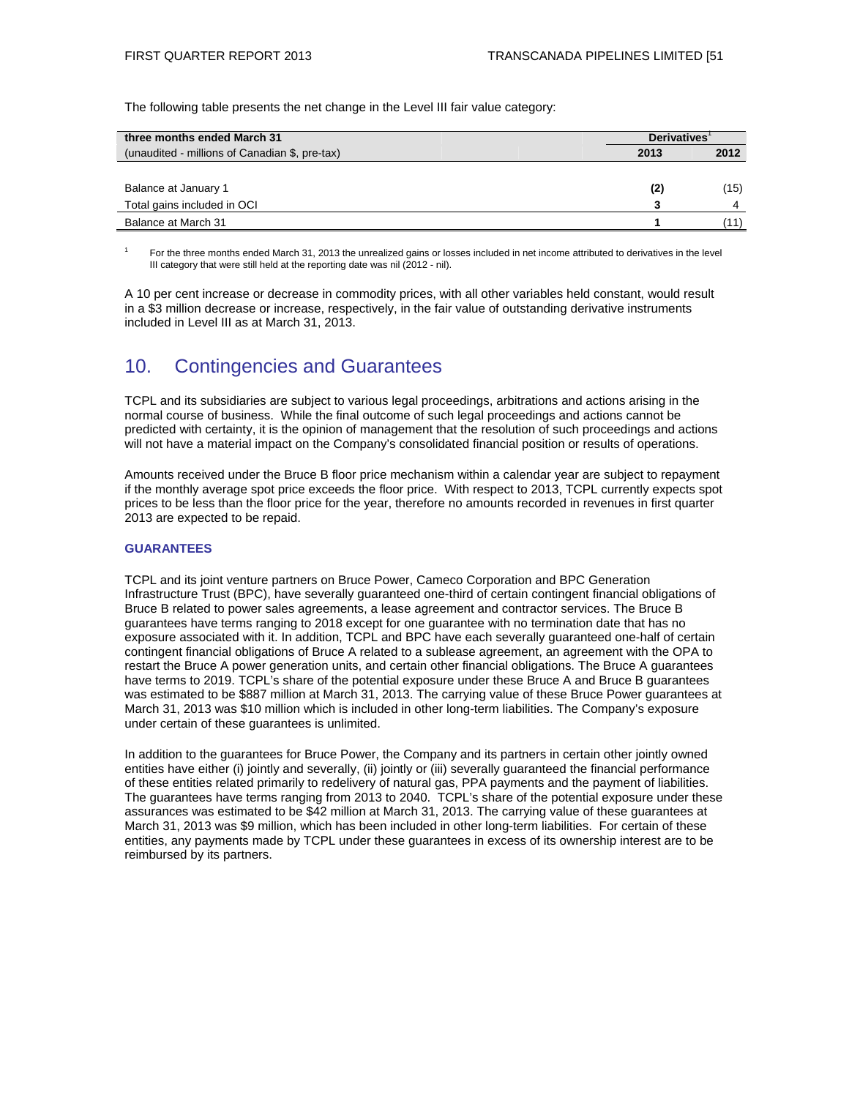The following table presents the net change in the Level III fair value category:

| three months ended March 31                    | Derivatives' |      |
|------------------------------------------------|--------------|------|
| (unaudited - millions of Canadian \$, pre-tax) | 2013         | 2012 |
|                                                |              |      |
| Balance at January 1                           | (2)          | (15) |
| Total gains included in OCI                    | 3            |      |
| Balance at March 31                            |              |      |

 For the three months ended March 31, 2013 the unrealized gains or losses included in net income attributed to derivatives in the level III category that were still held at the reporting date was nil (2012 - nil).

A 10 per cent increase or decrease in commodity prices, with all other variables held constant, would result in a \$3 million decrease or increase, respectively, in the fair value of outstanding derivative instruments included in Level III as at March 31, 2013.

# 10. Contingencies and Guarantees

TCPL and its subsidiaries are subject to various legal proceedings, arbitrations and actions arising in the normal course of business. While the final outcome of such legal proceedings and actions cannot be predicted with certainty, it is the opinion of management that the resolution of such proceedings and actions will not have a material impact on the Company's consolidated financial position or results of operations.

Amounts received under the Bruce B floor price mechanism within a calendar year are subject to repayment if the monthly average spot price exceeds the floor price. With respect to 2013, TCPL currently expects spot prices to be less than the floor price for the year, therefore no amounts recorded in revenues in first quarter 2013 are expected to be repaid.

## **GUARANTEES**

1

TCPL and its joint venture partners on Bruce Power, Cameco Corporation and BPC Generation Infrastructure Trust (BPC), have severally guaranteed one-third of certain contingent financial obligations of Bruce B related to power sales agreements, a lease agreement and contractor services. The Bruce B guarantees have terms ranging to 2018 except for one guarantee with no termination date that has no exposure associated with it. In addition, TCPL and BPC have each severally guaranteed one-half of certain contingent financial obligations of Bruce A related to a sublease agreement, an agreement with the OPA to restart the Bruce A power generation units, and certain other financial obligations. The Bruce A guarantees have terms to 2019. TCPL's share of the potential exposure under these Bruce A and Bruce B guarantees was estimated to be \$887 million at March 31, 2013. The carrying value of these Bruce Power guarantees at March 31, 2013 was \$10 million which is included in other long-term liabilities. The Company's exposure under certain of these guarantees is unlimited.

In addition to the guarantees for Bruce Power, the Company and its partners in certain other jointly owned entities have either (i) jointly and severally, (ii) jointly or (iii) severally guaranteed the financial performance of these entities related primarily to redelivery of natural gas, PPA payments and the payment of liabilities. The guarantees have terms ranging from 2013 to 2040. TCPL's share of the potential exposure under these assurances was estimated to be \$42 million at March 31, 2013. The carrying value of these guarantees at March 31, 2013 was \$9 million, which has been included in other long-term liabilities. For certain of these entities, any payments made by TCPL under these guarantees in excess of its ownership interest are to be reimbursed by its partners.